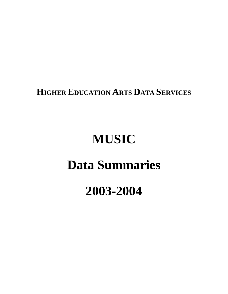**HIGHER EDUCATION ARTS DATA SERVICES**

# **MUSIC**

# **Data Summaries**

# **2003-2004**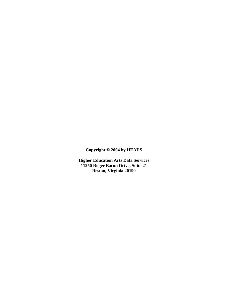**Copyright © 2004 by HEADS**

**Higher Education Arts Data Services 11250 Roger Bacon Drive, Suite 21 Reston, Virginia 20190**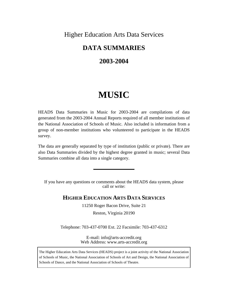# Higher Education Arts Data Services

# **DATA SUMMARIES**

# **2003-2004**

# **MUSIC**

HEADS Data Summaries in Music for 2003-2004 are compilations of data generated from the 2003-2004 Annual Reports required of all member institutions of the National Association of Schools of Music. Also included is information from a group of non-member institutions who volunteered to participate in the HEADS survey.

The data are generally separated by type of institution (public or private). There are also Data Summaries divided by the highest degree granted in music; several Data Summaries combine all data into a single category.

If you have any questions or comments about the HEADS data system, please call or write:

# **HIGHER EDUCATION ARTS DATA SERVICES**

11250 Roger Bacon Drive, Suite 21

Reston, Virginia 20190

Telephone: 703-437-0700 Ext. 22 Facsimile: 703-437-6312

E-mail: info@arts-accredit.org Web Address: www.arts-accredit.org

The Higher Education Arts Data Services (HEADS) project is a joint activity of the National Association of Schools of Music, the National Association of Schools of Art and Design, the National Association of Schools of Dance, and the National Association of Schools of Theatre.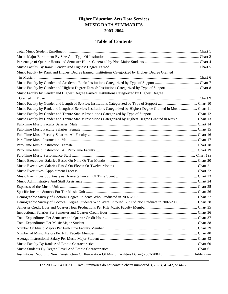# **Higher Education Arts Data Services MUSIC DATA SUMMARIES 2003-2004**

# **Table of Contents**

| Music Faculty by Rank and Highest Degree Earned: Institutions Categorized by Highest Degree Granted                |  |
|--------------------------------------------------------------------------------------------------------------------|--|
|                                                                                                                    |  |
|                                                                                                                    |  |
|                                                                                                                    |  |
| Music Faculty by Gender and Highest Degree Earned: Institutions Categorized by Highest Degree                      |  |
|                                                                                                                    |  |
|                                                                                                                    |  |
| Music Faculty by Rank and Length of Service: Institutions Categorized by Highest Degree Granted in Music  Chart 11 |  |
|                                                                                                                    |  |
| Music Faculty by Gender and Tenure Status: Institutions Categorized by Highest Degree Granted in Music  Chart 13   |  |
|                                                                                                                    |  |
|                                                                                                                    |  |
|                                                                                                                    |  |
|                                                                                                                    |  |
|                                                                                                                    |  |
|                                                                                                                    |  |
|                                                                                                                    |  |
|                                                                                                                    |  |
|                                                                                                                    |  |
|                                                                                                                    |  |
|                                                                                                                    |  |
|                                                                                                                    |  |
|                                                                                                                    |  |
|                                                                                                                    |  |
|                                                                                                                    |  |
| Demographic Survey of Doctoral Degree Students Who Were Enrolled But Did Not Graduate in 2002-2003  Chart 28       |  |
|                                                                                                                    |  |
|                                                                                                                    |  |
|                                                                                                                    |  |
|                                                                                                                    |  |
|                                                                                                                    |  |
|                                                                                                                    |  |
|                                                                                                                    |  |
|                                                                                                                    |  |
|                                                                                                                    |  |
|                                                                                                                    |  |

The 2003-2004 HEADS Data Summaries do not contain charts numbered 3, 29-34, 41-42, or 44-59.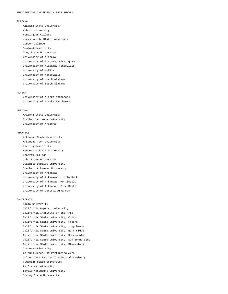#### ALABAMA

 Alabama State University Auburn University Huntingdon College Jacksonville State University Judson College Samford University Troy State University University of Alabama University of Alabama, Birmingham University of Alabama, Huntsville University of Mobile University of Montevallo University of North Alabama University of South Alabama

#### ALASKA

 University of Alaska Anchorage University of Alaska Fairbanks

#### ARIZONA

 Arizona State University Northern Arizona University University of Arizona

#### ARKANSAS

 Arkansas State University Arkansas Tech University Harding University Henderson State University Hendrix College John Brown University Ouachita Baptist University Southern Arkansas University University of Arkansas University of Arkansas, Little Rock University of Arkansas, Monticello University of Arkansas, Pine Bluff University of Central Arkansas

#### CALIFORNIA

 Biola University California Baptist University California Institute of the Arts California State University, Chico California State University, Fresno California State University, Long Beach California State University, Northridge California State University, Sacramento California State University, San Bernardino California State University, Stanislaus Chapman University Colburn School of Performing Arts Golden Gate Baptist Theological Seminary Humboldt State University La Sierra University Loyola Marymount University Murray State University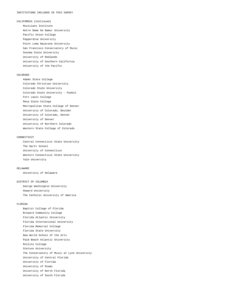CALIFORNIA (Continued) Musicians Institute Notre Dame De Namur University Pacific Union College Pepperdine University Point Loma Nazarene University San Francisco Conservatory of Music Sonoma State University University of Redlands University of Southern California University of the Pacific

#### COLORADO

 Adams State College Colorado Christian University Colorado State University Colorado State University - Pueblo Fort Lewis College Mesa State College Metropolitan State College of Denver University of Colorado, Boulder University of Colorado, Denver University of Denver University of Northern Colorado Western State College of Colorado

#### CONNECTICUT

 Central Connecticut State University The Hartt School University of Connecticut Western Connecticut State University Yale University

#### DELAWARE

University of Delaware

#### DISTRICT OF COLUMBIA

 George Washington University Howard University The Catholic University of America

#### FLORIDA

 Baptist College of Florida Broward Community College Florida Atlantic University Florida International University Florida Memorial College Florida State University New World School of the Arts Palm Beach Atlantic University Rollins College Stetson University The Conservatory of Music at Lynn University University of Central Florida University of Florida University of Miami University of North Florida University of South Florida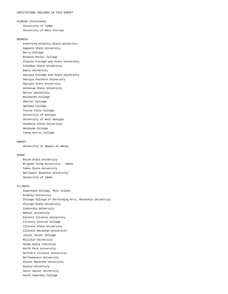FLORIDA (Continued) University of Tampa University of West Florida

#### GEORGIA

 Armstrong Atlantic State University Augusta State University Berry College Brewton-Parker College Clayton College and State University Columbus State University Emory University Georgia College and State University Georgia Southern University Georgia State University Kennesaw State University Mercer University Reinhardt College Shorter College Spelman College Toccoa Falls College University of Georgia University of West Georgia Valdosta State University Wesleyan College Young Harris College

#### HAWAII

University of Hawaii at Manoa

#### IDAHO

 Boise State University Brigham Young University - Idaho Idaho State University Northwest Nazarene University University of Idaho

#### ILLINOIS

 Augustana College, Rock Island Bradley University Chicago College of Performing Arts, Roosevelt University Chicago State University Concordia University DePaul University Eastern Illinois University Illinois Central College Illinois State University Illinois Wesleyan University Joliet Junior College Millikin University Moody Bible Institute North Park University Northern Illinois University Northwestern University Olivet Nazarene University Quincy University Saint Xavier University South Suburban College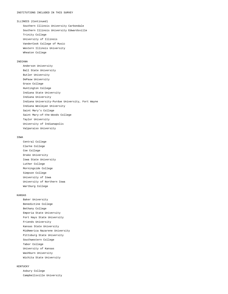#### ILLINOIS (Continued)

 Southern Illinois University Carbondale Southern Illinois University Edwardsville Trinity College University of Illinois VanderCook College of Music Western Illinois University Wheaton College

#### INDIANA

 Anderson University Ball State University Butler University DePauw University Grace College Huntington College Indiana State University Indiana University Indiana University-Purdue University, Fort Wayne Indiana Wesleyan University Saint Mary's College Saint Mary-of-the-Woods College Taylor University University of Indianapolis Valparaiso University

#### IOWA

 Central College Clarke College Coe College Drake University Iowa State University Luther College Morningside College Simpson College University of Iowa University of Northern Iowa Wartburg College

#### KANSAS

 Baker University Benedictine College Bethany College Emporia State University Fort Hays State University Friends University Kansas State University MidAmerica Nazarene University Pittsburg State University Southwestern College Tabor College University of Kansas Washburn University Wichita State University

#### KENTUCKY

 Asbury College Campbellsville University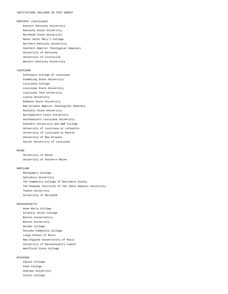#### KENTUCKY (Continued)

 Eastern Kentucky University Kentucky State University Morehead State University Mount Saint Mary's College Northern Kentucky University Southern Baptist Theological Seminary University of Kentucky University of Louisville Western Kentucky University

#### LOUISIANA

 Centenary College of Louisiana Grambling State University Louisiana College Louisiana State University Louisiana Tech University Loyola University McNeese State University New Orleans Baptist Theological Seminary Nicholls State University Northwestern State University Southeastern Louisiana University Southern University and A&M College University of Louisiana at Lafayette University of Louisiana at Monroe University of New Orleans Xavier University of Louisiana

#### MATNE

 University of Maine University of Southern Maine

#### MARYLAND

 Montgomery College Salisbury University The Community College of Baltimore County The Peabody Institute of the Johns Hopkins University Towson University University of Maryland

#### MASSACHUSETTS

 Anna Maria College Atlantic Union College Boston Conservatory Boston University Gordon College Holyoke Community College Longy School of Music New England Conservatory of Music University of Massachusetts Lowell Westfield State College

#### MICHIGAN

 Albion College Alma College Andrews University Calvin College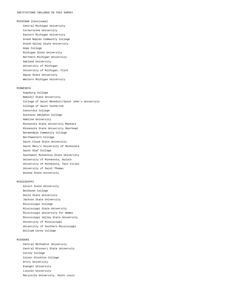#### MICHIGAN (Continued)

 Central Michigan University Cornerstone University Eastern Michigan University Grand Rapids Community College Grand Valley State University Hope College Michigan State University Northern Michigan University Oakland University University of Michigan University of Michigan, Flint Wayne State University Western Michigan University

#### MINNESOTA

 Augsburg College Bemidji State University College of Saint Benedict/Saint John's University College of Saint Catherine Concordia College Gustavus Adolphus College Hamline University Minnesota State University Mankato Minnesota State University Moorhead Normandale Community College Northwestern College Saint Cloud State University Saint Mary's University of Minnesota Saint Olaf College Southwest Minnesota State University University of Minnesota, Duluth University of Minnesota, Twin Cities University of Saint Thomas Winona State University

#### MISSISSIPPI

 Alcorn State University Belhaven College Delta State University Jackson State University Mississippi College Mississippi State University Mississippi University for Women Mississippi Valley State University University of Mississippi University of Southern Mississippi William Carey College

#### MISSOURI

 Central Methodist University Central Missouri State University Cottey College Culver-Stockton College Drury University Evangel University Lincoln University Maryville University, Saint Louis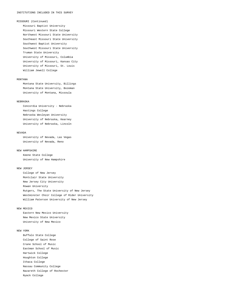#### MISSOURI (Continued)

 Missouri Baptist University Missouri Western State College Northwest Missouri State University Southeast Missouri State University Southwest Baptist University Southwest Missouri State University Truman State University University of Missouri, Columbia University of Missouri, Kansas City University of Missouri, St. Louis William Jewell College

#### MONTANA

 Montana State University, Billings Montana State University, Bozeman University of Montana, Missoula

#### NEBRASKA

 Concordia University - Nebraska Hastings College Nebraska Wesleyan University University of Nebraska, Kearney University of Nebraska, Lincoln

#### NEVADA

 University of Nevada, Las Vegas University of Nevada, Reno

#### NEW HAMPSHIRE

 Keene State College University of New Hampshire

#### NEW JERSEY

 College of New Jersey Montclair State University New Jersey City University Rowan University Rutgers, The State University of New Jersey Westminster Choir College of Rider University William Paterson University of New Jersey

#### NEW MEXICO

 Eastern New Mexico University New Mexico State University University of New Mexico

#### NEW YORK

 Buffalo State College College of Saint Rose Crane School of Music Eastman School of Music Hartwick College Houghton College Ithaca College Nassau Community College Nazareth College of Rochester Nyack College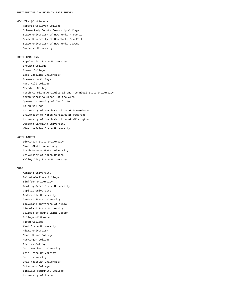#### INSTITUTIONS INCLUDED IN THIS SURVEY

NEW YORK (Continued)

 Roberts Wesleyan College Schenectady County Community College State University of New York, Fredonia State University of New York, New Paltz State University of New York, Oswego Syracuse University

#### NORTH CAROLINA

 Appalachian State University Brevard College Chowan College East Carolina University Greensboro College Mars Hill College Meredith College North Carolina Agricultural and Technical State University North Carolina School of the Arts Queens University of Charlotte Salem College University of North Carolina at Greensboro University of North Carolina at Pembroke University of North Carolina at Wilmington Western Carolina University Winston-Salem State University

#### NORTH DAKOTA

 Dickinson State University Minot State University North Dakota State University University of North Dakota Valley City State University

#### OHIO

 Ashland University Baldwin-Wallace College Bluffton University Bowling Green State University Capital University Cedarville University Central State University Cleveland Institute of Music Cleveland State University College of Mount Saint Joseph College of Wooster Hiram College Kent State University Miami University Mount Union College Muskingum College Oberlin College Ohio Northern University Ohio State University Ohio University Ohio Wesleyan University Otterbein College Sinclair Community College University of Akron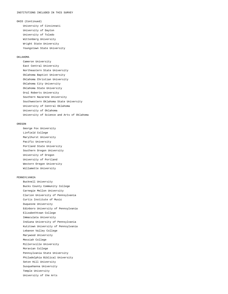OHIO (Continued)

 University of Cincinnati University of Dayton University of Toledo Wittenberg University Wright State University Youngstown State University

#### OKLAHOMA

 Cameron University East Central University Northeastern State University Oklahoma Baptist University Oklahoma Christian University Oklahoma City University Oklahoma State University Oral Roberts University Southern Nazarene University Southwestern Oklahoma State University University of Central Oklahoma University of Oklahoma University of Science and Arts of Oklahoma

#### OREGON

 George Fox University Linfield College Marylhurst University Pacific University Portland State University Southern Oregon University University of Oregon University of Portland Western Oregon University Willamette University

#### PENNSYLVANIA

 Bucknell University Bucks County Community College Carnegie Mellon University Clarion University of Pennsylvania Curtis Institute of Music Duquesne University Edinboro University of Pennsylvania Elizabethtown College Immaculata University Indiana University of Pennsylvania Kutztown University of Pennsylvania Lebanon Valley College Marywood University Messiah College Millersville University Moravian College Pennsylvania State University Philadelphia Biblical University Seton Hill University Susquehanna University Temple University University of the Arts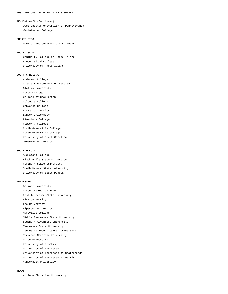#### INSTITUTIONS INCLUDED IN THIS SURVEY

#### PENNSYLVANIA (Continued)

 West Chester University of Pennsylvania Westminster College

#### PUERTO RICO

Puerto Rico Conservatory of Music

#### RHODE ISLAND

 Community College of Rhode Island Rhode Island College University of Rhode Island

#### SOUTH CAROLINA

 Anderson College Charleston Southern University Claflin University Coker College College of Charleston Columbia College Converse College Furman University Lander University Limestone College Newberry College North Greenville College North Greenville College University of South Carolina Winthrop University

#### SOUTH DAKOTA

 Augustana College Black Hills State University Northern State University South Dakota State University University of South Dakota

#### TENNESSEE

 Belmont University Carson-Newman College East Tennessee State University Fisk University Lee University Lipscomb University Maryville College Middle Tennessee State University Southern Adventist University Tennessee State University Tennessee Technological University Trevecca Nazarene University Union University University of Memphis University of Tennessee University of Tennessee at Chattanooga University of Tennessee at Martin Vanderbilt University

#### TEXAS

Abilene Christian University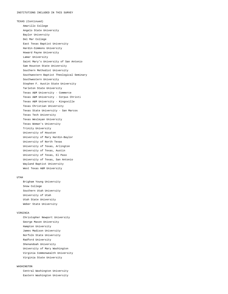TEXAS (Continued) Amarillo College Angelo State University Baylor University Del Mar College East Texas Baptist University Hardin-Simmons University Howard Payne University Lamar University Saint Mary's University of San Antonio Sam Houston State University Southern Methodist University Southwestern Baptist Theological Seminary Southwestern University Stephen F. Austin State University Tarleton State University Texas A&M University - Commerce Texas A&M University - Corpus Christi Texas A&M University - Kingsville Texas Christian University Texas State University - San Marcos Texas Tech University Texas Wesleyan University Texas Woman's University Trinity University University of Houston University of Mary Hardin-Baylor University of North Texas University of Texas, Arlington University of Texas, Austin University of Texas, El Paso University of Texas, San Antonio Wayland Baptist University West Texas A&M University

#### UTAH

 Brigham Young University Snow College Southern Utah University University of Utah Utah State University Weber State University

#### VIRGINIA

 Christopher Newport University George Mason University Hampton University James Madison University Norfolk State University Radford University Shenandoah University University of Mary Washington Virginia Commonwealth University Virginia State University

#### WASHINGTON

 Central Washington University Eastern Washington University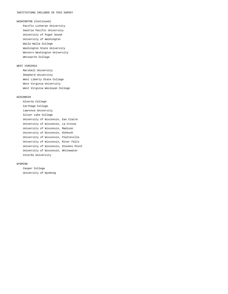WASHINGTON (Continued)

 Pacific Lutheran University Seattle Pacific University University of Puget Sound University of Washington Walla Walla College Washington State University Western Washington University Whitworth College

#### WEST VIRGINIA

 Marshall University Shepherd University West Liberty State College West Virginia University West Virginia Wesleyan College

#### WISCONSIN

 Alverno College Carthage College Lawrence University Silver Lake College University of Wisconsin, Eau Claire University of Wisconsin, La Crosse University of Wisconsin, Madison University of Wisconsin, Oshkosh University of Wisconsin, Platteville University of Wisconsin, River Falls University of Wisconsin, Stevens Point University of Wisconsin, Whitewater Viterbo University

#### WYOMING

 Casper College University of Wyoming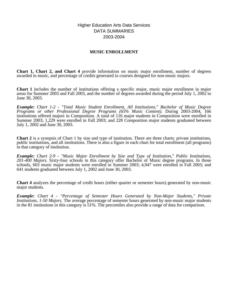# Higher Education Arts Data Services DATA SUMMARIES 2003-2004

# **MUSIC ENROLLMENT**

**Chart 1, Chart 2, and Chart 4** provide information on music major enrollment, number of degrees awarded in music, and percentage of credits generated in courses designed for non-music majors.

**Chart 1** includes the number of institutions offering a specific major, music major enrollment in major areas for Summer 2003 and Fall 2003, and the number of degrees awarded during the period July 1, 2002 to June 30, 2003.

*Example: Chart 1-2 - "Total Music Student Enrollment, All Institutions," Bachelor of Music Degree Programs or other Professional Degree Programs (65% Music Content).* During 2003-2004, 166 institutions offered majors in Composition. A total of 116 major students in Composition were enrolled in Summer 2003; 1,229 were enrolled in Fall 2003; and 228 Composition major students graduated between July 1, 2002 and June 30, 2003.

**Chart 2** is a synopsis of Chart 1 by size and type of institution. There are three charts: private institutions, public institutions, and all institutions. There is also a figure in each chart for total enrollment (all programs) in that category of institution.

*Example: Chart 2-9 - "Music Major Enrollment by Size and Type of Institution," Public Institutions, 201-400 Majors.* Sixty-four schools in this category offer Bachelor of Music degree programs. In those schools, 603 music major students were enrolled in Summer 2003; 4,947 were enrolled in Fall 2003; and 641 students graduated between July 1, 2002 and June 30, 2003.

**Chart 4** analyzes the percentage of credit hours (either quarter or semester hours) generated by non-music major students.

*Example: Chart 4 - "Percentage of Semester Hours Generated by Non-Major Students," Private Institutions, 1-50 Majors.* The average percentage of semester hours generated by non-music major students in the 81 institutions in this category is 51%. The percentiles also provide a range of data for comparison.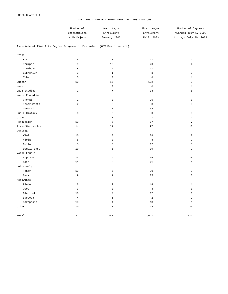| Number of    | Music Major  | Music Major | Number of Degrees     |
|--------------|--------------|-------------|-----------------------|
| Institutions | Enrollment   | Enrollment  | Awarded July 1, 2002  |
| With Majors  | Summer, 2003 | Fall, 2003  | through July 30, 2003 |

#### Associate of Fine Arts Degree Programs or Equivalent (65% Music content)

| <b>Brass</b>      |                |                         |                |                |
|-------------------|----------------|-------------------------|----------------|----------------|
| Horn              | 6              | $\mathbf{1}$            | 11             | $\mathbf{1}$   |
| Trumpet           | 9              | $12$                    | 20             | $\overline{4}$ |
| Trombone          | $\,8\,$        | $\overline{4}$          | $17$           | $\overline{2}$ |
| Euphonium         | 3              | $\mathbf 1$             | $\mathbf{3}$   | $\mathsf 0$    |
| Tuba              | 5              | $\mathbf 0$             | 6              | $\mathbf{1}$   |
| Guitar            | 12             | 15                      | 132            | 9              |
| Harp              | $1\,$          | $\mathbb O$             | $\mathbb O$    | $1\,$          |
| Jazz Studies      | $\overline{2}$ | $\sqrt{ }$              | 14             | 5              |
| Music Education   |                |                         |                |                |
| Choral            | $\mathbf{1}$   | $\mathbf 0$             | 25             | $\mathbf 0$    |
| Instrumental      | $\overline{2}$ | $\mathbf{3}$            | 58             | $\mathsf 0$    |
| General           | $\overline{2}$ | 22                      | 64             | $\overline{a}$ |
| Music History     | $\mathbf 0$    | $\mathsf 0$             | $\mathbb O$    | $\mathbf 0$    |
| Organ             | $\overline{a}$ | $\mathbf{1}$            | $\mathbf{1}$   | $\mathbf{1}$   |
| Percussion        | 12             | 5                       | 67             | $\overline{7}$ |
| Piano/Harpsichord | 14             | 21                      | 97             | 13             |
| Strings           |                |                         |                |                |
| Violin            | 10             | $\mathbf 0$             | 28             | $\overline{7}$ |
| Viola             | 5              | $\mathbf 0$             | 8              | $\overline{c}$ |
| Cello             | 5              | $\mathsf 0$             | 12             | 3              |
| Double Bass       | 10             | 5                       | 19             | $\overline{a}$ |
| Voice-Female      |                |                         |                |                |
| Soprano           | 13             | 19                      | 106            | 10             |
| Alto              | $11\,$         | 5                       | 41             | $1\,$          |
| Voice-Male        |                |                         |                |                |
| Tenor             | 13             | 5                       | 39             | $\overline{a}$ |
| Bass              | 9              | $\mathbf{1}$            | 25             | 3              |
| Woodwinds         |                |                         |                |                |
| Flute             | 8              | $\overline{\mathbf{c}}$ | 14             | $\mathbf{1}$   |
| Oboe              | 3              | 0                       | $\overline{3}$ | $\mathsf 0$    |
| Clarinet          | 10             | $\overline{a}$          | 17             | $\mathbf{1}$   |
| Bassoon           | $\overline{4}$ | $\mathbf 1$             | $\sqrt{2}$     | $\overline{a}$ |
| Saxophone         | 10             | $\overline{4}$          | 18             | $\mathbf{1}$   |
| Other             | 10             | $1\,1$                  | 174            | 36             |
| Total             | 21             | 147                     | 1,021          | 117            |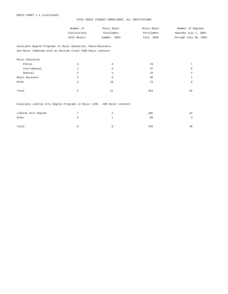| Number of    | Music Major  | Music Major | Number of Degrees     |
|--------------|--------------|-------------|-----------------------|
| Institutions | Enrollment   | Enrollment  | Awarded July 1, 2002  |
| With Majors  | Summer, 2003 | Fall, 2003  | through July 30, 2003 |

Associate Degree Programs in Music Education, Music/Business, and Music Combined with an Outside Field (50% Music content)

| Music Education |                |    |     |    |
|-----------------|----------------|----|-----|----|
| Choral          | 3              | 0  | 70  |    |
| Instrumental    | 2              | 0  | 47  | 6  |
| General         | $\mathfrak{D}$ | 2  | 34  |    |
| Music Business  | 2              | 0  | 30  |    |
| Other           | 2              | 19 | 73  | 9  |
|                 |                |    |     |    |
| Total           | b.             | 21 | 254 | 26 |

### Associate Liberal Arts Degree Programs in Music (33% - 49% Music content)

| Liberal Arts Degree |  | 205 | 44             |
|---------------------|--|-----|----------------|
| Other               |  | 88  | $\overline{a}$ |
|                     |  |     |                |
| Total               |  | 293 | 48             |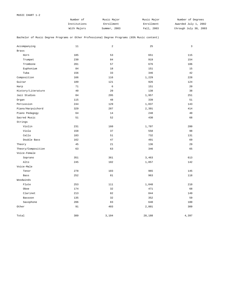| Number of    | Music Major  | Music Major | Number of Degrees     |
|--------------|--------------|-------------|-----------------------|
| Institutions | Enrollment   | Enrollment  | Awarded July 1, 2002  |
| With Majors  | Summer, 2003 | Fall, 2003  | through July 30, 2003 |

Bachelor of Music Degree Programs or Other Professional Degree Programs (65% Music content)

| Accompanying       | 11  | 2          | 25     | 3     |
|--------------------|-----|------------|--------|-------|
| <b>Brass</b>       |     |            |        |       |
| Horn               | 185 | 53         | 651    | 115   |
| Trumpet            | 230 | 84         | 919    | 154   |
| Trombone           | 201 | 57         | 676    | 106   |
| Euphonium          | 84  | $18\,$     | 151    | 15    |
| Tuba               | 156 | 33         | 346    | 42    |
| Composition        | 166 | 116        | 1,229  | 228   |
| Guitar             | 189 | 121        | 926    | 124   |
| Harp               | 71  | $\epsilon$ | 151    | 20    |
| History/Literature | 40  | 20         | 138    | 38    |
| Jazz Studies       | 84  | 295        | 1,957  | 251   |
| Organ              | 115 | 48         | 339    | 51    |
| Percussion         | 244 | 129        | 1,037  | 143   |
| Piano/Harpsichord  | 329 | 287        | 2,391  | 414   |
| Piano Pedagogy     | 64  | 14         | 248    | 40    |
| Sacred Music       | 51  | 52         | 430    | 68    |
| Strings            |     |            |        |       |
| Violin             | 231 | 160        | 1,707  | 280   |
| Viola              | 158 | 37         | 558    | 98    |
| Cello              | 183 | 51         | 732    | 131   |
| Double Bass        | 162 | 47         | 491    | 69    |
| Theory             | 45  | 21         | 136    | 29    |
| Theory/Composition | 63  | 63         | 346    | 65    |
| Voice-Female       |     |            |        |       |
| Soprano            | 351 | 361        | 3,463  | 613   |
| Alto               | 245 | 102        | 1,057  | 142   |
| Voice-Male         |     |            |        |       |
| Tenor              | 278 | 103        | 965    | 145   |
| Bass               | 252 | 81         | 963    | 118   |
| Woodwinds          |     |            |        |       |
| Flute              | 253 | 111        | 1,048  | 210   |
| Oboe               | 174 | 32         | 471    | 68    |
| Clarinet           | 213 | 82         | 844    | 149   |
| Bassoon            | 135 | 32         | 352    | 59    |
| Saxophone          | 206 | 83         | 640    | 100   |
| Other              | 91  | 403        | 2,801  | 309   |
| Total              | 389 | 3,104      | 28,188 | 4,397 |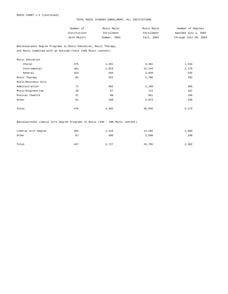| Number of    | Music Major  | Music Major | Number of Degrees     |
|--------------|--------------|-------------|-----------------------|
| Institutions | Enrollment   | Enrollment  | Awarded July 1, 2002  |
| With Majors  | Summer, 2003 | Fall, 2003  | through July 30, 2003 |

Baccalaureate Degree Programs in Music Education, Music Therapy, and Music Combined with an Outside Field (50% Music content)

| 375 | 1,201 | 9,361  | 1,334 |
|-----|-------|--------|-------|
| 361 | 1,919 | 15,244 | 2,170 |
| 163 | 394   | 3,829  | 545   |
| 65  | 252   | 1,706  | 262   |
|     |       |        |       |
| 71  | 302   | 2,169  | 365   |
| 20  | 57    | 712    | 107   |
| 37  | 98    | 851    | 166   |
| 81  | 260   | 2,973  | 330   |
|     |       |        |       |
| 470 | 4,483 | 36,845 | 5,279 |
|     |       |        |       |

Baccalaureate Liberal Arts Degree Programs in Music (33% - 49% Music content)

| Liberal Arts Degree | 404 | 1,419 | 13,265 | 2,093 |
|---------------------|-----|-------|--------|-------|
| Other               | 87  | 308   | 2,500  | 299   |
|                     |     |       |        |       |
| Total               | 437 | 1,727 | 15,765 | 2,392 |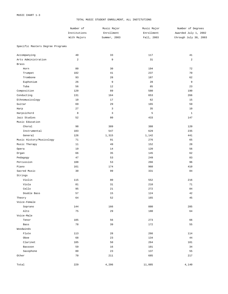|                                     | Number of<br>Institutions<br>With Majors | Music Major<br>Enrollment<br>Summer, 2003 | Music Major<br>Enrollment<br>Fall, 2003 | Number of Degrees<br>Awarded July 1, 2002<br>through July 30, 2003 |
|-------------------------------------|------------------------------------------|-------------------------------------------|-----------------------------------------|--------------------------------------------------------------------|
| Specific Masters Degree Programs    |                                          |                                           |                                         |                                                                    |
| Accompanying<br>Arts Administration | 40<br>$\overline{c}$                     | 33<br>9                                   | 117<br>31                               | 41<br>$\overline{2}$                                               |
| <b>Brass</b>                        |                                          |                                           |                                         |                                                                    |
| Horn                                | 80                                       | 30                                        | 194                                     | 72                                                                 |
| Trumpet                             | 102                                      | 41                                        | 237                                     | 70                                                                 |
| Trombone                            | 93                                       | 28                                        | 187                                     | 62                                                                 |
| Euphonium                           | 26                                       | 9                                         | 28                                      | 9                                                                  |
| Tuba                                | 56                                       | 12                                        | 85                                      | 23                                                                 |
| Composition                         | 120                                      | 89                                        | 580                                     | 190                                                                |
| Conducting                          | 131                                      | 164                                       | 653                                     | 266                                                                |
| Ethnomusicology                     | 10                                       | 17                                        | 62                                      | 15                                                                 |
| Guitar                              | 69                                       | 29                                        | 165                                     | 59                                                                 |
| Harp                                | 27                                       | 3                                         | 35                                      | 10                                                                 |

| Harp                     | 27  | $\mathbf{3}$ | 35    | 10           |
|--------------------------|-----|--------------|-------|--------------|
| Harpsichord              | 8   | 3            | 5     | $\mathbf{1}$ |
| Jazz Studies             | 52  | 80           | 433   | 147          |
| Music Education          |     |              |       |              |
| Choral                   | 98  | 389          | 388   | 120          |
| Instrumental             | 103 | 547          | 629   | 235          |
| General                  | 126 | 1,315        | 1,142 | 441          |
| Music History/Musicology | 71  | 91           | 276   | 65           |
| Music Therapy            | 11  | 49           | 152   | 28           |
| Opera                    | 19  | 14           | 120   | 56           |
| Organ                    | 66  | 35           | 145   | 62           |
| Pedagogy                 | 47  | 53           | 249   | 83           |
| Percussion               | 108 | 53           | 266   | 96           |
| Piano                    | 161 | 174          | 960   | 410          |
| Sacred Music             | 30  | 99           | 331   | 84           |
| Strings                  |     |              |       |              |
| Violin                   | 115 | 80           | 552   | 216          |
| Viola                    | 81  | 31           | 210   | 71           |
| Cello                    | 95  | 21           | 272   | 84           |
| Double Bass              | 57  | 15           | 124   | 42           |
| Theory                   | 64  | 52           | 165   | 45           |
| Voice-Female             |     |              |       |              |
| Soprano                  | 144 | 166          | 880   | 285          |
| Alto                     | 75  | 29           | 180   | 64           |
| Voice-Male               |     |              |       |              |
| Tenor                    | 105 | 56           | 273   | 66           |
| Bass                     | 78  | 39           | 172   | 55           |
| Woodwinds                |     |              |       |              |
| Flute                    | 113 | 28           | 266   | 114          |
| Oboe                     | 68  | 23           | 134   | 44           |
| Clarinet                 | 105 | 50           | 264   | 101          |
| Bassoon                  | 59  | 16           | 101   | 34           |
| Saxophone                | 80  | 23           | 137   | 55           |
| Other                    | 70  | 211          | 685   | 217          |

Total 229 229 4,206 11,885 4,140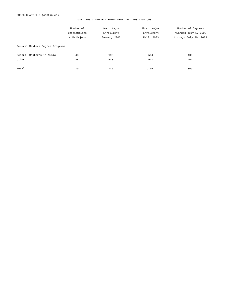|                                 | Number of    | Music Major  | Music Major | Number of Degrees     |
|---------------------------------|--------------|--------------|-------------|-----------------------|
|                                 | Institutions | Enrollment   | Enrollment  | Awarded July 1, 2002  |
|                                 | With Majors  | Summer, 2003 | Fall, 2003  | through July 30, 2003 |
| General Masters Degree Programs |              |              |             |                       |
| General Master's in Music       | 43           | 198          | 564         | 108                   |
| Other                           | 48           | 538          | 541         | 201                   |
| Total                           | 79           | 736          | 1,105       | 309                   |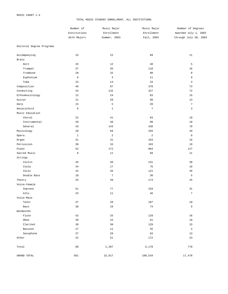|                          | Number of<br>Institutions<br>With Majors | Music Major<br>Enrollment<br>Summer, 2003 | Music Major<br>Enrollment<br>Fall, 2003 | Number of Degrees<br>Awarded July 1, 2002 |
|--------------------------|------------------------------------------|-------------------------------------------|-----------------------------------------|-------------------------------------------|
|                          |                                          |                                           |                                         |                                           |
|                          |                                          |                                           |                                         | through July 30, 2003                     |
| Doctoral Degree Programs |                                          |                                           |                                         |                                           |
| Accompanying             | 15                                       | 22                                        | 89                                      | 11                                        |
| Brass                    |                                          |                                           |                                         |                                           |
| Horn                     | 25                                       | 12                                        | 48                                      | 5                                         |
| Trumpet                  | 37                                       | 35                                        | 118                                     | 16                                        |
| Trombone                 | 29                                       | 32                                        | 80                                      | 8                                         |
| Euphonium                | 6                                        | $\overline{4}$                            | 11                                      | $\mathsf 0$                               |
| Tuba                     | 23                                       | 13                                        | 33                                      | $\,4$                                     |
| Composition              | 46                                       | 87                                        | 370                                     | 73                                        |
| Conducting               | 43                                       | 132                                       | 427                                     | 72                                        |
| Ethnomusicology          | 12                                       | 24                                        | 83                                      | 15                                        |
| Guitar                   | 21                                       | 28                                        | 99                                      | 13                                        |
| Harp                     | 15                                       | 5                                         | 20                                      | $\sqrt{ }$                                |
| Harpsichord              | 6                                        | $\mathbf 1$                               | $7\phantom{.0}$                         | 3                                         |
| Music Education          |                                          |                                           |                                         |                                           |
| Choral                   | 22                                       | 41                                        | 83                                      | 19                                        |
| Instrumental             | 20                                       | 48                                        | 90                                      | 10                                        |
| General                  | 43                                       | 143                                       | 338                                     | 70                                        |
| Musicology               | 29                                       | 69                                        | 293                                     | 29                                        |
| Opera                    | $\mathbf 1$                              | $\overline{a}$                            | $\overline{a}$                          | $\mathbb O$                               |
| Organ                    | 31                                       | 31                                        | 164                                     | 16                                        |
| Percussion               | 38                                       | 33                                        | 103                                     | 19                                        |
| Piano                    | 52                                       | 172                                       | 864                                     | 127                                       |
| Sacred Music             | 8                                        | $11\,$                                    | 68                                      | $11\,$                                    |
| Strings                  |                                          |                                           |                                         |                                           |
| Violin                   | 45                                       | 48                                        | 231                                     | 38                                        |
| Viola                    | 34                                       | 17                                        | 76                                      | 10                                        |
| Cello                    | 42                                       | 26                                        | 121                                     | 26                                        |
| Double Bass              | 18                                       | 7                                         | 30                                      | 5                                         |
| Theory                   | 25                                       | 49                                        | 174                                     | 25                                        |
| Voice-Female             |                                          |                                           |                                         |                                           |
| Soprano                  | 51                                       | 77                                        | 310                                     | 31                                        |
| Alto                     | 23                                       | 11                                        | $4\sqrt{6}$                             | 7                                         |
| Voice-Male               |                                          |                                           |                                         |                                           |
| Tenor                    | 37                                       | $2\,8$                                    | $107$                                   | $10$                                      |
| Bass                     | 38                                       | 19                                        | 74                                      | $\mathsf 9$                               |
| Woodwinds                |                                          |                                           |                                         |                                           |
| Flute                    | 42                                       | 25                                        | 129                                     | 16                                        |
| Oboe                     | 30                                       | 15                                        | 61                                      | $10$                                      |
| Clarinet                 | 36                                       | 30                                        | 129                                     | 15                                        |
| Bassoon                  | $2\,7$                                   | 11                                        | 45                                      | $\bf 4$                                   |
| Saxophone                | 37                                       | 28                                        | 83                                      | $13$                                      |
| Other                    | 22                                       | $5\,1$                                    | 172                                     | 23                                        |
| Total                    | 68                                       | 1,387                                     | 5,178                                   | 770                                       |
| GRAND TOTAL              | 561                                      | 15,817                                    | 100,534                                 | 17,478                                    |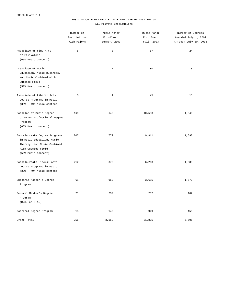## MUSIC MAJOR ENROLLMENT BY SIZE AND TYPE OF INSTITUTION All Private Institutions

|                                                                                                                                        | Number of<br>Institutions<br>With Majors | Music Major<br>Enrollment<br>Summer, 2003 | Music Major<br>Enrollment<br>Fall, 2003 | Number of Degrees<br>Awarded July 1, 2002<br>through July 30, 2003 |
|----------------------------------------------------------------------------------------------------------------------------------------|------------------------------------------|-------------------------------------------|-----------------------------------------|--------------------------------------------------------------------|
| Associate of Fine Arts<br>or Equivalent<br>(65% Music content)                                                                         | 5                                        | 8                                         | 57                                      | 24                                                                 |
| Associate of Music<br>Education, Music Business,<br>and Music Combined with<br>Outside Field<br>(50% Music content)                    | $\overline{a}$                           | 12                                        | 80                                      | 3                                                                  |
| Associate of Liberal Arts<br>Degree Programs in Music<br>$(33% - 49%$ Music content)                                                   | 3                                        | $\mathbf{1}$                              | 45                                      | 15                                                                 |
| Bachelor of Music Degree<br>or Other Professional Degree<br>Program<br>(65% Music content)                                             | 169                                      | 645                                       | 10,583                                  | 1,949                                                              |
| Baccalaureate Degree Programs<br>in Music Education, Music<br>Therapy, and Music Combined<br>with Outside Field<br>(50% Music content) | 207                                      | 779                                       | 9,911                                   | 1,698                                                              |
| Baccalaureate Liberal Arts<br>Degree Programs in Music<br>$(33% - 49%$ Music content)                                                  | 212                                      | 375                                       | 6,263                                   | 1,088                                                              |
| Specific Master's Degree<br>Program                                                                                                    | 61                                       | 960                                       | 3,685                                   | 1,572                                                              |
| General Master's Degree<br>Program<br>(M.S. or M.A.)                                                                                   | 21                                       | 232                                       | 232                                     | 102                                                                |
| Doctoral Degree Program                                                                                                                | 15                                       | 140                                       | 949                                     | 155                                                                |
| Grand Total                                                                                                                            | 256                                      | 3,152                                     | 31,805                                  | 6,606                                                              |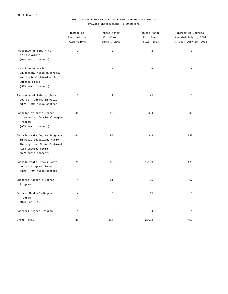# MUSIC MAJOR ENROLLMENT BY SIZE AND TYPE OF INSTITUTION Private Institutions; 1-50 Majors

|                                                                                                                                        | Number of<br>Institutions<br>With Majors | Music Major<br>Enrollment<br>Summer, 2003 | Music Major<br>Enrollment<br>Fall, 2003 | Number of Degrees<br>Awarded July 1, 2002<br>through July 30, 2003 |
|----------------------------------------------------------------------------------------------------------------------------------------|------------------------------------------|-------------------------------------------|-----------------------------------------|--------------------------------------------------------------------|
| Associate of Fine Arts<br>or Equivalent<br>(65% Music content)                                                                         | $\mathbf{1}$                             | $\mathbf 0$                               | $\overline{a}$                          | $\mathbb O$                                                        |
| Associate of Music<br>Education, Music Business,<br>and Music Combined with<br>Outside Field<br>(50% Music content)                    | $\mathbf{1}$                             | 12                                        | 26                                      | 3                                                                  |
| Associate of Liberal Arts<br>Degree Programs in Music<br>$(33% - 49%$ Music content)                                                   | 3                                        | $\mathbf{1}$                              | 45                                      | 15                                                                 |
| Bachelor of Music Degree<br>or Other Professional Degree<br>Program<br>(65% Music content)                                             | 40                                       | 90                                        | 454                                     | 63                                                                 |
| Baccalaureate Degree Programs<br>in Music Education, Music<br>Therapy, and Music Combined<br>with Outside Field<br>(50% Music content) | 64                                       | 94                                        | 919                                     | 130                                                                |
| Baccalaureate Liberal Arts<br>Degree Programs in Music<br>$(33% - 49%$ Music content)                                                  | 73                                       | 83                                        | 1,183                                   | 179                                                                |
| Specific Master's Degree<br>Program                                                                                                    | $\overline{4}$                           | 31                                        | 35                                      | 17                                                                 |
| General Master's Degree<br>Program<br>$(M.S.$ or $M.A.)$                                                                               | $\overline{4}$                           | 3                                         | 15                                      | 5                                                                  |
| Doctoral Degree Program                                                                                                                | $\mathbf{1}$                             | $\mathbb O$                               | $\overline{4}$                          | $\mathbf{1}$                                                       |
| Grand Total                                                                                                                            | 85                                       | 314                                       | 2,683                                   | 413                                                                |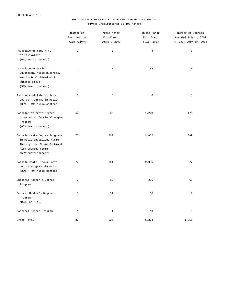# MUSIC MAJOR ENROLLMENT BY SIZE AND TYPE OF INSTITUTION Private Institutions; 51-100 Majors

|                                                                                                                                        | Number of<br>Institutions<br>With Majors | Music Major<br>Enrollment<br>Summer, 2003 | Music Major<br>Enrollment<br>Fall, 2003 | Number of Degrees<br>Awarded July 1, 2002<br>through July 30, 2003 |
|----------------------------------------------------------------------------------------------------------------------------------------|------------------------------------------|-------------------------------------------|-----------------------------------------|--------------------------------------------------------------------|
| Associate of Fine Arts<br>or Equivalent<br>(65% Music content)                                                                         | $\mathbf{1}$                             | $\mathbf 0$                               | $\mathsf 3$                             | $\mathsf 0$                                                        |
| Associate of Music<br>Education, Music Business,<br>and Music Combined with<br>Outside Field<br>(50% Music content)                    | $1\,$                                    | $\mathbb O$                               | 54                                      | $\mathsf 0$                                                        |
| Associate of Liberal Arts<br>Degree Programs in Music<br>$(33% - 49%$ Music content)                                                   | $\mathbf 0$                              | $\mathbb O$                               | $\mathsf 0$                             | $\mathbb O$                                                        |
| Bachelor of Music Degree<br>or Other Professional Degree<br>Program<br>(65% Music content)                                             | 57                                       | 80                                        | 1,248                                   | 173                                                                |
| Baccalaureate Degree Programs<br>in Music Education, Music<br>Therapy, and Music Combined<br>with Outside Field<br>(50% Music content) | 72                                       | 207                                       | 2,652                                   | 389                                                                |
| Baccalaureate Liberal Arts<br>Degree Programs in Music<br>$(33% - 49%$ Music content)                                                  | 77                                       | 101                                       | 2,055                                   | 377                                                                |
| Specific Master's Degree<br>Program                                                                                                    | 9                                        | 83                                        | 266                                     | 60                                                                 |
| General Master's Degree<br>Program<br>(M.S. or M.A.)                                                                                   | 5                                        | 54                                        | 36                                      | 9                                                                  |
| Doctoral Degree Program                                                                                                                | 1                                        | 1                                         | 10                                      | 3                                                                  |
| Grand Total                                                                                                                            | 87                                       | 526                                       | 6,324                                   | 1,011                                                              |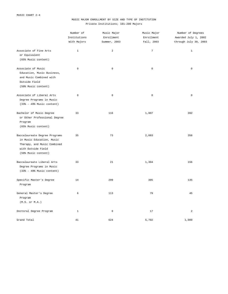# MUSIC MAJOR ENROLLMENT BY SIZE AND TYPE OF INSTITUTION Private Institutions; 101-200 Majors

|                                                                                                                                        | Number of<br>Institutions<br>With Majors | Music Major<br>Enrollment<br>Summer, 2003 | Music Major<br>Enrollment<br>Fall, 2003 | Number of Degrees<br>Awarded July 1, 2002<br>through July 30, 2003 |
|----------------------------------------------------------------------------------------------------------------------------------------|------------------------------------------|-------------------------------------------|-----------------------------------------|--------------------------------------------------------------------|
| Associate of Fine Arts<br>or Equivalent<br>(65% Music content)                                                                         | $\mathbf{1}$                             | 2                                         | $\overline{7}$                          | $\mathbf{1}$                                                       |
| Associate of Music<br>Education, Music Business,<br>and Music Combined with<br>Outside Field<br>(50% Music content)                    | $\mathbf 0$                              | $\mathbb O$                               | $\mathsf 0$                             | $\mathsf 0$                                                        |
| Associate of Liberal Arts<br>Degree Programs in Music<br>$(33% - 49%$ Music content)                                                   | $\mathbf 0$                              | $\mathbb O$                               | $\mathsf 0$                             | $\mathbb O$                                                        |
| Bachelor of Music Degree<br>or Other Professional Degree<br>Program<br>(65% Music content)                                             | 33                                       | 116                                       | 1,907                                   | 392                                                                |
| Baccalaureate Degree Programs<br>in Music Education, Music<br>Therapy, and Music Combined<br>with Outside Field<br>(50% Music content) | 35                                       | 73                                        | 2,083                                   | 358                                                                |
| Baccalaureate Liberal Arts<br>Degree Programs in Music<br>$(33% - 49%$ Music content)                                                  | 33                                       | 21                                        | 1,304                                   | 156                                                                |
| Specific Master's Degree<br>Program                                                                                                    | 14                                       | 299                                       | 305                                     | 135                                                                |
| General Master's Degree<br>Program<br>(M.S. or M.A.)                                                                                   | 6                                        | 113                                       | 79                                      | 45                                                                 |
| Doctoral Degree Program                                                                                                                | $\mathbf{1}$                             | $\mathbb O$                               | 17                                      | $\overline{a}$                                                     |
| Grand Total                                                                                                                            | 41                                       | 624                                       | 5,702                                   | 1,089                                                              |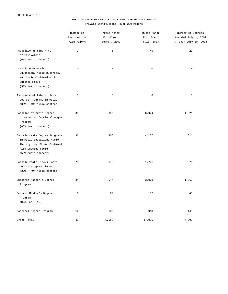# MUSIC MAJOR ENROLLMENT BY SIZE AND TYPE OF INSTITUTION Private Institutions; over 200 Majors

|                                                                                                                                        | Number of<br>Institutions<br>With Majors | Music Major<br>Enrollment<br>Summer, 2003 | Music Major<br>Enrollment<br>Fall, 2003 | Number of Degrees<br>Awarded July 1, 2002<br>through July 30, 2003 |
|----------------------------------------------------------------------------------------------------------------------------------------|------------------------------------------|-------------------------------------------|-----------------------------------------|--------------------------------------------------------------------|
| Associate of Fine Arts<br>or Equivalent<br>(65% Music content)                                                                         | 2                                        | 6                                         | 45                                      | 23                                                                 |
| Associate of Music<br>Education, Music Business,<br>and Music Combined with<br>Outside Field<br>(50% Music content)                    | $\mathbb O$                              | $\mathbb O$                               | $\mathsf 0$                             | $\mathsf 0$                                                        |
| Associate of Liberal Arts<br>Degree Programs in Music<br>$(33% - 49%$ Music content)                                                   | $\mathbf 0$                              | $\mathbf 0$                               | $\mathbb O$                             | $\mathsf 0$                                                        |
| Bachelor of Music Degree<br>or Other Professional Degree<br>Program<br>(65% Music content)                                             | 39                                       | 359                                       | 6,974                                   | 1,321                                                              |
| Baccalaureate Degree Programs<br>in Music Education, Music<br>Therapy, and Music Combined<br>with Outside Field<br>(50% Music content) | 36                                       | 405                                       | 4,257                                   | 821                                                                |
| Baccalaureate Liberal Arts<br>Degree Programs in Music<br>$(33% - 49%$ Music content)                                                  | 29                                       | 170                                       | 1,721                                   | 376                                                                |
| Specific Master's Degree<br>Program                                                                                                    | 34                                       | 547                                       | 3,079                                   | 1,360                                                              |
| General Master's Degree<br>Program<br>(M.S. or M.A.)                                                                                   | 6                                        | 62                                        | 102                                     | 43                                                                 |
| Doctoral Degree Program                                                                                                                | 12                                       | 139                                       | 918                                     | 149                                                                |
| Grand Total                                                                                                                            | 43                                       | 1,688                                     | 17,096                                  | 4,093                                                              |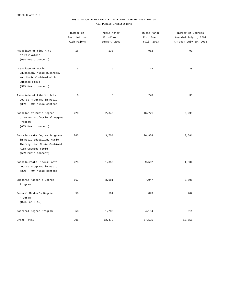## MUSIC MAJOR ENROLLMENT BY SIZE AND TYPE OF INSTITUTION All Public Institutions

|                                                                                                                                        | Number of<br>Institutions<br>With Majors | Music Major<br>Enrollment<br>Summer, 2003 | Music Major<br>Enrollment<br>Fall, 2003 | Number of Degrees<br>Awarded July 1, 2002<br>through July 30, 2003 |
|----------------------------------------------------------------------------------------------------------------------------------------|------------------------------------------|-------------------------------------------|-----------------------------------------|--------------------------------------------------------------------|
| Associate of Fine Arts<br>or Equivalent<br>(65% Music content)                                                                         | 16                                       | 138                                       | 962                                     | 91                                                                 |
| Associate of Music<br>Education, Music Business,<br>and Music Combined with<br>Outside Field<br>(50% Music content)                    | 3                                        | 9                                         | 174                                     | 23                                                                 |
| Associate of Liberal Arts<br>Degree Programs in Music<br>$(33% - 49%$ Music content)                                                   | 6                                        | 5                                         | 248                                     | 33                                                                 |
| Bachelor of Music Degree<br>or Other Professional Degree<br>Program<br>(65% Music content)                                             | 220                                      | 2,343                                     | 16,771                                  | 2,295                                                              |
| Baccalaureate Degree Programs<br>in Music Education, Music<br>Therapy, and Music Combined<br>with Outside Field<br>(50% Music content) | 263                                      | 3,704                                     | 26,934                                  | 3,581                                                              |
| Baccalaureate Liberal Arts<br>Degree Programs in Music<br>$(33% - 49%$ Music content)                                                  | 225                                      | 1,352                                     | 9,502                                   | 1,304                                                              |
| Specific Master's Degree<br>Program                                                                                                    | 167                                      | 3,181                                     | 7,947                                   | 2,506                                                              |
| General Master's Degree<br>Program<br>(M.S. or M.A.)                                                                                   | 58                                       | 504                                       | 873                                     | 207                                                                |
| Doctoral Degree Program                                                                                                                | 53                                       | 1,236                                     | 4,184                                   | 611                                                                |
| Grand Total                                                                                                                            | 305                                      | 12,472                                    | 67,595                                  | 10,651                                                             |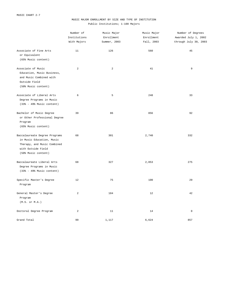# MUSIC MAJOR ENROLLMENT BY SIZE AND TYPE OF INSTITUTION Public Institutions; 1-100 Majors

|                                                                                                                                        | Number of<br>Institutions<br>With Majors | Music Major<br>Enrollment<br>Summer, 2003 | Music Major<br>Enrollment<br>Fall, 2003 | Number of Degrees<br>Awarded July 1, 2002<br>through July 30, 2003 |
|----------------------------------------------------------------------------------------------------------------------------------------|------------------------------------------|-------------------------------------------|-----------------------------------------|--------------------------------------------------------------------|
| Associate of Fine Arts<br>or Equivalent<br>(65% Music content)                                                                         | 11                                       | 126                                       | 560                                     | 45                                                                 |
| Associate of Music<br>Education, Music Business,<br>and Music Combined with<br>Outside Field<br>(50% Music content)                    | 2                                        | 2                                         | 41                                      | 9                                                                  |
| Associate of Liberal Arts<br>Degree Programs in Music<br>$(33% - 49% Music content)$                                                   | 6                                        | 5                                         | 248                                     | 33                                                                 |
| Bachelor of Music Degree<br>or Other Professional Degree<br>Program<br>(65% Music content)                                             | 39                                       | 86                                        | 856                                     | 92                                                                 |
| Baccalaureate Degree Programs<br>in Music Education, Music<br>Therapy, and Music Combined<br>with Outside Field<br>(50% Music content) | 68                                       | 301                                       | 2,740                                   | 332                                                                |
| Baccalaureate Liberal Arts<br>Degree Programs in Music<br>$(33% - 49%$ Music content)                                                  | 68                                       | 327                                       | 2,053                                   | 275                                                                |
| Specific Master's Degree<br>Program                                                                                                    | 12                                       | 75                                        | 100                                     | 29                                                                 |
| General Master's Degree<br>Program<br>(M.S. or M.A.)                                                                                   | 2                                        | 184                                       | 12                                      | 42                                                                 |
| Doctoral Degree Program                                                                                                                | 2                                        | 11                                        | 14                                      | $\mathsf 0$                                                        |
| Grand Total                                                                                                                            | 99                                       | 1,117                                     | 6,624                                   | 857                                                                |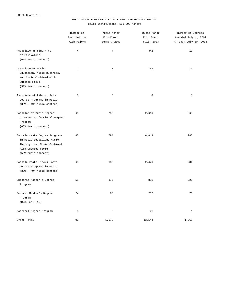# MUSIC MAJOR ENROLLMENT BY SIZE AND TYPE OF INSTITUTION Public Institutions; 101-200 Majors

|                                                                                                                                        | Number of<br>Institutions<br>With Majors | Music Major<br>Enrollment<br>Summer, 2003 | Music Major<br>Enrollment<br>Fall, 2003 | Number of Degrees<br>Awarded July 1, 2002<br>through July 30, 2003 |
|----------------------------------------------------------------------------------------------------------------------------------------|------------------------------------------|-------------------------------------------|-----------------------------------------|--------------------------------------------------------------------|
| Associate of Fine Arts<br>or Equivalent<br>(65% Music content)                                                                         | $\overline{4}$                           | $\overline{4}$                            | 342                                     | 13                                                                 |
| Associate of Music<br>Education, Music Business,<br>and Music Combined with<br>Outside Field<br>(50% Music content)                    | $1\,$                                    | $7\overline{ }$                           | 133                                     | 14                                                                 |
| Associate of Liberal Arts<br>Degree Programs in Music<br>$(33% - 49%$ Music content)                                                   | $\mathbf 0$                              | $\mathbb O$                               | $\mathsf 0$                             | $\mathbb O$                                                        |
| Bachelor of Music Degree<br>or Other Professional Degree<br>Program<br>(65% Music content)                                             | 69                                       | 250                                       | 2,616                                   | 365                                                                |
| Baccalaureate Degree Programs<br>in Music Education, Music<br>Therapy, and Music Combined<br>with Outside Field<br>(50% Music content) | 85                                       | 794                                       | 6,843                                   | 785                                                                |
| Baccalaureate Liberal Arts<br>Degree Programs in Music<br>$(33% - 49%$ Music content)                                                  | 65                                       | 180                                       | 2,476                                   | 284                                                                |
| Specific Master's Degree<br>Program                                                                                                    | 51                                       | 375                                       | 851                                     | 228                                                                |
| General Master's Degree<br>Program<br>(M.S. or M.A.)                                                                                   | 24                                       | 60                                        | 262                                     | 71                                                                 |
| Doctoral Degree Program                                                                                                                | 3                                        | $\mathbb O$                               | 21                                      | $\mathbf{1}$                                                       |
| Grand Total                                                                                                                            | 92                                       | 1,670                                     | 13,544                                  | 1,761                                                              |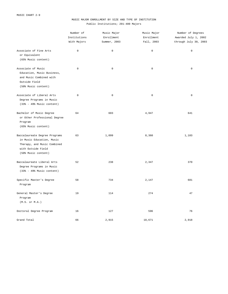# MUSIC MAJOR ENROLLMENT BY SIZE AND TYPE OF INSTITUTION Public Institutions; 201-400 Majors

|                                                                                                                                        | Number of<br>Institutions<br>With Majors | Music Major<br>Enrollment<br>Summer, 2003 | Music Major<br>Enrollment | Number of Degrees<br>Awarded July 1, 2002<br>through July 30, 2003 |
|----------------------------------------------------------------------------------------------------------------------------------------|------------------------------------------|-------------------------------------------|---------------------------|--------------------------------------------------------------------|
|                                                                                                                                        |                                          |                                           | Fall, 2003                |                                                                    |
| Associate of Fine Arts<br>or Equivalent<br>(65% Music content)                                                                         | $\mathbb O$                              | $\mathbb O$                               | $\mathsf{O}\xspace$       | $\mathsf 0$                                                        |
| Associate of Music<br>Education, Music Business,<br>and Music Combined with<br>Outside Field<br>(50% Music content)                    | $\mathbf 0$                              | $\mathbf 0$                               | $\mathsf{O}\xspace$       | $\mathsf 0$                                                        |
| Associate of Liberal Arts<br>Degree Programs in Music<br>$(33% - 49%$ Music content)                                                   | $\mathbb O$                              | $\mathbb O$                               | $\mathsf 0$               | $\mathbb O$                                                        |
| Bachelor of Music Degree<br>or Other Professional Degree<br>Program<br>(65% Music content)                                             | 64                                       | 603                                       | 4,947                     | 641                                                                |
| Baccalaureate Degree Programs<br>in Music Education, Music<br>Therapy, and Music Combined<br>with Outside Field<br>(50% Music content) | 63                                       | 1,099                                     | 8,360                     | 1,103                                                              |
| Baccalaureate Liberal Arts<br>Degree Programs in Music<br>$(33% - 49%$ Music content)                                                  | 52                                       | 238                                       | 2,347                     | 370                                                                |
| Specific Master's Degree<br>Program                                                                                                    | 58                                       | 734                                       | 2,147                     | 681                                                                |
| General Master's Degree<br>Program<br>(M.S. or M.A.)                                                                                   | 19                                       | 114                                       | 274                       | 47                                                                 |
| Doctoral Degree Program                                                                                                                | 16                                       | 127                                       | 596                       | 76                                                                 |
| Grand Total                                                                                                                            | 66                                       | 2,915                                     | 18,671                    | 2,918                                                              |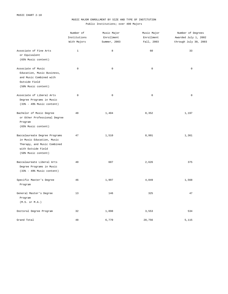# MUSIC MAJOR ENROLLMENT BY SIZE AND TYPE OF INSTITUTION Public Institutions; over 400 Majors

|                                                                                                                                        | Number of<br>Institutions | Music Major<br>Enrollment | Music Major<br>Enrollment | Number of Degrees<br>Awarded July 1, 2002 |  |
|----------------------------------------------------------------------------------------------------------------------------------------|---------------------------|---------------------------|---------------------------|-------------------------------------------|--|
|                                                                                                                                        | With Majors               | Summer, 2003              | Fall, 2003                | through July 30, 2003                     |  |
| Associate of Fine Arts<br>or Equivalent<br>(65% Music content)                                                                         | $\mathbf{1}$              | 8                         | 60                        | 33                                        |  |
| Associate of Music<br>Education, Music Business,<br>and Music Combined with<br>Outside Field<br>(50% Music content)                    | $\mathsf 0$               | $\mathbf 0$               | $\mathbb O$               | $\mathbf 0$                               |  |
| Associate of Liberal Arts<br>Degree Programs in Music<br>$(33% - 49%$ Music content)                                                   | $\mathbb O$               | $\mathbf 0$               | $\mathbb O$               | $\mathbb O$                               |  |
| Bachelor of Music Degree<br>or Other Professional Degree<br>Program<br>(65% Music content)                                             | 48                        | 1,404                     | 8,352                     | 1,197                                     |  |
| Baccalaureate Degree Programs<br>in Music Education, Music<br>Therapy, and Music Combined<br>with Outside Field<br>(50% Music content) | 47                        | 1,510                     | 8,991                     | 1,361                                     |  |
| Baccalaureate Liberal Arts<br>Degree Programs in Music<br>$(33% - 49% Music content)$                                                  | 40                        | 607                       | 2,626                     | 375                                       |  |
| Specific Master's Degree<br>Program                                                                                                    | 46                        | 1,997                     | 4,849                     | 1,568                                     |  |
| General Master's Degree<br>Program<br>(M.S. or M.A.)                                                                                   | 13                        | 146                       | 325                       | 47                                        |  |
| Doctoral Degree Program                                                                                                                | 32                        | 1,098                     | 3,553                     | 534                                       |  |
| Grand Total                                                                                                                            | 48                        | 6,770                     | 28,756                    | 5,115                                     |  |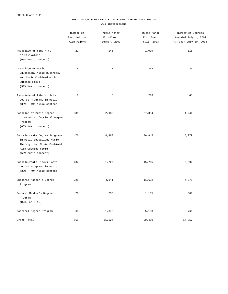## MUSIC MAJOR ENROLLMENT BY SIZE AND TYPE OF INSTITUTION All Institutions

|                                                                                                                                        | Number of<br>Institutions<br>With Majors | Music Major<br>Enrollment<br>Summer, 2003 | Music Major<br>Enrollment<br>Fall, 2003 | Number of Degrees<br>Awarded July 1, 2002<br>through July 30, 2003 |
|----------------------------------------------------------------------------------------------------------------------------------------|------------------------------------------|-------------------------------------------|-----------------------------------------|--------------------------------------------------------------------|
| Associate of Fine Arts<br>or Equivalent<br>(65% Music content)                                                                         | 21                                       | 146                                       | 1,019                                   | 115                                                                |
| Associate of Music<br>Education, Music Business,<br>and Music Combined with<br>Outside Field<br>(50% Music content)                    | 5                                        | 21                                        | 254                                     | 26                                                                 |
| Associate of Liberal Arts<br>Degree Programs in Music<br>(33% - 49% Music content)                                                     | 9                                        | 6                                         | 293                                     | 48                                                                 |
| Bachelor of Music Degree<br>or Other Professional Degree<br>Program<br>(65% Music content)                                             | 389                                      | 2,988                                     | 27,354                                  | 4,244                                                              |
| Baccalaureate Degree Programs<br>in Music Education, Music<br>Therapy, and Music Combined<br>with Outside Field<br>(50% Music content) | 470                                      | 4,483                                     | 36,845                                  | 5,279                                                              |
| Baccalaureate Liberal Arts<br>Degree Programs in Music<br>$(33% - 49%$ Music content)                                                  | 437                                      | 1,727                                     | 15,765                                  | 2,392                                                              |
| Specific Master's Degree<br>Program                                                                                                    | 228                                      | 4,141                                     | 11,632                                  | 4,078                                                              |
| General Master's Degree<br>Program<br>(M.S. or M.A.)                                                                                   | 79                                       | 736                                       | 1,105                                   | 309                                                                |
| Doctoral Degree Program                                                                                                                | 68                                       | 1,376                                     | 5,133                                   | 766                                                                |
| Grand Total                                                                                                                            | 561                                      | 15,624                                    | 99,400                                  | 17,257                                                             |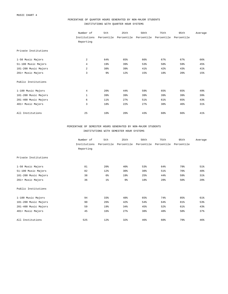### PERCENTAGE OF QUARTER HOURS GENERATED BY NON-MAJOR STUDENTS INSTITUTIONS WITH QUARTER HOUR SYSTEMS

|                      | Number of<br>Institutions<br>Reporting | 5th<br>Percentile | 25th | 50th<br>Percentile Percentile | 75th<br>Percentile | 95th<br>Percentile | Average |
|----------------------|----------------------------------------|-------------------|------|-------------------------------|--------------------|--------------------|---------|
| Private Institutions |                                        |                   |      |                               |                    |                    |         |
| 1-50 Music Majors    | 2                                      | 64%               | 65%  | 66%                           | 67%                | 67%                | 66%     |
| 51-100 Music Majors  | $\overline{4}$                         | 19%               | 39%  | 53%                           | 58%                | 59%                | 45%     |
| 101-200 Music Majors | $\overline{a}$                         | 38%               | 39%  | 41%                           | 42%                | 43%                | 41%     |
| 201+ Music Majors    | 3                                      | $9\frac{6}{6}$    | 12%  | 15%                           | 18%                | 20%                | 15%     |
| Public Institutions  |                                        |                   |      |                               |                    |                    |         |
| 1-100 Music Majors   | $\overline{4}$                         | 20%               | 44%  | 59%                           | 65%                | 65%                | 49%     |
| 101-200 Music Majors | $1\,$                                  | 39%               | 39%  | 39%                           | 39%                | 39%                | 39%     |
| 201-400 Music Majors | 6                                      | $11\%$            | 27%  | 51%                           | 61%                | 65%                | 43%     |
| 401+ Music Majors    | 3                                      | 18%               | 22%  | 27%                           | 38%                | 46%                | $31\%$  |
| All Institutions     | 25                                     | 10 <sup>8</sup>   | 20%  | 43%                           | 60%                | 66%                | $41\%$  |

## PERCENTAGE OF SEMESTER HOURS GENERATED BY NON-MAJOR STUDENTS INSTITUTIONS WITH SEMESTER HOUR SYSTEMS

|                      | Number of    | 5th             | 25th           | 50th       | 75th       | 95th       | Average         |
|----------------------|--------------|-----------------|----------------|------------|------------|------------|-----------------|
|                      | Institutions | Percentile      | Percentile     | Percentile | Percentile | Percentile |                 |
|                      | Reporting    |                 |                |            |            |            |                 |
| Private Institutions |              |                 |                |            |            |            |                 |
| 1-50 Music Majors    | 81           | 20 <sup>8</sup> | 40%            | 53%        | 64%        | 79%        | 51%             |
| 51-100 Music Majors  | 82           | 12%             | 30%            | 38%        | 51%        | 70%        | 40%             |
| 101-200 Music Majors | 38           | 6 <sup>°</sup>  | 19%            | 25%        | 44%        | 59%        | 31%             |
| 201+ Music Majors    | 36           | 1 <sup>°</sup>  | 9 <sub>8</sub> | 18%        | 28%        | 50%        | 20 <sup>8</sup> |
| Public Institutions  |              |                 |                |            |            |            |                 |
| 1-100 Music Majors   | 94           | 33%             | 48%            | 65%        | 74%        | 85%        | 61%             |
| 101-200 Music Majors | 90           | 26%             | 42%            | 54%        | 64%        | 81%        | 53%             |
| 201-400 Music Majors | 59           | 19%             | 34%            | 45%        | 52%        | 61%        | 43%             |
| 401+ Music Majors    | 45           | 16%             | 27%            | 38%        | 48%        | 58%        | 37%             |
| All Institutions     | 525          | 12%             | 32%            | 46%        | 60%        | 79%        | 46%             |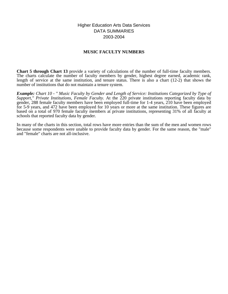Higher Education Arts Data Services DATA SUMMARIES 2003-2004

## **MUSIC FACULTY NUMBERS**

**Chart 5 through Chart 13** provide a variety of calculations of the number of full-time faculty members. The charts calculate the number of faculty members by gender, highest degree earned, academic rank, length of service at the same institution, and tenure status. There is also a chart (12-2) that shows the number of institutions that do not maintain a tenure system.

*Example: Chart 10 - " Music Faculty by Gender and Length of Service: Institutions Categorized by Type of Support," Private Institutions, Female Faculty.* At the 220 private institutions reporting faculty data by gender, 288 female faculty members have been employed full-time for 1-4 years, 210 have been employed for 5-9 years, and 472 have been employed for 10 years or more at the same institution. These figures are based on a total of 970 female faculty members at private institutions, representing 31% of all faculty at schools that reported faculty data by gender.

In many of the charts in this section, total rows have more entries than the sum of the men and women rows because some respondents were unable to provide faculty data by gender. For the same reason, the "male" and "female" charts are not all-inclusive.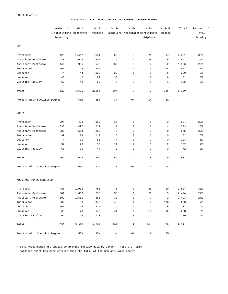#### MUSIC FACULTY BY RANK, GENDER AND HIGHEST DEGREE EARNED

|                              | Number of<br>Institutions Doctorate | With  | With<br>Masters | With           | With<br>Bachelors Associates Certificate | With           | With No<br>Degree | Total | Percent of<br>Total |
|------------------------------|-------------------------------------|-------|-----------------|----------------|------------------------------------------|----------------|-------------------|-------|---------------------|
|                              | Reporting                           |       |                 |                |                                          | /Diploma       |                   |       | Faculty             |
| MEN                          |                                     |       |                 |                |                                          |                |                   |       |                     |
| Professor                    | 425                                 | 1,417 | 554             | 50             | $\mathsf 0$                              | 26             | 14                | 2,061 | 33%                 |
| Associate Professor          | 433                                 | 1,044 | 531             | 36             | $\mathbf{1}$                             | 26             | 5                 | 1,643 | 26%                 |
| Assistant Professor          | 446                                 | 955   | 573             | 32             | $\mathsf 0$                              | 4              | 2                 | 1,566 | 25%                 |
| Instructor                   | 155                                 | 42    | 230             | 29             | $\mathbf{1}$                             | 3              | 118               | 423   | $7\%$               |
| Lecturer                     | 74                                  | 44    | 122             | 22             | $\mathbf{1}$                             | 5              | 6                 | 200   | $3\frac{6}{9}$      |
| Unranked                     | 43                                  | 40    | 89              | 33             | $\overline{4}$                           | 7              | 9                 | 182   | $3\frac{6}{9}$      |
| Visiting Faculty             | 67                                  | 49    | 69              | 5              | $\mathsf 0$                              | $\mathbf{1}$   | $\mathbf{1}$      | 125   | $2\frac{6}{9}$      |
| TOTAL                        | 529                                 | 3,591 | 2,168           | 207            | 7                                        | 72             | 155               | 6,200 |                     |
| Percent with Specific Degree |                                     | 58%   | 35%             | $3\,$          | 0 <sup>8</sup>                           | $1\%$          | $2\frac{6}{9}$    |       |                     |
| <b>WOMEN</b>                 |                                     |       |                 |                |                                          |                |                   |       |                     |
| Professor                    | 294                                 | 409   | 169             | 15             | $\mathsf 0$                              | 8              | 3                 | 604   | 23%                 |
| Associate Professor          | 333                                 | 497   | 219             | 11             | $\mathsf 0$                              | $\overline{a}$ | $\overline{4}$    | 733   | 28%                 |
| Assistant Professor          | 380                                 | 554   | 282             | 6              | $\mathsf 0$                              | 3              | 0                 | 845   | 32%                 |
| Instructor                   | 99                                  | 29    | 117             | 6              | $\mathsf 0$                              | $\mathsf 0$    | 0                 | 152   | 6%                  |
| Lecturer                     | 74                                  | 31    | 83              | $\overline{7}$ | $\mathsf 0$                              | $\overline{a}$ | 0                 | 123   | 5 <sup>8</sup>      |
| Unranked                     | 32                                  | 29    | 55              | 11             | 2                                        | 3              | 2                 | 102   | $4\%$               |
| Visiting Faculty             | 51                                  | 25    | 44              | 3              | $\mathsf 0$                              | $\mathsf 0$    | 0                 | 72    | $3\frac{6}{9}$      |
| TOTAL                        | 502                                 | 1,574 | 969             | 59             | 2                                        | 18             | 9                 | 2,631 |                     |
| Percent with Specific Degree |                                     | 60%   | 37%             | 2 <sup>°</sup> | 0 <sup>8</sup>                           | $1\%$          | 0 %               |       |                     |
| *MEN AND WOMEN COMBINED      |                                     |       |                 |                |                                          |                |                   |       |                     |
| Professor                    | 481                                 | 1,906 | 756             | 76             | $\mathsf 0$                              | 46             | 20                | 2,804 | 30%                 |
| Associate Professor          | 501                                 | 1,610 | 775             | 50             | $\mathbf 1$                              | 29             | 9                 | 2,474 | 27%                 |
| Assistant Professor          | 502                                 | 1,561 | 885             | 38             | $\mathsf 0$                              | $\overline{7}$ | 2                 | 2,493 | 27%                 |
| Instructor                   | 202                                 | 80    | 372             | 45             | $\mathbf 1$                              | $\overline{4}$ | 118               | 620   | $7\%$               |
| Lecturer                     | 107                                 | 75    | 214             | 29             | $\mathbf{1}$                             | $\overline{7}$ | 6                 | 332   | $4\,$               |
| Unranked                     | 60                                  | 70    | 146             | 44             | 6                                        | 10             | 12                | 288   | 3%                  |
| Visiting Faculty             | 94                                  | 76    | 113             | 9              | $\mathsf 0$                              | $\mathbf 1$    | $\mathbf{1}$      | 200   | $2\frac{6}{9}$      |
| TOTAL                        | 555                                 | 5,378 | 3,261           | 291            | 9                                        | 104            | 168               | 9,211 |                     |
| Percent with Specific Degree |                                     | 58%   | 35%             | 3%             | 0 %                                      | $1\%$          | $2\frac{6}{6}$    |       |                     |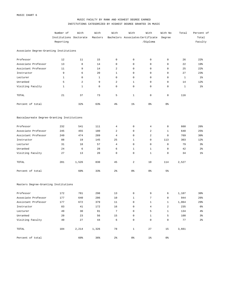## MUSIC FACULTY BY RANK AND HIGHEST DEGREE EARNED INSTITUTIONS CATEGORIZED BY HIGHEST DEGREE GRANTED IN MUSIC

|                                            | Number of              | With         | With         | With            | With                             | With           | With No        | Total        | Percent of     |
|--------------------------------------------|------------------------|--------------|--------------|-----------------|----------------------------------|----------------|----------------|--------------|----------------|
|                                            | Institutions Doctorate |              | Masters      |                 | Bachelors Associates Certificate |                | Degree         |              | Total          |
|                                            | Reporting              |              |              |                 |                                  | /Diploma       |                |              | Faculty        |
| Associate Degree-Granting Institutions     |                        |              |              |                 |                                  |                |                |              |                |
| Professor                                  | 12                     | 11           | 15           | $\mathbf 0$     | $\mathsf 0$                      | $\mathbf 0$    | 0              | 26           | 22%            |
| Associate Professor                        | 13                     | 8            | 14           | $\mathbf 0$     | 0                                | $\mathbf 0$    | 0              | 22           | 19%            |
| Assistant Professor                        | 11                     | 9            | 14           | 2               | 0                                | $\mathbf 0$    | 0              | 25           | 22%            |
| Instructor                                 | 9                      | 6            | 20           | $\mathbf{1}$    | 0                                | $\mathbf 0$    | $\mathbf 0$    | 27           | 23%            |
| Lecturer                                   | $\mathbf{1}$           | $\mathbf 0$  | $\mathbf{1}$ | $\mathbf 0$     | $\mathbf 0$                      | $\mathbf 0$    | $\mathbf 0$    | $\mathbf{1}$ | $1\%$          |
| Unranked                                   | 5                      | 2            | 9            | 2               | $\mathbf{1}$                     | $\mathbf 0$    | $\mathbf 0$    | 14           | 12%            |
| Visiting Faculty                           | $\mathbf{1}$           | $\mathbf{1}$ | 0            | $\mathbf 0$     | $\mathbf 0$                      | $\mathbf 0$    | $\mathbf 0$    | $\mathbf{1}$ | $1\%$          |
| TOTAL                                      | 21                     | 37           | 73           | 5               | $\mathbf{1}$                     | 0              | 0              | 116          |                |
| Percent of total                           |                        | 32%          | 63%          | $4\%$           | $1\%$                            | 0 %            | $0\,$          |              |                |
| Baccalaureate Degree-Granting Institutions |                        |              |              |                 |                                  |                |                |              |                |
| Professor                                  | 232                    | 541          | 111          | $\overline{4}$  | 0                                | 4              | 0              | 660          | 26%            |
| Associate Professor                        | 245                    | 455          | 180          | 2               | 0                                | 2              | $\mathbf{1}$   | 640          | 25%            |
| Assistant Professor                        | 249                    | 474          | 289          | $\overline{4}$  | 0                                | 2              | $\mathbf 0$    | 769          | 30%            |
| Instructor                                 | 88                     | 19           | 145          | 25              | $\mathbf{1}$                     | $\mathbf 0$    | 113            | 303          | 12%            |
| Lecturer                                   | 31                     | 18           | 57           | $\overline{4}$  | 0                                | $\mathbf 0$    | 0              | 79           | $3\frac{6}{9}$ |
| Unranked                                   | 24                     | 6            | 28           | 6               | $\mathbf{1}$                     | $\mathbf{1}$   | $\mathbf 0$    | 42           | $2\frac{6}{9}$ |
| Visiting Faculty                           | 27                     | 13           | 20           | $\mathbf 0$     | 0                                | $\mathbf{1}$   | 0              | 34           | $1\%$          |
| TOTAL                                      | 281                    | 1,526        | 830          | 45              | 2                                | 10             | 114            | 2,527        |                |
| Percent of total                           |                        | 60%          | 33%          | $2\frac{6}{9}$  | 0%                               | 0 %            | 5 <sup>°</sup> |              |                |
| Masters Degree-Granting Institutions       |                        |              |              |                 |                                  |                |                |              |                |
| Professor                                  | 172                    | 781          | 298          | 13              | $\mathsf 0$                      | 9              | 6              | 1,107        | 30%            |
| Associate Professor                        | 177                    | 640          | 286          | 10              | $\mathbf{1}$                     | 7              | $\overline{0}$ | 944          | 26%            |
| Assistant Professor                        | 177                    | 672          | 379          | 11              | $\overline{0}$                   | $\mathbf{1}$   | $\mathbf{1}$   | 1,064        | $29$ $%$       |
| Instructor                                 | 83                     | 41           | 172          | 16              | $\overline{0}$                   | 4              | $\overline{a}$ | 235          | $6\%$          |
| Lecturer                                   | 49                     | 30           | 91           | $7\overline{ }$ | $\overline{0}$                   | 5 <sub>5</sub> | $\mathbf{1}$   | 134          | 4 <sup>°</sup> |
| Unranked                                   | 20                     | 23           | 56           | 15              | $\mathbf 0$                      | $\mathbf{1}$   | 5              | 100          | $3\,$          |
| Visiting Faculty                           | 40                     | 27           | 44           | 6               | 0                                | $\circ$        | $\mathsf{O}$   | 77           | $2\,$          |
| TOTAL                                      | 184                    | 2,214        | 1,326        | 78              | $\mathbf{1}$                     | 27             | 15             | 3,661        |                |
| Percent of total                           |                        | 60%          | 36%          | 2 <sup>°</sup>  | 0%                               | $1\,$          | 0 %            |              |                |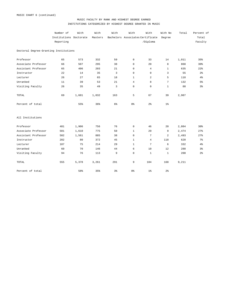## MUSIC FACULTY BY RANK AND HIGHEST DEGREE EARNED INSTITUTIONS CATEGORIZED BY HIGHEST DEGREE GRANTED IN MUSIC

|                                       | Number of              | With  | With    | With  | With           | With                             | With No        | Total | Percent of     |
|---------------------------------------|------------------------|-------|---------|-------|----------------|----------------------------------|----------------|-------|----------------|
|                                       | Institutions Doctorate |       | Masters |       |                | Bachelors Associates Certificate | Degree         |       | Total          |
|                                       | Reporting              |       |         |       |                | /Diploma                         |                |       | Faculty        |
| Doctoral Degree-Granting Institutions |                        |       |         |       |                |                                  |                |       |                |
| Professor                             | 65                     | 573   | 332     | 59    | 0              | 33                               | 14             | 1,011 | 35%            |
| Associate Professor                   | 66                     | 507   | 295     | 38    | $\mathbf 0$    | 20                               | 8              | 868   | 30%            |
| Assistant Professor                   | 65                     | 406   | 203     | 21    | $\mathbf 0$    | $\overline{4}$                   | $\mathbf{1}$   | 635   | 22%            |
| Instructor                            | 22                     | 14    | 35      | 3     | $\mathbf 0$    | 0                                | 3              | 55    | 2 <sup>°</sup> |
| Lecturer                              | 26                     | 27    | 65      | 18    | $\mathbf{1}$   | 2                                | 5              | 118   | 4%             |
| Unranked                              | 11                     | 39    | 53      | 21    | $\overline{4}$ | 8                                | $\overline{7}$ | 132   | 5%             |
| Visiting Faculty                      | 26                     | 35    | 49      | 3     | $\mathbf 0$    | 0                                | $\mathbf{1}$   | 88    | $3\frac{6}{9}$ |
| TOTAL                                 | 69                     | 1,601 | 1,032   | 163   | 5              | 67                               | 39             | 2,907 |                |
| Percent of total                      |                        | 55%   | 36%     | $6\%$ | 0 %            | 2 <sup>°</sup>                   | $1\%$          |       |                |
| All Institutions                      |                        |       |         |       |                |                                  |                |       |                |
| Professor                             | 481                    | 1,906 | 756     | 76    | $\mathbf 0$    | 46                               | 20             | 2,804 | 30%            |
| Associate Professor                   | 501                    | 1,610 | 775     | 50    | $\mathbf{1}$   | 29                               | 9              | 2,474 | 27%            |
| Assistant Professor                   | 502                    | 1,561 | 885     | 38    | $\mathbf 0$    | 7                                | 2              | 2,493 | 27%            |
| Instructor                            | 202                    | 80    | 372     | 45    | $\mathbf{1}$   | $\overline{4}$                   | 118            | 620   | $7\frac{6}{6}$ |
| Lecturer                              | 107                    | 75    | 214     | 29    | $\mathbf{1}$   | 7                                | 6              | 332   | 4%             |
| Unranked                              | 60                     | 70    | 146     | 44    | 6              | 10                               | 12             | 288   | $3\frac{6}{9}$ |
| Visiting Faculty                      | 94                     | 76    | 113     | 9     | $\mathbf 0$    | $\mathbf{1}$                     | $\mathbf{1}$   | 200   | 2 <sup>°</sup> |
| TOTAL                                 | 555                    | 5,378 | 3,261   | 291   | 9              | 104                              | 168            | 9,211 |                |
| Percent of total                      |                        | 58%   | 35%     | 3%    | 0 %            | $1\%$                            | $2\frac{6}{9}$ |       |                |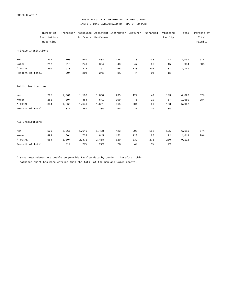MUSIC CHART 7

## MUSIC FACULTY BY GENDER AND ACADEMIC RANK INSTITUTIONS CATEGORIZED BY TYPE OF SUPPORT

|                      | Number of    |       |       |                     | Professor Associate Assistant Instructor Lecturer |                | Unranked       | Visiting       | Total | Percent of |
|----------------------|--------------|-------|-------|---------------------|---------------------------------------------------|----------------|----------------|----------------|-------|------------|
|                      | Institutions |       |       | Professor Professor |                                                   |                |                | Faculty        |       | Total      |
|                      | Reporting    |       |       |                     |                                                   |                |                |                |       | Faculty    |
| Private Institutions |              |       |       |                     |                                                   |                |                |                |       |            |
| Men                  | 234          | 700   | 540   | 438                 | 188                                               | 78             | 133            | 22             | 2,099 | 67%        |
| Women                | 217          | 210   | 249   | 304                 | 43                                                | 47             | 66             | 15             | 934   | 30%        |
| * TOTAL              | 250          | 938   | 822   | 767                 | 255                                               | 128            | 202            | 37             | 3,149 |            |
| Percent of total     |              | 30%   | 26%   | 24%                 | 8 <sup>°</sup>                                    | $4\%$          | $6\%$          | 1 <sup>°</sup> |       |            |
| Public Institutions  |              |       |       |                     |                                                   |                |                |                |       |            |
| Men                  | 295          | 1,361 | 1,100 | 1,050               | 235                                               | 122            | 49             | 103            | 4,020 | 67%        |
| Women                | 282          | 394   | 484   | 541                 | 109                                               | 76             | 19             | 57             | 1,680 | 28%        |
| * TOTAL              | 304          | 1,866 | 1,649 | 1,651               | 365                                               | 204            | 69             | 163            | 5,967 |            |
| Percent of total     |              | 31%   | 28%   | 28%                 | 6 <sup>°</sup>                                    | 3 <sup>°</sup> | 1 <sup>°</sup> | 3 <sup>°</sup> |       |            |
| All Institutions     |              |       |       |                     |                                                   |                |                |                |       |            |
| Men                  | 529          | 2,061 | 1,640 | 1,488               | 423                                               | 200            | 182            | 125            | 6,119 | 67%        |
| Women                | 499          | 604   | 733   | 845                 | 152                                               | 123            | 85             | 72             | 2,614 | 29%        |
| * TOTAL              | 554          | 2,804 | 2,471 | 2,418               | 620                                               | 332            | 271            | 200            | 9,116 |            |
| Percent of total     |              | 31%   | 27%   | 27%                 | 7 <sup>8</sup>                                    | 4 <sup>°</sup> | 3 <sup>°</sup> | 2 <sup>°</sup> |       |            |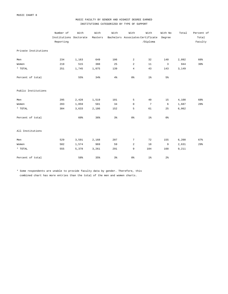## MUSIC FACULTY BY GENDER AND HIGHEST DEGREE EARNED INSTITUTIONS CATEGORIZED BY TYPE OF SUPPORT

|                      | Number of              | With  | With    | With           | With            | With                                    | With No        | Total | Percent of |
|----------------------|------------------------|-------|---------|----------------|-----------------|-----------------------------------------|----------------|-------|------------|
|                      | Institutions Doctorate |       | Masters |                |                 | Bachelors Associates Certificate Degree |                |       | Total      |
|                      | Reporting              |       |         |                |                 | /Diploma                                |                |       | Faculty    |
| Private Institutions |                        |       |         |                |                 |                                         |                |       |            |
| Men                  | 234                    | 1,163 | 649     | 106            | 2               | 32                                      | 140            | 2,092 | 66%        |
| Women                | 219                    | 515   | 388     | 25             | $\overline{a}$  | 11                                      | $\overline{3}$ | 944   | 30%        |
| $^{\star}$ TOTAL     | 251                    | 1,745 | 1,075   | 139            | $\overline{4}$  | 43                                      | 143            | 3,149 |            |
| Percent of total     |                        | 55%   | 34%     | $4\frac{6}{6}$ | 0 %             | $1\%$                                   | $5\%$          |       |            |
| Public Institutions  |                        |       |         |                |                 |                                         |                |       |            |
| Men                  | 295                    | 2,428 | 1,519   | 101            | 5               | 40                                      | 15             | 4,108 | 68%        |
| Women                | 283                    | 1,059 | 581     | 34             | $\mathbf 0$     | $\overline{7}$                          | 6              | 1,687 | 28%        |
| $^{\star}$ TOTAL     | 304                    | 3,633 | 2,186   | 152            | 5               | 61                                      | 25             | 6,062 |            |
| Percent of total     |                        | 60%   | 36%     | $3\frac{6}{9}$ | 0 <sup>°</sup>  | $1\%$                                   | 0 <sup>°</sup> |       |            |
| All Institutions     |                        |       |         |                |                 |                                         |                |       |            |
| Men                  | 529                    | 3,591 | 2,168   | 207            | $7\phantom{.0}$ | 72                                      | 155            | 6,200 | 67%        |
| Women                | 502                    | 1,574 | 969     | 59             | 2               | 18                                      | 9              | 2,631 | 29%        |
| $^\star$ TOTAL       | 555                    | 5,378 | 3,261   | 291            | 9               | 104                                     | 168            | 9,211 |            |
| Percent of total     |                        | 58%   | 35%     | 3%             | 0 %             | $1\%$                                   | $2\frac{6}{9}$ |       |            |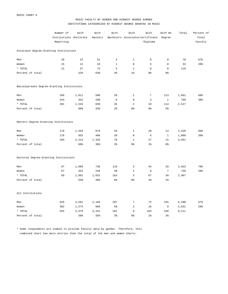## MUSIC FACULTY BY GENDER AND HIGHEST DEGREE EARNED INSTITUTIONS CATEGORIZED BY HIGHEST DEGREE GRANTED IN MUSIC

|                                            | Number of              | With  | With    | With           | With                    | With                             | With No             | Total | Percent of |
|--------------------------------------------|------------------------|-------|---------|----------------|-------------------------|----------------------------------|---------------------|-------|------------|
|                                            | Institutions Doctorate |       | Masters |                |                         | Bachelors Associates Certificate | Degree              |       | Total      |
|                                            | Reporting              |       |         |                |                         | /Diploma                         |                     |       | Faculty    |
| Associate Degree-Granting Institutions     |                        |       |         |                |                         |                                  |                     |       |            |
| Men                                        | 20                     | 22    | 51      | $\overline{4}$ | $\mathbf{1}$            | $\mathsf{O}\xspace$              | $\mathsf{O}\xspace$ | 78    | 67%        |
| Women                                      | 15                     | 14    | 18      | $\mathbf{1}$   | $\mathbb O$             | 0                                | $\mathsf 0$         | 33    | 28%        |
| * TOTAL                                    | 21                     | 37    | 73      | 5              | $\mathbf{1}$            | 0                                | $\mathsf 0$         | 116   |            |
| Percent of total                           |                        | 32%   | 63%     | $4\%$          | 1 <sup>°</sup>          | 0 %                              | 0 %                 |       |            |
| Baccalaureate Degree-Granting Institutions |                        |       |         |                |                         |                                  |                     |       |            |
| Men                                        | 266                    | 1,011 | 500     | 28             | $\sqrt{2}$              | $\sqrt{ }$                       | 113                 | 1,661 | 66%        |
| Women                                      | 244                    | 452   | 296     | 8              | $\mathbf 0$             | 3                                | $\mathbf{1}$        | 760   | 30%        |
| * TOTAL                                    | 281                    | 1,526 | 830     | 45             | $\overline{\mathbf{c}}$ | 10                               | 114                 | 2,527 |            |
| Percent of total                           |                        | 60%   | 33%     | $2\frac{6}{9}$ | 0 <sup>8</sup>          | 0 %                              | 5%                  |       |            |
| Masters Degree-Granting Institutions       |                        |       |         |                |                         |                                  |                     |       |            |
| Men                                        | 176                    | 1,459 | 879     | 56             | $\mathbf{1}$            | 20                               | 13                  | 2,428 | 66%        |
| Women                                      | 176                    | 655   | 406     | 20             | $\mathsf 0$             | 6                                | $\mathbf{1}$        | 1,088 | 30%        |
| * TOTAL                                    | 184                    | 2,214 | 1,326   | 78             | $\mathbf{1}$            | 27                               | 15                  | 3,661 |            |
| Percent of total                           |                        | 60%   | 36%     | $2\frac{6}{9}$ | 0 <sup>°</sup>          | $1\%$                            | $0\,$               |       |            |
| Doctoral Degree-Granting Institutions      |                        |       |         |                |                         |                                  |                     |       |            |
| Men                                        | 67                     | 1,099 | 738     | 119            | 3                       | 45                               | 29                  | 2,033 | 70%        |
| Women                                      | 67                     | 453   | 249     | 30             | $\overline{\mathbf{c}}$ | 9                                | $7\phantom{.0}$     | 750   | 26%        |
| * TOTAL                                    | 69                     | 1,601 | 1,032   | 163            | 5                       | 67                               | 39                  | 2,907 |            |
| Percent of total                           |                        | 55%   | 36%     | 6%             | 0 <sup>°</sup>          | $2\frac{6}{9}$                   | $1\%$               |       |            |
| All Institutions                           |                        |       |         |                |                         |                                  |                     |       |            |
| Men                                        | 529                    | 3,591 | 2,168   | 207            | $7\phantom{.0}$         | 72                               | 155                 | 6,200 | 67%        |
| Women                                      | 502                    | 1,574 | 969     | 59             | $\overline{\mathbf{c}}$ | 18                               | 9                   | 2,631 | 29%        |
| * TOTAL                                    | 555                    | 5,378 | 3,261   | 291            | 9                       | 104                              | 168                 | 9,211 |            |
| Percent of total                           |                        | 58%   | 35%     | 3%             | 0 <sup>°</sup>          | 1 <sup>°</sup>                   | $2\frac{6}{9}$      |       |            |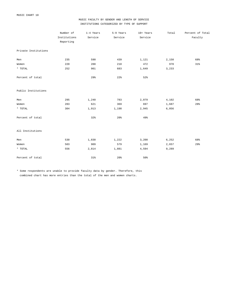## MUSIC FACULTY BY GENDER AND LENGTH OF SERVICE INSTITUTIONS CATEGORIZED BY TYPE OF SUPPORT

|                      | Number of    | 1-4 Years | 5-9 Years | 10+ Years | Total | Percent of Total |
|----------------------|--------------|-----------|-----------|-----------|-------|------------------|
|                      | Institutions | Service   | Service   | Service   |       | Faculty          |
|                      | Reporting    |           |           |           |       |                  |
| Private Institutions |              |           |           |           |       |                  |
| Men                  | 235          | 590       | 439       | 1,121     | 2,150 | 68%              |
| Women                | 220          | 288       | 210       | 472       | 970   | $31\%$           |
| * TOTAL              | 252          | 901       | 683       | 1,649     | 3,233 |                  |
| Percent of total     |              | 29%       | 22%       | 52%       |       |                  |
| Public Institutions  |              |           |           |           |       |                  |
| Men                  | 295          | 1,240     | 783       | 2,079     | 4,102 | 68%              |
| Women                | 283          | 621       | 369       | 697       | 1,687 | 28%              |
| $^{\star}$ TOTAL     | 304          | 1,913     | 1,198     | 2,945     | 6,056 |                  |
| Percent of total     |              | 32%       | 20%       | 49%       |       |                  |
| All Institutions     |              |           |           |           |       |                  |
| Men                  | 530          | 1,830     | 1,222     | 3,200     | 6,252 | 68%              |
| Women                | 503          | 909       | 579       | 1,169     | 2,657 | 29%              |
| * TOTAL              | 556          | 2,814     | 1,881     | 4,594     | 9,289 |                  |
| Percent of total     |              | 31%       | 20%       | 50%       |       |                  |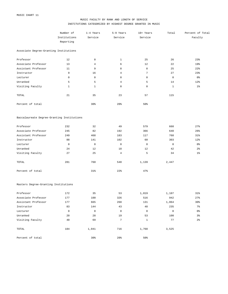## MUSIC FACULTY BY RANK AND LENGTH OF SERVICE INSTITUTIONS CATEGORIZED BY HIGHEST DEGREE GRANTED IN MUSIC

|                                            | Number of    | 1-4 Years           | 5-9 Years           | 10+ Years      | Total          | Percent of Total |
|--------------------------------------------|--------------|---------------------|---------------------|----------------|----------------|------------------|
|                                            | Institutions | Service             | Service             | Service        |                | Faculty          |
|                                            | Reporting    |                     |                     |                |                |                  |
| Associate Degree-Granting Institutions     |              |                     |                     |                |                |                  |
| Professor                                  | 12           | $\mathsf{O}\xspace$ | $\mathbf{1}$        | 25             | 26             | 23%              |
| Associate Professor                        | 13           | $\overline{4}$      | 6                   | 12             | 22             | 19%              |
| Assistant Professor                        | 11           | 9                   | 8                   | 8              | 25             | $22$ $%$         |
| Instructor                                 | 9            | 16                  | $\overline{4}$      | $\sqrt{ }$     | 27             | 23%              |
| Lecturer                                   | $\mathsf 0$  | $\mathsf{O}\xspace$ | $\mathsf{O}\xspace$ | $\mathsf 0$    | $\mathbf 0$    | 0 <sup>°</sup>   |
| Unranked                                   | 5            | 5                   | $\overline{4}$      | 5              | 14             | 12%              |
| Visiting Faculty                           | $\mathbf{1}$ | $\mathbf{1}$        | $\mathbb O$         | 0              | $\mathbf{1}$   | 1%               |
| TOTAL                                      | 21           | 35                  | 23                  | 57             | 115            |                  |
| Percent of total                           |              | 30%                 | 20%                 | 50%            |                |                  |
| Baccalaureate Degree-Granting Institutions |              |                     |                     |                |                |                  |
| Professor                                  | 232          | 32                  | 49                  | 579            | 660            | 27%              |
| Associate Professor                        | 245          | 82                  | 192                 | 366            | 640            | 26%              |
| Assistant Professor                        | 249          | 468                 | 183                 | 117            | 768            | 31%              |
| Instructor                                 | 88           | 141                 | 102                 | 60             | 303            | 12%              |
| Lecturer                                   | $\mathbf 0$  | $\mathsf 0$         | $\mathbb O$         | $\mathsf 0$    | $\mathbf 0$    | $0\,$            |
| Unranked                                   | 24           | 12                  | 18                  | 12             | 42             | $2\frac{6}{6}$   |
| Visiting Faculty                           | 27           | 25                  | $\overline{4}$      | 5              | 34             | $1\%$            |
| TOTAL                                      | 281          | 760                 | 548                 | 1,139          | 2,447          |                  |
| Percent of total                           |              | 31%                 | 22%                 | 47%            |                |                  |
| Masters Degree-Granting Institutions       |              |                     |                     |                |                |                  |
| Professor                                  | 172          | 35                  | 53                  | 1,019          | 1,107          | $31\%$           |
| Associate Professor                        | 177          | 100                 | 326                 | 516            | 942            | 27%              |
| Assistant Professor                        | 177          | 665                 | 268                 | 131            | 1,064          | 30 <sup>o</sup>  |
| Instructor                                 | 83           | 144                 | 43                  | 48             | 235            | $7\%$            |
| Lecturer                                   | $\mathsf 0$  | $\circ$             | $\overline{0}$      | $\overline{0}$ | $\overline{0}$ | 0 %              |
| Unranked                                   | 20           | 28                  | 19                  | 53             | 100            | $3\frac{6}{9}$   |
| Visiting Faculty                           | 40           | 69                  | $7\phantom{.0}$     | $\mathbf{1}$   | 77             | $2\frac{6}{9}$   |
| TOTAL                                      | 184          | 1,041               | 716                 | 1,768          | 3,525          |                  |
| Percent of total                           |              | 30%                 | $20\%$              | 50%            |                |                  |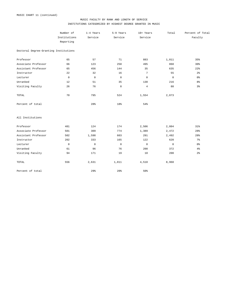## MUSIC FACULTY BY RANK AND LENGTH OF SERVICE INSTITUTIONS CATEGORIZED BY HIGHEST DEGREE GRANTED IN MUSIC

|                                       | Number of    | 1-4 Years   | 5-9 Years   | 10+ Years       | Total          | Percent of Total |
|---------------------------------------|--------------|-------------|-------------|-----------------|----------------|------------------|
|                                       | Institutions | Service     | Service     | Service         |                | Faculty          |
|                                       | Reporting    |             |             |                 |                |                  |
| Doctoral Degree-Granting Institutions |              |             |             |                 |                |                  |
| Professor                             | 65           | 57          | 71          | 883             | 1,011          | 35%              |
| Associate Professor                   | 66           | 123         | 250         | 495             | 868            | 30 <sup>8</sup>  |
| Assistant Professor                   | 65           | 456         | 144         | 35              | 635            | 22%              |
| Instructor                            | 22           | 32          | 16          | $7\phantom{.0}$ | 55             | 2 <sup>°</sup>   |
| Lecturer                              | $\mathsf 0$  | $\mathsf 0$ | $\mathbb O$ | $\mathbb O$     | $\mathsf{O}$   | 0 <sup>8</sup>   |
| Unranked                              | 12           | 51          | 35          | 130             | 216            | 8 <sup>°</sup>   |
| Visiting Faculty                      | 26           | 76          | 8           | $\,4$           | 88             | 3%               |
| TOTAL                                 | 70           | 795         | 524         | 1,554           | 2,873          |                  |
| Percent of total                      |              | 28%         | 18%         | 54%             |                |                  |
| All Institutions                      |              |             |             |                 |                |                  |
| Professor                             | 481          | 124         | 174         | 2,506           | 2,804          | 31%              |
| Associate Professor                   | 501          | 309         | 774         | 1,389           | 2,472          | 28%              |
| Assistant Professor                   | 502          | 1,598       | 603         | 291             | 2,492          | 28%              |
| Instructor                            | 202          | 333         | 165         | 122             | 620            | 7 <sup>°</sup>   |
| Lecturer                              | $\mathbf 0$  | $\mathsf 0$ | $\mathbb O$ | $\mathbf 0$     | $\overline{0}$ | 0 %              |
| Unranked                              | 61           | 96          | 76          | 200             | 372            | 4%               |
| Visiting Faculty                      | 94           | 171         | 19          | 10              | 200            | $2\,$            |
| TOTAL                                 | 556          | 2,631       | 1,811       | 4,518           | 8,960          |                  |
| Percent of total                      |              | 29%         | 20%         | 50%             |                |                  |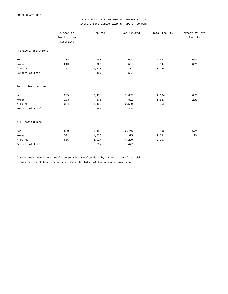## MUSIC FACULTY BY GENDER AND TENURE STATUS INSTITUTIONS CATEGORIZED BY TYPE OF SUPPORT

|                      | Number of    | Tenured | Non-Tenured | Total Faculty | Percent of Total |
|----------------------|--------------|---------|-------------|---------------|------------------|
|                      | Institutions |         |             |               | Faculty          |
|                      | Reporting    |         |             |               |                  |
| Private Institutions |              |         |             |               |                  |
| Men                  | 234          | 998     | 1,094       | 2,092         | 66%              |
| Women                | 219          | 360     | 584         | 944           | 30%              |
| * TOTAL              | 251          | 1,418   | 1,731       | 3,149         |                  |
| Percent of total     |              | 45%     | 55%         |               |                  |
| Public Institutions  |              |         |             |               |                  |
| Men                  | 295          | 2,452   | 1,652       | 4,104         | 68%              |
| Women                | 283          | 876     | 811         | 1,687         | 28%              |
| $\star$ TOTAL        | 304          | 3,499   | 2,559       | 6,058         |                  |
| Percent of total     |              | 58%     | 42%         |               |                  |
| All Institutions     |              |         |             |               |                  |
| Men                  | 529          | 3,450   | 2,746       | 6,196         | 67%              |
| Women                | 502          | 1,236   | 1,395       | 2,631         | 29%              |
| * TOTAL              | 555          | 4,917   | 4,290       | 9,207         |                  |
| Percent of total     |              | 53%     | 47%         |               |                  |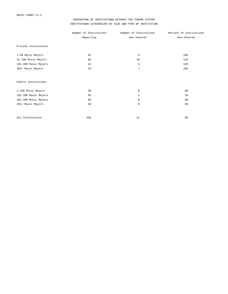## PERCENTAGE OF INSTITUTIONS WITHOUT THE TENURE SYSTEM INSTITUTIONS CATEGORIZED BY SIZE AND TYPE OF INSTITUTION

|                      | Number of Institutions | Number of Institutions | Percent of Institutions |
|----------------------|------------------------|------------------------|-------------------------|
|                      | Reporting              | Non-Tenured            | Non-Tenured             |
| Private Institutions |                        |                        |                         |
| 1-50 Music Majors    | 82                     | 8                      | 10 <sup>8</sup>         |
| 51-100 Music Majors  | 86                     | 10                     | 12%                     |
| 101-200 Music Majors | 41                     | 5                      | 12%                     |
| 201+ Music Majors    | 43                     | $\overline{7}$         | 16%                     |
| Public Institutions  |                        |                        |                         |
| 1-100 Music Majors   | 98                     | $\mathbf 0$            | 0 <sup>°</sup>          |
| 101-200 Music Majors | 92                     | $\mathbf{1}$           | $1\%$                   |
| 201-400 Music Majors | 66                     | $\mathbf 0$            | 0 <sup>°</sup>          |
| 401+ Music Majors    | 48                     | $\mathbf 0$            | 0 <sup>°</sup>          |
| All Institutions     | 556                    | 31                     | 6 <sup>°</sup>          |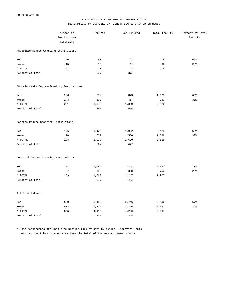## MUSIC FACULTY BY GENDER AND TENURE STATUS INSTITUTIONS CATEGORIZED BY HIGHEST DEGREE GRANTED IN MUSIC

|                                            | Number of    | Tenured | Non-Tenured | Total Faculty | Percent of Total |
|--------------------------------------------|--------------|---------|-------------|---------------|------------------|
|                                            | Institutions |         |             |               | Faculty          |
|                                            | Reporting    |         |             |               |                  |
| Associate Degree-Granting Institutions     |              |         |             |               |                  |
| Men                                        | 20           | 51      | 27          | 78            | 67%              |
| Women                                      | 15           | 19      | 14          | 33            | 28%              |
| * TOTAL                                    | 21           | 73      | 43          | 116           |                  |
| Percent of total                           |              | 63%     | 37%         |               |                  |
| Baccalaureate Degree-Granting Institutions |              |         |             |               |                  |
| Men                                        | 266          | 787     | 873         | 1,660         | 66%              |
| Women                                      | 244          | 303     | 457         | 760           | 30%              |
| * TOTAL                                    | 281          | 1,146   | 1,380       | 2,526         |                  |
| Percent of total                           |              | 45%     | 55%         |               |                  |
| Masters Degree-Granting Institutions       |              |         |             |               |                  |
| Men                                        | 176          | 1,423   | 1,002       | 2,425         | 66%              |
| Women                                      | 176          | 532     | 556         | 1,088         | 30%              |
| * TOTAL                                    | 184          | 2,038   | 1,620       | 3,658         |                  |
| Percent of total                           |              | 56%     | 44%         |               |                  |
| Doctoral Degree-Granting Institutions      |              |         |             |               |                  |
| Men                                        | 67           | 1,189   | 844         | 2,033         | 70%              |
| Women                                      | 67           | 382     | 368         | 750           | 26%              |
| * TOTAL                                    | 69           | 1,660   | 1,247       | 2,907         |                  |
| Percent of total                           |              | 57%     | 43%         |               |                  |
| All Institutions                           |              |         |             |               |                  |
| Men                                        | 529          | 3,450   | 2,746       | 6,196         | 67%              |
| Women                                      | 502          | 1,236   | 1,395       | 2,631         | 29%              |
| * TOTAL                                    | 555          | 4,917   | 4,290       | 9,207         |                  |
| Percent of total                           |              | 53%     | 47%         |               |                  |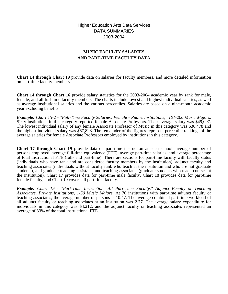Higher Education Arts Data Services DATA SUMMARIES 2003-2004

# **MUSIC FACULTY SALARIES AND PART-TIME FACULTY DATA**

**Chart 14 through Chart 19** provide data on salaries for faculty members, and more detailed information on part-time faculty members.

**Chart 14 through Chart 16** provide salary statistics for the 2003-2004 academic year by rank for male, female, and all full-time faculty members. The charts include lowest and highest individual salaries, as well as average institutional salaries and the various percentiles. Salaries are based on a nine-month academic year excluding benefits.

*Example: Chart 15-2 - "Full-Time Faculty Salaries: Female - Public Institutions," 101-200 Music Majors.* Sixty institutions in this category reported female Associate Professors. Their average salary was \$49,097. The lowest individual salary of any female Associate Professor of Music in this category was \$36,478 and the highest individual salary was \$67,828. The remainder of the figures represent percentile rankings of the average salaries for female Associate Professors employed by institutions in this category.

**Chart 17 through Chart 19** provide data on part-time instruction at each school: average number of persons employed, average full-time equivalence (FTE), average part-time salaries, and average percentage of total instructional FTE (full- and part-time). There are sections for part-time faculty with faculty status (individuals who have rank and are considered faculty members by the institution), adjunct faculty and teaching associates (individuals without faculty rank who teach at the institution and who are not graduate students), and graduate teaching assistants and teaching associates (graduate students who teach courses at the institution). Chart 17 provides data for part-time male faculty, Chart 18 provides data for part-time female faculty, and Chart 19 covers all part-time faculty.

*Example: Chart 19 - "Part-Time Instruction: All Part-Time Faculty," Adjunct Faculty or Teaching Associates, Private Institutions, 1-50 Music Majors.* At 70 institutions with part-time adjunct faculty or teaching associates, the average number of persons is 10.47. The average combined part-time workload of all adjunct faculty or teaching associates at an institution was 2.77. The average salary expenditure for individuals in this category was \$4,212, and the adjunct faculty or teaching associates represented an average of 33% of the total instructional FTE.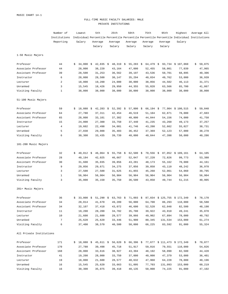## FULL-TIME MUSIC FACULTY SALARIES: MALE PRIVATE INSTITUTIONS

|                          | Number of       | Lowest          | 5th          | 25th              | 50th        | 75th              | 95th    | Highest                                                                                   | Average All  |
|--------------------------|-----------------|-----------------|--------------|-------------------|-------------|-------------------|---------|-------------------------------------------------------------------------------------------|--------------|
|                          | Institutions    |                 |              |                   |             |                   |         | Individual Percentile Percentile Percentile Percentile Percentile Individual Institutions |              |
|                          | Reporting       | Salary          | Average      | Average           | Average     | Average           | Average | Salary                                                                                    |              |
|                          |                 |                 | Salary       | Salary            | Salary      | Salary            | Salary  |                                                                                           |              |
| 1-50 Music Majors        |                 |                 |              |                   |             |                   |         |                                                                                           |              |
| Professor                | 44              | \$<br>34,000    | \$<br>42,835 | \$<br>$48,319$ \$ | 55,283      | \$<br>64,479      | \$      | 93,734 \$107,060                                                                          | \$<br>59,075 |
| Associate Professor      | 44              | 28,000          | 38,220       | 43,164            | 47,000      | 52,455            | 58,001  | 77,039                                                                                    | 47,965       |
| Assistant Professor      | 39              | 28,500          | 31,253       | 36,562            | 39,197      | 43,536            | 50,701  | 68,895                                                                                    | 40,306       |
| Instructor               | 6               | 28,000          | 28,500       | 30,147            | 35,294      | 40,034            | 49,762  | 53,000                                                                                    | 36,939       |
| Lecturer                 | 2               | 18,000          | 19,200       | 24,000            | 30,000      | 38,056            | 44,502  | 46,113                                                                                    | 31,371       |
| Unranked                 | 3               | 15,545          | 18,426       | 29,950            | 44,355      | 55,028            | 63,566  | 65,700                                                                                    | 41,867       |
| Visiting Faculty         | $\mathbf{1}$    | 38,000          | 38,000       | 38,000            | 38,000      | 38,000            | 38,000  | 38,000                                                                                    | 38,000       |
| 51-100 Music Majors      |                 |                 |              |                   |             |                   |         |                                                                                           |              |
| Professor                | 59              | \$<br>18,088    | \$<br>42,283 | \$<br>52,392 \$   | 57,800      | \$<br>$66,194$ \$ |         | 77,904 \$100,515                                                                          | \$<br>59,040 |
| Associate Professor      | 64              | 27,780          | 37,311       | 42,454            | 46,519      | 51,104            | 62,871  | 78,000                                                                                    | 47,603       |
| Assistant Professor      | 65              | 28,000          | 33,101       | 37,302            | 40,800      | 44,044            | 54,156  | 74,000                                                                                    | 41,750       |
| Instructor               | 15              | 24,000          | 27,300       | 33,750            | 37,440      | 41,235            | 43,260  | 49,173                                                                                    | 37,257       |
| Lecturer                 | 4               | 19,602          | 22,498       | 34,081            | 41,746      | 43,200            | 52,662  | 55,027                                                                                    | 38,731       |
| Unranked                 | 5               | 27,038          | 29,088       | 35,403            | 36,452      | 37,369            | 52,123  | 57,000                                                                                    | 38,278       |
| Visiting Faculty         | 6               | 30,300          | 33,435       | 39,739            | 40,000      | 40,844            | 47,398  | 50,000                                                                                    | 40,286       |
| 101-200 Music Majors     |                 |                 |              |                   |             |                   |         |                                                                                           |              |
| Professor                | 32              | \$<br>40,012 \$ | $46,064$ \$  | $55,758$ \$       | $62,500$ \$ | $70,556$ \$       |         | 87,052 \$ 109,161                                                                         | \$<br>64,105 |
| Associate Professor      | 28              | 40,194          | 42,025       | 46,667            | 52,047      | 57,220            | 72,826  | 99,773                                                                                    | 53,380       |
| Assistant Professor      | 30              | 31,600          | 35,035       | 39,856            | 43,281      | 48,173            | 55,162  | 70,000                                                                                    | 44,161       |
| Instructor               | 9               | 29,056          | 29,671       | 34,275            | 37,056      | 39,850            | 43,110  | 48,242                                                                                    | 36,978       |
| Lecturer                 | 3               | 27,500          | 27,500       | 31,625            | 41,855      | 45,268            | 52,061  | 54,060                                                                                    | 39,795       |
| Unranked                 | $\mathbf{1}$    | 56,904          | 56,904       | 56,904            | 56,904      | 56,904            | 56,904  | 56,904                                                                                    | 56,904       |
| Visiting Faculty         | 3               | 35,000          | 35,150       | 35,750            | 36,500      | 43,858            | 49,744  | 51,215                                                                                    | 40,905       |
| 201+ Music Majors        |                 |                 |              |                   |             |                   |         |                                                                                           |              |
| Professor                | 36              |                 |              |                   |             |                   |         | 33,000 \$ 51,290 \$ 63,763 \$ 71,093 \$ 87,834 \$ 125,755 \$ 172,349                      | 78,170       |
| Associate Professor      | 34              | 28,014          | 41,670       | 49,289            | 56,000      | 64,700            | 86,293  | 110,000                                                                                   | 58,588       |
| Assistant Professor      | 34              | 32,107          | 37,418       | 43,072            | 46,600      | 52,528            | 62,048  | 82,500                                                                                    | 48,198       |
| Instructor               | 11              | 19,200          | 28,200       | 34,782            | 35,700      | 39,922            | 43,910  | 49,241                                                                                    | 35,078       |
| Lecturer                 | 10              | 21,600          | 21,600       | 28,577            | 39,866      | 49,902            | 67,894  | 78,000                                                                                    | 40,792       |
| Unranked                 | $7\phantom{.0}$ | 25,620          | 25,620       | 33,446            | 51,900      | 80,345            | 131,534 | 153,000                                                                                   | 61,274       |
| Visiting Faculty         | 6               | 37,400          | 38,570       | 40,500            | 50,000      | 66,225            | 83,592  | 91,000                                                                                    | 55,324       |
| All Private Institutions |                 |                 |              |                   |             |                   |         |                                                                                           |              |
| Professor                | 171             |                 |              |                   |             |                   |         | $$18,088$ $$45,611$ $$56,620$ $$66,396$ $$77,677$ $$111,473$ $$172,349$                   | \$70,077     |
| Associate Professor      | 170             | 27,780          | 39,498       | 45,718            | 51,917      | 59,016            | 79,551  | 110,000                                                                                   | 54,026       |
| Assistant Professor      | 168             | 28,000          | 33,616       | 38,927            | 43,394      | 48,192            | 58,090  | 82,500                                                                                    | 44,428       |
| Instructor               | 41              | 19,200          | 28,000       | 33,750            | 37,000      | 40,000            | 47,379  | 53,000                                                                                    | 36,401       |
| Lecturer                 | 19              | 18,000          | 21,600       | 28,577            | 40,632      | 47,960            | 64,228  | 78,000                                                                                    | 40,196       |
| Unranked                 | 16              | 15,545          | 25,620       | 33,663            | 51,095      | 77,703            | 131,093 | 153,000                                                                                   | 60,219       |
| Visiting Faculty         | 16              | 30,300          | 35,075       | 39,418            | 40,135      | 50,000            | 74,225  | 91,000                                                                                    | 47,102       |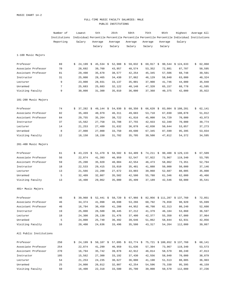## FULL-TIME MUSIC FACULTY SALARIES: MALE PUBLIC INSTITUTIONS

|                         | Number of    |    | Lowest           |     | 5th         |    | 25th        | 50th        | 75th      | 95th    | Highest                                                                                   | Average All  |
|-------------------------|--------------|----|------------------|-----|-------------|----|-------------|-------------|-----------|---------|-------------------------------------------------------------------------------------------|--------------|
|                         | Institutions |    |                  |     |             |    |             |             |           |         | Individual Percentile Percentile Percentile Percentile Percentile Individual Institutions |              |
|                         | Reporting    |    | Salary           |     | Average     |    | Average     | Average     | Average   | Average | Salary                                                                                    |              |
|                         |              |    |                  |     | Salary      |    | Salary      | Salary      | Salary    | Salary  |                                                                                           |              |
| 1-100 Music Majors      |              |    |                  |     |             |    |             |             |           |         |                                                                                           |              |
| Professor               | 69           | \$ | 24,199           | -\$ | $45,534$ \$ |    | 52,988 \$   | 59,032 \$   | 69,917 \$ |         | 90,544 \$124,633                                                                          | \$<br>62,068 |
| Associate Professor     | 70           |    | 28,692           |     | 39,760      |    | 43,957      | 48,574      | 53,352    | 72,881  | 87,707                                                                                    | 50,595       |
| Assistant Professor     | 81           |    | 29,498           |     | 35,678      |    | 38,577      | 42,254      | 45,345    | 57,506  | 68,748                                                                                    | 39,501       |
| Instructor              | 31           |    | 25,000           |     | 28,465      |    | 34,430      | 37,862      | 46,129    | 58,040  | 63,000                                                                                    | 40,324       |
| Lecturer                | 9            |    | 23,000           |     | 28,931      |    | 33,137      | 35,001      | 37,900    | 41,746  | 44,000                                                                                    | 35,040       |
| Unranked                | 7            |    | 25,683           |     | 25,683      |    | 32,122      | 40,148      | 47,320    | 65,157  | 68,778                                                                                    | 41,595       |
| Visiting Faculty        | 9            |    | 30,000           |     | 31,300      |    | 35,010      | 36,000      | 37,368    | 40,375  | 42,000                                                                                    | 35,922       |
| 101-200 Music Majors    |              |    |                  |     |             |    |             |             |           |         |                                                                                           |              |
| Professor               | 74           | \$ | $37,282 \quad $$ |     | $49,144$ \$ |    | 54,930 \$   | $60,350$ \$ | 66,620 \$ |         | 83,084 \$108,281                                                                          | \$<br>62,141 |
| Associate Professor     | 82           |    | 35,469           |     | 40,979      |    | 46,311      | 49,683      | 53,710    | 67,030  | 108,878                                                                                   | 51,012       |
| Assistant Professor     | 84           |    | 29,755           |     | 35,264      |    | 38,722      | 41,816      | 45,000    | 54,729  | 70,000                                                                                    | 43,973       |
| Instructor              | 37           |    | 15,562           |     | 27,758      |    | 33,788      | 37,755      | 42,933    | 62,340  | 70,000                                                                                    | 39,774       |
| Lecturer                | 14           |    | 21,253           |     | 27,489      |    | 31,632      | 36,878      | 42,030    | 50,644  | 53,057                                                                                    | 37,273       |
| Unranked                | 8            |    | 27,000           |     | 27,000      |    | 33,750      | 49,690      | 67,345    | 87,599  | 95,395                                                                                    | 53,034       |
| Visiting Faculty        | 12           |    | 18,150           |     | 18,150      |    | 31,702      | 35,705      | 39,500    | 47,812  | 54,372                                                                                    | 34,595       |
| 201-400 Music Majors    |              |    |                  |     |             |    |             |             |           |         |                                                                                           |              |
| Professor               | 61           | \$ | $43,229$ \$      |     | $51,470$ \$ |    | $58,502$ \$ | $64,409$ \$ | 74,211 \$ |         | 90,488 \$129,133                                                                          | \$<br>67,509 |
| Associate Professor     | 56           |    | 22,874           |     | 41,393      |    | 46,959      | 52,547      | 57,922    | 73,967  | 119,340                                                                                   | 53,705       |
| Assistant Professor     | 59           |    | 25,200           |     | 35,920      |    | 40,004      | 42,554      | 46,473    | 58,062  | 73,351                                                                                    | 52,794       |
| Instructor              | 18           |    | 22,533           |     | 29,415      |    | 33,010      | 35,481      | 41,888    | 50,000  | 50,000                                                                                    | 37,146       |
| Lecturer                | 13           |    | 21,566           |     | 22,200      |    | 27,672      | 33,003      | 39,060    | 52,687  | 88,005                                                                                    | 35,808       |
| Unranked                | 5            |    | 32,409           |     | 32,807      |    | 35,502      | 42,500      | 55,788    | 61,346  | 62,000                                                                                    | 45,466       |
| Visiting Faculty        | 13           |    | 16,400           |     | 29,062      |    | 35,000      | 35,499      | 37,189    | 42,546  | 50,000                                                                                    | 35,541       |
| 401+ Music Majors       |              |    |                  |     |             |    |             |             |           |         |                                                                                           |              |
| Professor               | 46           | s  | 39,960 \$        |     | 52,441      | Ş. |             |             |           |         | 58,720 \$ 67,966 \$ 82,956 \$ 111,287 \$ 137,760                                          | \$72,851     |
| Associate Professor     | 46           |    | 34,374           |     | 41,998      |    | 48,698      | 53,266      | 60,792    | 76,658  | 98,920                                                                                    | 55,699       |
| Assistant Professor     | 46           |    | 16,794           |     | 36,450      |    | 41,208      | 44,952      | 48,708    | 62,313  | 80,240                                                                                    | 52,608       |
| Instructor              | 19           |    | 25,000           |     | 26,500      |    | 30,445      | 37,212      | 41,379    | 46,184  | 53,860                                                                                    | 36,597       |
| Lecturer                | 18           |    | 24,300           |     | 26,130      |    | 31,476      | 37,400      | 42,377    | 55,350  | 67,000                                                                                    | 37,964       |
| Unranked                | 5            |    | 24,000           |     | 25,740      |    | 36,492      | 39,646      | 51,062    | 58,844  | 62,931                                                                                    | 42,056       |
| Visiting Faculty        | 16           |    | 20,400           |     | 24,636      |    | 33,496      | 35,500      | 43,317    | 54,264  | 112,000                                                                                   | 39,867       |
| All Public Institutions |              |    |                  |     |             |    |             |             |           |         |                                                                                           |              |
| Professor               | 250          |    |                  |     |             |    |             |             |           |         | $$24,199$ $$50,107$ $$57,095$ $$63,774$ $$75,721$ $$100,652$ $$137,760$                   | \$<br>68,141 |
| Associate Professor     | 254          |    | 22,874           |     | 41,299      |    | 46,959      | 51,636      | 57,394    | 73,967  | 119,340                                                                                   | 53,573       |
| Assistant Professor     | 270          |    | 16,794           |     | 35,742      |    | 39,878      | 42,912      | 46,814    | 58,579  | 80,240                                                                                    | 47,813       |
| Instructor              | 105          |    | 15,562           |     | 27,300      |    | 33,192      | 37,430      | 42,556    | 58,040  | 70,000                                                                                    | 38,879       |
| Lecturer                | 54           |    | 21,253           |     | 24,235      |    | 30,627      | 36,000      | 41,198    | 51,513  | 88,005                                                                                    | 36,903       |
| Unranked                | 25           |    | 24,000           |     | 26,012      |    | 32,807      | 42,254      | 54,596    | 75,330  | 95,395                                                                                    | 46,159       |
| Visiting Faculty        | 50           |    | 16,400           |     | 22,318      |    | 33,500      | 35,700      | 39,000    | 50,570  | 112,000                                                                                   | 37,236       |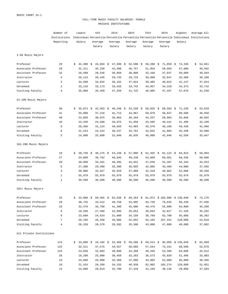## FULL-TIME MUSIC FACULTY SALARIES: FEMALE PRIVATE INSTITUTIONS

|                          | Number of      |    | Lowest      | 5th         | 25th        | 50th        | 75th                                                                 | 95th        | Highest                                                                                   | Average All  |
|--------------------------|----------------|----|-------------|-------------|-------------|-------------|----------------------------------------------------------------------|-------------|-------------------------------------------------------------------------------------------|--------------|
|                          | Institutions   |    |             |             |             |             |                                                                      |             | Individual Percentile Percentile Percentile Percentile Percentile Individual Institutions |              |
|                          | Reporting      |    | Salary      | Average     | Average     | Average     | Average                                                              | Average     | Salary                                                                                    |              |
|                          |                |    |             | Salary      | Salary      | Salary      | Salary                                                               | Salary      |                                                                                           |              |
| 1-50 Music Majors        |                |    |             |             |             |             |                                                                      |             |                                                                                           |              |
| Professor                | 29             | Ŝ. | $42,300$ \$ | $43,684$ \$ | $47,599$ \$ | 52,590      | \$<br>$58,200$ \$                                                    | $71,859$ \$ | 74,336                                                                                    | \$<br>54,651 |
| Associate Professor      | 28             |    | 32,311      | 35,230      | 42,500      | 46,757      | 51,954                                                               | 58,959      | 67,680                                                                                    | 46,592       |
| Assistant Professor      | 32             |    | 26,500      | 28,546      | 36,050      | 39,000      | 42,448                                                               | 47,647      | 50,000                                                                                    | 39,044       |
| Instructor               | $\overline{4}$ |    | 28,123      | 28,445      | 29,733      | 29,733      | 30,000                                                               | 32,647      | 33,309                                                                                    | 30,180       |
| Lecturer                 | 2              |    | 34,500      | 34,832      | 36,162      | 37,824      | 39,485                                                               | 40,815      | 41,147                                                                                    | 37,824       |
| Unranked                 | 2              |    | 33,110      | 33,173      | 33,426      | 33,742      | 34,057                                                               | 34,310      | 34,373                                                                                    | 33,742       |
| Visiting Faculty         | $\overline{4}$ |    | 35,000      | 35,450      | 37,250      | 41,725      | 46,005                                                               | 47,337      | 47,670                                                                                    | 41,530       |
| 51-100 Music Majors      |                |    |             |             |             |             |                                                                      |             |                                                                                           |              |
| Professor                | 40             | Ŝ. | $35,874$ \$ | $42,563$ \$ | $48,240$ \$ | 53,320 \$   | 58,925 \$                                                            | $68,503$ \$ | 71,236                                                                                    | \$<br>53,629 |
| Associate Professor      | 41             |    | 35,000      | 37,218      | 41,713      | 44,967      | 50,070                                                               | 58,847      | 89,500                                                                                    | 46,650       |
| Assistant Professor      | 49             |    | 24,850      | 30,975      | 36,864      | 40,294      | 44,337                                                               | 50,963      | 55,668                                                                                    | 40,602       |
| Instructor               | 10             |    | 23,320      | 24,580      | 28,875      | 31,850      | 33,585                                                               | 40,441      | 51,406                                                                                    | 32,109       |
| Lecturer                 | 9              |    | 28,366      | 31,124      | 40,650      | 43,903      | 45,570                                                               | 48,160      | 49,430                                                                                    | 41,966       |
| Unranked                 | 6              |    | 21,424      | 24,424      | 30,237      | 33,761      | 34,842                                                               | 41,883      | 45,298                                                                                    | 33,088       |
| Visiting Faculty         | 5              |    | 24,000      | 25,608      | 32,040      | 36,635      | 40,000                                                               | 42,046      | 42,558                                                                                    | 35,047       |
| 101-200 Music Majors     |                |    |             |             |             |             |                                                                      |             |                                                                                           |              |
| Professor                | 19             | \$ | $38,750$ \$ | 48,275 \$   | 54,238 \$   | $57,000$ \$ | $61,455$ \$                                                          | $81,122$ \$ | 84,823                                                                                    | \$<br>59,083 |
| Associate Professor      | 27             |    | 34,000      | 39,762      | 46,845      | 49,238      | 53,969                                                               | 60,581      | 69,256                                                                                    | 50,086       |
| Assistant Professor      | 29             |    | 30,000      | 34,261      | 40,395      | 43,041      | 47,636                                                               | 52,397      | 62,194                                                                                    | 43,553       |
| Instructor               | 6              |    | 27,300      | 29,490      | 35,300      | 36,893      | 42,085                                                               | 43,460      | 44,000                                                                                    | 37,566       |
| Lecturer                 | 3              |    | 30,900      | 32,027      | 35,829      | 37,000      | 42,318                                                               | 49,962      | 52,000                                                                                    | 39,456       |
| Unranked                 | $\mathbf{1}$   |    | 55,979      | 55,979      | 55,979      | 55,979      | 55,979                                                               | 55,979      | 55,979                                                                                    | 55,979       |
| Visiting Faculty         | $\mathbf{1}$   |    | 36,500      | 36,500      | 36,500      | 36,500      | 36,500                                                               | 36,500      | 36,500                                                                                    | 36,500       |
| 201+ Music Majors        |                |    |             |             |             |             |                                                                      |             |                                                                                           |              |
| Professor                | 25             |    |             |             |             |             | 33,000 \$ 50,465 \$ 62,638 \$ 69,264 \$ 81,872 \$ 105,986 \$ 136,048 |             |                                                                                           | \$73,176     |
| Associate Professor      | 29             |    | 38,735      | 43,512      | 49,758      | 54,995      | 64,728                                                               | 78,635      | 86,230                                                                                    | 57,936       |
| Assistant Professor      | 33             |    | 32,476      | 35,789      | 41,300      | 45,000      | 49,476                                                               | 55,000      | 64,000                                                                                    | 45,288       |
| Instructor               | 6              |    | 19,200      | 27,460      | 32,896      | 35,852      | 38,664                                                               | 42,817      | 47,150                                                                                    | 35,292       |
| Lecturer                 | 9              |    | 23,600      | 24,624      | 31,000      | 34,150      | 38,760                                                               | 62,700      | 65,000                                                                                    | 36,362       |
| Unranked                 | 7              |    | 26,195      | 26,260      | 35,086      | 52,052      | 64,183                                                               | 107,431     | 120,000                                                                                   | 54,010       |
| Visiting Faculty         | 4              |    | 28,328      | 28,579      | 29,582      | 35,500      | 43,000                                                               | 47,800      | 49,000                                                                                    | 37,082       |
| All Private Institutions |                |    |             |             |             |             |                                                                      |             |                                                                                           |              |
| Professor                | 113            |    |             |             |             |             |                                                                      |             | $$33,000$$ $$44,102$$ $$52,368$$ $$59,588$$ $$69,514$$ $$95,058$$ $$136,048$              | \$62,869     |
| Associate Professor      | 125            |    | 32,311      | 37,575      | 44,557      | 50,068      | 57,264                                                               | 73,341      | 89,500                                                                                    | 52,078       |
| Assistant Professor      | 143            |    | 24,850      | 32,063      | 38,000      | 42,280      | 46,336                                                               | 53,396      | 64,000                                                                                    | 42,612       |
| Instructor               | 26             |    | 19,200      | 25,000      | 30,450      | 33,263      | 36,573                                                               | 43,820      | 51,406                                                                                    | 33,883       |
| Lecturer                 | 23             |    | 23,600      | 25,000      | 32,360      | 37,000      | 43,903                                                               | 52,000      | 65,000                                                                                    | 38,465       |
| Unranked                 | 16             |    | 21,424      | 26,260      | 34,155      | 46,930      | 62,902                                                               | 105,274     | 120,000                                                                                   | 51,951       |
| Visiting Faculty         | 14             |    | 24,000      | 26,813      | 32,780      | 37,318      | 42,168                                                               | 48,136      | 49,000                                                                                    | 37,584       |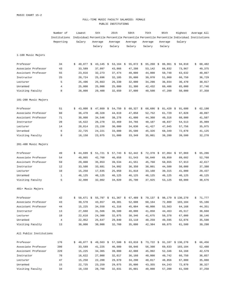## FULL-TIME MUSIC FACULTY SALARIES: FEMALE PUBLIC INSTITUTIONS

|                         | Number of      |    | Lowest      | 5th               | 25th                 | 50th        | 75th        | 95th        | Highest                                                                                   | Average All  |
|-------------------------|----------------|----|-------------|-------------------|----------------------|-------------|-------------|-------------|-------------------------------------------------------------------------------------------|--------------|
|                         | Institutions   |    |             |                   |                      |             |             |             | Individual Percentile Percentile Percentile Percentile Percentile Individual Institutions |              |
|                         | Reporting      |    | Salary      | Average           | Average              | Average     | Average     | Average     | Salary                                                                                    |              |
|                         |                |    |             | Salary            | Salary               | Salary      | Salary      | Salary      |                                                                                           |              |
| 1-100 Music Majors      |                |    |             |                   |                      |             |             |             |                                                                                           |              |
| Professor               | 34             | Ŝ. | 40,877      | \$<br>$43,145$ \$ | $53,164$ \$          | 55,872 \$   | $65,260$ \$ | 86,961 \$   | 94,810                                                                                    | \$<br>60,482 |
| Associate Professor     | 43             |    | 33,589      | 37,097            | 43,866               | 47,208      | 53,142      | 66,832      | 73,967                                                                                    | 49,375       |
| Assistant Professor     | 55             |    | 23,816      | 32,273            | 37,474               | 40,000      | 44,000      | 50,748      | 63,632                                                                                    | 40,867       |
| Instructor              | 25             |    | 20,724      | 25,696            | 32,185               | 35,000      | 39,970      | 51,060      | 66,750                                                                                    | 36,729       |
| Lecturer                | 5              |    | 25,496      | 25,663            | 26,330               | 32,000      | 34,290      | 36,034      | 36,470                                                                                    | 30,917       |
| Unranked                | $\overline{4}$ |    | 25,000      | 25,000            | 25,000               | 31,300      | 42,432      | 60,486      | 65,000                                                                                    | 37,746       |
| Visiting Faculty        | 8              |    | 28,000      | 29,400            | 32,650               | 37,000      | 40,500      | 47,200      | 50,000                                                                                    | 37,358       |
| 101-200 Music Majors    |                |    |             |                   |                      |             |             |             |                                                                                           |              |
| Professor               | 51             | Ŝ. | $43,000$ \$ | $47,669$ \$       | 54,750 $\frac{1}{2}$ | $60,327$ \$ | $68,686$ \$ | $81,420$ \$ | 91,600                                                                                    | \$<br>62,190 |
| Associate Professor     | 60             |    | 36,478      | 40,328            | 44,619               | 47,858      | 52,752      | 61,729      | 67,828                                                                                    | 49,097       |
| Assistant Professor     | 71             |    | 30,000      | 34,546            | 38,278               | 41,000      | 44,360      | 49,316      | 60,000                                                                                    | 41,507       |
| Instructor              | 20             |    | 16,622      | 26,278            | 32,469               | 34,766      | 40,107      | 48,837      | 54,513                                                                                    | 35,989       |
| Lecturer                | 14             |    | 20,014      | 23,150            | 30,000               | 34,830      | 41,427      | 47,945      | 57,756                                                                                    | 35,975       |
| Unranked                | 6              |    | 22,725      | 24,221            | 33,000               | 35,500      | 45,326      | 68,349      | 72,870                                                                                    | 41,125       |
| Visiting Faculty        | 8              |    | 18,150      | 23,075            | 31,000               | 33,349      | 35,001      | 38,280      | 39,500                                                                                    | 32,278       |
| 201-400 Music Majors    |                |    |             |                   |                      |             |             |             |                                                                                           |              |
| Professor               | 49             | Ŝ. | $44,699$ \$ | $51,721$ \$       | $57,743$ \$          | $62,442$ \$ | $72,378$ \$ | $87,064$ \$ | 97,069                                                                                    | \$<br>65,286 |
| Associate Professor     | 54             |    | 40,865      | 42,760            | 46,658               | 51,543      | 56,840      | 69,850      | 89,682                                                                                    | 52,768       |
| Assistant Professor     | 59             |    | 29,000      | 35,853            | 39,534               | 41,551      | 45,768      | 50,655      | 57,913                                                                                    | 42,617       |
| Instructor              | 12             |    | 33,500      | 33,681            | 34,992               | 36,350      | 38,001      | 44,500      | 50,000                                                                                    | 37,380       |
| Lecturer                | 10             |    | 15,250      | 17,635            | 25,050               | 31,818      | 33,160      | 39,315      | 41,000                                                                                    | 29,437       |
| Unranked                | $\mathbf{1}$   |    | 46,125      | 46,125            | 46,125               | 46,125      | 46,125      | 46,125      | 46,125                                                                                    | 46,125       |
| Visiting Faculty        | 5              |    | 32,000      | 32,002            | 34,020               | 35,700      | 37,925      | 53,125      | 60,000                                                                                    | 38,676       |
| 401+ Music Majors       |                |    |             |                   |                      |             |             |             |                                                                                           |              |
| Professor               | 42             |    |             |                   |                      |             |             |             | $50,671$ \$ 55,797 \$ 61,367 \$ 67,489 \$ 79,137 \$ 98,179 \$ 130,270                     | \$71,777     |
| Associate Professor     | 43             |    | 39,578      | 43,657            | 49,301               | 52,608      | 60,164      | 72,800      | 103,104                                                                                   | 55,166       |
| Assistant Professor     | 44             |    | 15,225      | 34,550            | 41,316               | 45,004      | 48,000      | 53,563      | 64,168                                                                                    | 44,351       |
| Instructor              | 13             |    | 27,660      | 31,566            | 36,500               | 40,000      | 41,850      | 44,463      | 45,517                                                                                    | 38,668       |
| Lecturer                | 18             |    | 22,610      | 24,300            | 32,875               | 38,346      | 41,675      | 50,378      | 67,000                                                                                    | 38,146       |
| Unranked                | $\overline{4}$ |    | 22,952      | 25,647            | 29,840               | 33,110      | 40,259      | 49,595      | 52,076                                                                                    | 35,598       |
| Visiting Faculty        | 13             |    | 30,000      | 30,000            | 32,760               | 35,000      | 42,384      | 60,075      | 61,500                                                                                    | 39,298       |
| All Public Institutions |                |    |             |                   |                      |             |             |             |                                                                                           |              |
| Professor               | 176            |    |             |                   |                      |             |             |             | $$40,877$ $$49,563$ $$57,500$ $$63,810$ $$73,722$ $$91,107$ $$130,270$                    | \$66,456     |
| Associate Professor     | 200            |    | 33,589      | 41,225            | 46,080               | 50,946      | 56,398      | 69,633      | 103,104                                                                                   | 52,488       |
| Assistant Professor     | 229            |    | 15,225      | 34,365            | 39,000               | 42,008      | 45,992      | 52,346      | 64,168                                                                                    | 42,579       |
| Instructor              | 70             |    | 16,622      | 27,000            | 32,617               | 36,160      | 40,000      | 49,742      | 66,750                                                                                    | 36,857       |
| Lecturer                | 47             |    | 15,250      | 22,200            | 29,070               | 34,290      | 40,817      | 48,856      | 67,000                                                                                    | 35,088       |
| Unranked                | 15             |    | 22,725      | 23,259            | 29,075               | 35,000      | 43,355      | 64,243      | 72,870                                                                                    | 38,327       |
| Visiting Faculty        | 34             |    | 18,150      | 28,700            | 32,031               | 35,001      | 40,000      | 57,200      | 61,500                                                                                    | 37,250       |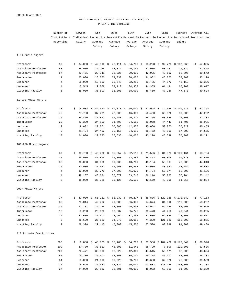## FULL-TIME MUSIC FACULTY SALARIES: ALL FACULTY PRIVATE INSTITUTIONS

|                          | Number of      |    | Lowest               | 5th         | 25th        | 50th        | 75th        | 95th    | Highest                                                                                   | Average All  |
|--------------------------|----------------|----|----------------------|-------------|-------------|-------------|-------------|---------|-------------------------------------------------------------------------------------------|--------------|
|                          | Institutions   |    |                      |             |             |             |             |         | Individual Percentile Percentile Percentile Percentile Percentile Individual Institutions |              |
|                          | Reporting      |    | Salary               | Average     | Average     | Average     | Average     | Average | Salary                                                                                    |              |
|                          |                |    |                      | Salary      | Salary      | Salary      | Salary      | Salary  |                                                                                           |              |
| 1-50 Music Majors        |                |    |                      |             |             |             |             |         |                                                                                           |              |
| Professor                | 59             | S  | $34,000$ \$          | $42,990$ \$ | 48,111 \$   | 54,200 \$   | $63,228$ \$ |         | 92,723 \$ 107,060                                                                         | \$<br>57,835 |
| Associate Professor      | 63             |    | 28,000               | 36,245      | 42,812      | 46,757      | 52,006      | 58,727  | 77,039                                                                                    | 47,424       |
| Assistant Professor      | 57             |    | 20,471               | 29,341      | 36,025      | 39,000      | 42,925      | 49,662  | 68,895                                                                                    | 39,542       |
| Instructor               | 11             |    | 25,000               | 26,650      | 29,330      | 30,000      | 34,982      | 45,875  | 53,000                                                                                    | 33,128       |
| Lecturer                 | $\overline{4}$ |    | 18,000               | 19,550      | 25,648      | 32,250      | 39,485      | 44,872  | 46,113                                                                                    | 32,326       |
| Unranked                 | 4              |    | 15,545               | 19,058      | 33,110      | 34,373      | 44,355      | 61,431  | 65,700                                                                                    | 38,617       |
| Visiting Faculty         | 5              |    | 35,000               | 35,600      | 38,000      | 38,000      | 45,450      | 47,226  | 47,670                                                                                    | 40,824       |
| 51-100 Music Majors      |                |    |                      |             |             |             |             |         |                                                                                           |              |
| Professor                | 73             | S. | $18,088 \text{ }$ \$ | $42,560$ \$ | $50,013$ \$ | $56,000$ \$ | $62,994$ \$ |         | 74,585 \$100,515                                                                          | \$<br>57,268 |
| Associate Professor      | 75             |    | 27,780               | 37,231      | 42,000      | 46,000      | 50,400      | 60,326  | 89,500                                                                                    | 47,202       |
| Assistant Professor      | 76             |    | 24,850               | 31,861      | 37,240      | 40,379      | 44,155      | 53,358  | 74,000                                                                                    | 41,232       |
| Instructor               | 20             |    | 23,320               | 24,800      | 31,700      | 34,550      | 39,058      | 44,443  | 51,406                                                                                    | 35,031       |
| Lecturer                 | 12             |    | 19,602               | 27,051      | 35,386      | 42,870      | 45,680      | 50,270  | 55,027                                                                                    | 40,455       |
| Unranked                 | 9              |    | 21,424               | 24,452      | 30,156      | 34,610      | 36,452      | 48,809  | 57,000                                                                                    | 34,675       |
| Visiting Faculty         | 10             |    | 24,000               | 27,780      | 36,635      | 40,000      | 40,270      | 45,539  | 50,000                                                                                    | 38,271       |
| 101-200 Music Majors     |                |    |                      |             |             |             |             |         |                                                                                           |              |
| Professor                | 37             | S  | $38,750$ \$          | $46,286$ \$ | $55,357$ \$ | $62,118$ \$ | $71,596$ \$ |         | 84,823 \$109,161                                                                          | \$<br>63,734 |
| Associate Professor      | 35             |    | 34,000               | 41,894      | 46,868      | 52,284      | 58,852      | 68,806  | 99,773                                                                                    | 53,510       |
| Assistant Professor      | 38             |    | 30,000               | 34,666      | 39,936      | 43,269      | 48,184      | 55,807  | 70,000                                                                                    | 44,010       |
| Instructor               | 16             |    | 20,000               | 27,651      | 34,600      | 36,952      | 40,000      | 43,640  | 48,242                                                                                    | 36,538       |
| Lecturer                 | 4              |    | 30,900               | 32,779      | 37,000      | 41,070      | 44,724      | 50,174  | 52,000                                                                                    | 41,136       |
| Unranked                 | 4              |    | 48,187               | 48,684      | 50,672      | 53,740      | 56,210      | 56,765  | 56,904                                                                                    | 53,142       |
| Visiting Faculty         | 3              |    | 35,000               | 35,225      | 36,125      | 36,500      | 40,179      | 49,008  | 51,215                                                                                    | 39,804       |
| 201+ Music Majors        |                |    |                      |             |             |             |             |         |                                                                                           |              |
| Professor                | 37             |    |                      |             |             |             |             |         | \$ 33,000 \$ 51,121 \$ 63,232 \$ 70,277 \$ 85,836 \$ 122,325 \$ 172,349                   | \$77,153     |
| Associate Professor      | 36             |    | 28,014               | 42,262      | 49,583      | 56,000      | 64,674      |         | 84,306 110,000                                                                            | 58,297       |
| Assistant Professor      | 36             |    | 32,107               | 36,755      | 42,000      | 45,998      | 50,947      | 59,454  | 82,500                                                                                    | 46,945       |
| Instructor               | 13             |    | 19,200               | 26,680      | 33,837      | 35,776      | 39,470      |         | 44,410 49,241                                                                             | 35,235       |
| Lecturer                 | 14             |    | 21,600               | 21,607      | 28,904      | 37,352      | 47,686      | 64,854  | 78,000                                                                                    | 39,671       |
| Unranked                 | 8              |    | 25,620               | 25,620      | 34,270      | 52,052      | 74,390      | 121,629 | 153,000                                                                                   | 58,871       |
| Visiting Faculty         | 9              |    | 28,328               | 29,415      | 40,000      | 45,500      | 57,500      | 80,299  | 91,000                                                                                    | 49,438       |
| All Private Institutions |                |    |                      |             |             |             |             |         |                                                                                           |              |
| Professor                | 206            |    |                      |             |             |             |             |         | $$18,088$ \$45,065 \$55,466 \$64,703 \$75,586 \$107,472 \$172,349                         | \$68,326     |
| Associate Professor      | 209            |    | 27,780               | 38,810      | 45,390      | 51,542      |             |         | 58,799 77,606 110,000                                                                     | 53,535       |
| Assistant Professor      | 207            |    | 20,471               | 33,000      | 38,522      | 42,860      | 47,515      | 56,171  | 82,500                                                                                    | 43,624       |
| Instructor               | 60             |    | 19,200               | 25,000      | 32,000      | 35,700      | 39,714      |         | 45,417 53,000                                                                             | 35,233       |
| Lecturer                 | 34             |    | 18,000               | 21,600      | 30,925      | 39,200      | 45,680      | 62,826  | 78,000                                                                                    | 39,569       |
| Unranked                 | 25             |    | 15,545               | 25,620      | 33,822      | 50,000      | 71,533      | 120,756 | 153,000                                                                                   | 57,208       |
| Visiting Faculty         | 27             |    | 24,000               | 29,582      | 36,601      | 40,000      | 48,002      | 69,859  | 91,000                                                                                    | 43,309       |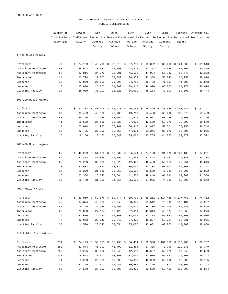## FULL-TIME MUSIC FACULTY SALARIES: ALL FACULTY PUBLIC INSTITUTIONS

|                         | Number of    | Lowest    | 5th         | 25th                 | 50th        | 75th      | 95th    | Highest                                                                                   | Average All  |
|-------------------------|--------------|-----------|-------------|----------------------|-------------|-----------|---------|-------------------------------------------------------------------------------------------|--------------|
|                         | Institutions |           |             |                      |             |           |         | Individual Percentile Percentile Percentile Percentile Percentile Individual Institutions |              |
|                         | Reporting    | Salary    | Average     | Average              | Average     | Average   | Average | Salary                                                                                    |              |
|                         |              |           | Salary      | Salary               | Salary      | Salary    | Salary  |                                                                                           |              |
| 1-100 Music Majors      |              |           |             |                      |             |           |         |                                                                                           |              |
| Professor               | 77           | 24,199 \$ | $43,780$ \$ | 52,918 \$            | $57,280$ \$ | 68,092 \$ |         | 89,460 \$124,633                                                                          | \$<br>61,510 |
| Associate Professor     | 83           | 28,692    | 38,520      | 44,100               | 48,225      | 53,253    | 71,624  | 87,707                                                                                    | 49,869       |
| Assistant Professor     | 88           | 23,816    | 34,970      | 38,081               | 41,500      | 44,934    | 55,332  | 68,748                                                                                    | 42,353       |
| Instructor              | 44           | 20,724    | 27,000      | 32,640               | 36,834      | 43,368    | 58,040  | 66,750                                                                                    | 38,916       |
| Lecturer                | 12           | 23,000    | 25,663      | 29,590               | 34,785      | 36,782    | 41,197  | 44,000                                                                                    | 33,868       |
| Unranked                | 8            | 25,000    | 25,000      | 31,300               | 38,046      | 46,970    | 65,000  | 68,778                                                                                    | 40,678       |
| Visiting Faculty        | 14           | 28,000    | 30,100      | 33,320               | 36,000      | 38,183    | 42,000  | 50,000                                                                                    | 36,444       |
| 101-200 Music Majors    |              |           |             |                      |             |           |         |                                                                                           |              |
| Professor               | 81           | 37,282 \$ | $48,904$ \$ | $54,930 \text{ }$ \$ | $60,354$ \$ | 66,899 \$ |         | 83,045 \$108,281                                                                          | \$<br>62,197 |
| Associate Professor     | 87           | 35,469    | 40,820      | 45,708               | 49,219      | 53,480    | 63,486  | 108,878                                                                                   | 50,439       |
| Assistant Professor     | 88           | 29,755    | 34,944      | 38,602               | 41,521      | 44,951    | 53,158  | 70,000                                                                                    | 42,326       |
| Instructor              | 41           | 15,562    | 26,696      | 33,023               | 37,000      | 42,139    | 59,073  | 70,000                                                                                    | 38,579       |
| Lecturer                | 18           | 20,014    | 24,950      | 30,261               | 36,348      | 41,817    | 50,501  | 57,756                                                                                    | 36,744       |
| Unranked                | 12           | 22,725    | 27,000      | 33,750               | 47,931      | 61,341    | 83,672  | 95,395                                                                                    | 49,065       |
| Visiting Faculty        | 16           | 18,150    | 18,150      | 30,540               | 35,000      | 37,765    | 44,250  | 54,372                                                                                    | 32,592       |
| 201-400 Music Majors    |              |           |             |                      |             |           |         |                                                                                           |              |
| Professor               | 65           | 43,229 \$ | 51,428 \$   | 58,232 \$            | $64,174$ \$ | 74,158 \$ |         | 91,075 \$ 129,133                                                                         | \$<br>67,251 |
| Associate Professor     | 64           | 22,874    | 41,864      | 46,796               | 51,858      | 57,448    | 73,967  | 119,340                                                                                   | 53,308       |
| Assistant Professor     | 65           | 25,200    | 35,903      | 39,829               | 42,443      | 46,403    | 55,613  | 73,351                                                                                    | 43,646       |
| Instructor              | 23           | 22,533    | 29,860      | 33,829               | 36,000      | 41,238    | 50,000  | 50,000                                                                                    | 37,361       |
| Lecturer                | 17           | 15,250    | 21,566      | 26,063               | 31,682      | 36,500    | 47,220  | 88,005                                                                                    | 32,892       |
| Unranked                | 6            | 23,384    | 26,543      | 33,604               | 42,500      | 49,440    | 61,084  | 62,000                                                                                    | 41,566       |
| Visiting Faculty        | 16           | 16,400    | 31,169      | 34,265               | 35,600      | 37,925    | 44,891  | 60,000                                                                                    | 36,342       |
| 401+ Music Majors       |              |           |             |                      |             |           |         |                                                                                           |              |
| Professor               | 48           |           |             |                      |             |           |         | $$39,960$$ \$ 52,676 \$ 59,774 \$ 69,700 \$ 85,251 \$ 114,428 \$ 137,760                  | \$74,412     |
| Associate Professor     | 48           | 34,374    | 43,033      | 48,948               | 53,300      | 61,512    | 75,809  | 103,104                                                                                   | 55,927       |
| Assistant Professor     | 47           | 15,225    | 36,444      | 41,291               | 44,970      | 48,336    | 59,404  | 80,240                                                                                    | 45,465       |
| Instructor              | 23           | 25,000    | 27,184      | 32,125               | 37,811      | 41,614    | 45,574  | 53,860                                                                                    | 37,276       |
| Lecturer                | 24           | 22,610    | 24,930      | 31,858               | 38,001      | 42,114    | 51,850  | 67,000                                                                                    | 38,070       |
| Unranked                | 8            | 22,952    | 23,843      | 29,840               | 37,828      | 45,287    | 53,704  | 62,931                                                                                    | 38,095       |
| Visiting Faculty        | 20           | 14,500    | 23,342      | 32,654               | 35,000      | 42,631    | 60,750  | 112,000                                                                                   | 38,950       |
| All Public Institutions |              |           |             |                      |             |           |         |                                                                                           |              |
| Professor               | 271          |           |             |                      |             |           |         | $$24,199$ \$ 50,155 \$ 57,438 \$ 64,414 \$ 76,508 \$ 101,556 \$ 137,760                   | \$68,787     |
| Associate Professor     | 282          | 22,874    | 41,293      | 46,799               | 51,464      | 57,335    | 73,796  | 119,340                                                                                   | 53,349       |
| Assistant Professor     | 288          | 15,225    | 35,282      | 39,540               | 42,680      | 46,507    | 56,020  | 80,240                                                                                    | 43,659       |
| Instructor              | 131          | 15,562    | 27,000      | 33,000               | 37,000      | 42,000    | 56,361  | 70,000                                                                                    | 38,242       |
| Lecturer                | 71           | 15,250    | 22,569      | 30,000               | 35,350      | 40,969    | 50,686  | 88,005                                                                                    | 36,135       |
| Unranked                | 34           | 22,725    | 24,500      | 31,445               | 39,681      | 51,126    | 72,870  | 95,395                                                                                    | 42,792       |
| Visiting Faculty        | 66           | 14,500    | 22,203      | 33,000               | 35,499      | 39,500    | 53,400  | 112,000                                                                                   | 36,874       |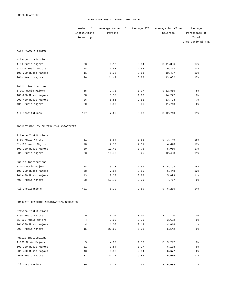#### PART-TIME MUSIC INSTRUCTION: MALE

|                                         | Number of    | Average Number of | Average FTE | Average Part-Time | Average           |
|-----------------------------------------|--------------|-------------------|-------------|-------------------|-------------------|
|                                         | Institutions | Persons           |             | Salaries          | Percentage of     |
|                                         | Reporting    |                   |             |                   | Total             |
|                                         |              |                   |             |                   | Instructional FTE |
| WITH FACULTY STATUS                     |              |                   |             |                   |                   |
| Private Institutions                    |              |                   |             |                   |                   |
| 1-50 Music Majors                       | 23           | 3.17              | 0.94        | \$11,356          | 17%               |
| 51-100 Music Majors                     | 28           | 4.93              | 2.52        | 9,313             | 13%               |
| 101-200 Music Majors                    | 11           | 6.36              | 3.61        | 10,437            | 13%               |
| 201+ Music Majors                       | 26           | 24.42             | 8.88        | 13,682            | 17%               |
| Public Institutions                     |              |                   |             |                   |                   |
| 1-100 Music Majors                      | 15           | 2.73              | 1.07        | \$12,866          | 8 <sup>°</sup>    |
| 101-200 Music Majors                    | 38           | 3.58              | 1.60        | 14,277            | 8 <sup>°</sup>    |
| 201-400 Music Majors                    | 26           | 5.81              | 2.52        | 13,724            | $7\%$             |
| 401+ Music Majors                       | 30           | 8.80              | 3.06        | 11,713            | $6\%$             |
| All Institutions                        | 197          | 7.65              | 3.03        | \$12,710          | $11$ %            |
| ADJUNCT FACULTY OR TEACHING ASSOCIATES  |              |                   |             |                   |                   |
| Private Institutions                    |              |                   |             |                   |                   |
| 1-50 Music Majors                       | 61           | 5.54              | 1.52        | \$3,749           | 18%               |
| 51-100 Music Majors                     | 70           | 7.70              | 2.31        | 4,620             | 17%               |
| 101-200 Music Majors                    | 30           | 11.40             | 3.75        | 5,950             | 17%               |
| 201+ Music Majors                       | 23           | 13.78             | 5.25        | 12,438            | $11\%$            |
| Public Institutions                     |              |                   |             |                   |                   |
| 1-100 Music Majors                      | 78           | 5.38              | 1.61        | \$4,798           | 15%               |
| 101-200 Music Majors                    | 68           | 7.84              | 2.50        | 6,448             | 12%               |
| 201-400 Music Majors                    | 43           | 12.37             | 3.88        | 5,893             | $11$ %            |
| 401+ Music Majors                       | 28           | 10.79             | 3.09        | 7,717             | $6\%$             |
| All Institutions                        | 401          | 8.29              | 2.59        | 6,215<br>\$       | 14%               |
| GRADUATE TEACHING ASSISTANTS/ASSOCIATES |              |                   |             |                   |                   |
| Private Institutions                    |              |                   |             |                   |                   |
| 1-50 Music Majors                       | $\mathbf 0$  | 0.00              | 0.00        | \$<br>$\mathbf 0$ | 0 %               |
| 51-100 Music Majors                     | 4            | 3.00              | 0.79        | 3,682             | 5%                |
| 101-200 Music Majors                    | 4            | 1.00              | 0.19        | 4,818             | $1\%$             |
| 201+ Music Majors                       | 15           | 20.60             | 5.03        | 5,142             | 5 <sup>°</sup>    |
| Public Institutions                     |              |                   |             |                   |                   |
| 1-100 Music Majors                      | 5            | 4.00              | 1.50        | \$9,292           | 8 <sup>°</sup>    |
| 101-200 Music Majors                    | 31           | 3.84              | 1.27        | 6,138             | 5%                |
| 201-400 Music Majors                    | 43           | 9.98              | 2.54        | 6,677             | 6%                |
| 401+ Music Majors                       | 37           | 31.27             | 9.84        | 5,906             | 11%               |
| All Institutions                        | 139          | 14.75             | 4.31        | \$5,984           | $7\%$             |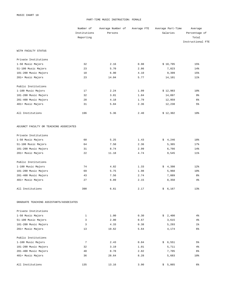#### PART-TIME MUSIC INSTRUCTION: FEMALE

|                                         | Number of    | Average Number of | Average FTE | Average Part-Time | Average           |
|-----------------------------------------|--------------|-------------------|-------------|-------------------|-------------------|
|                                         | Institutions | Persons           |             | Salaries          | Percentage of     |
|                                         | Reporting    |                   |             |                   | Total             |
|                                         |              |                   |             |                   | Instructional FTE |
| WITH FACULTY STATUS                     |              |                   |             |                   |                   |
| Private Institutions                    |              |                   |             |                   |                   |
| 1-50 Music Majors                       | 32           | 2.16              | 0.98        | \$10,795          | 15%               |
| 51-100 Music Majors                     | 23           | 5.70              | 2.86        | 7,823             | 14%               |
| 101-200 Music Majors                    | 10           | 6.90              | 4.10        | 9,399             | 15%               |
| 201+ Music Majors                       | 23           | 14.04             | 5.77        | 14,101            | $11$ %            |
| Public Institutions                     |              |                   |             |                   |                   |
| 1-100 Music Majors                      | 17           | 2.24              | 1.09        | \$12,983          | 10 <sup>8</sup>   |
| 101-200 Music Majors                    | 32           | 3.81              | 1.84        | 14,097            | 9%                |
| 201-400 Music Majors                    | 28           | 4.18              | 1.79        | 12,959            | $6\%$             |
| 401+ Music Majors                       | 31           | 5.84              | 2.36        | 12,238            | 5 <sup>°</sup>    |
| All Institutions                        | 196          | 5.36              | 2.40        | \$12,302          | 10 <sup>8</sup>   |
| ADJUNCT FACULTY OR TEACHING ASSOCIATES  |              |                   |             |                   |                   |
| Private Institutions                    |              |                   |             |                   |                   |
| 1-50 Music Majors                       | 60           | 5.25              | 1.43        | \$4,246           | 18%               |
| 51-100 Music Majors                     | 64           | 7.50              | 2.36        | 5,365             | 17%               |
| 101-200 Music Majors                    | 31           | 8.74              | 2.99        | 6,766             | 14%               |
| 201+ Music Majors                       | 22           | 11.18             | 4.74        | 9,545             | $11$ %            |
| Public Institutions                     |              |                   |             |                   |                   |
| 1-100 Music Majors                      | 74           | 4.82              | 1.33        | \$4,398           | 12%               |
| 101-200 Music Majors                    | 69           | 5.75              | 1.98        | 5,968             | 10 <sup>8</sup>   |
| 201-400 Music Majors                    | 43           | 7.56              | 2.74        | 7,089             | 8 <sup>°</sup>    |
| 401+ Music Majors                       | 27           | 6.89              | 2.15        | 8,358             | $4\%$             |
| All Institutions                        | 390          | 6.61              | 2.17        | \$6,167           | 13%               |
| GRADUATE TEACHING ASSISTANTS/ASSOCIATES |              |                   |             |                   |                   |
| Private Institutions                    |              |                   |             |                   |                   |
| 1-50 Music Majors                       | 1            | 1.00              | 0.30        | \$2,400           | $4\,$             |
| 51-100 Music Majors                     | 3            | 2.00              | 0.67        | 3,615             | $4\,$             |
| 101-200 Music Majors                    | 3            | 4.33              | 0.38        | 5,293             | $1\%$             |
| 201+ Music Majors                       | 13           | 19.62             | 5.64        | 4,174             | 6%                |
| Public Institutions                     |              |                   |             |                   |                   |
| 1-100 Music Majors                      | 7            | 2.43              | 0.84        | \$6,551           | 5%                |
| 101-200 Music Majors                    | 32           | 3.19              | 1.01        | 5,711             | $4\%$             |
| 201-400 Music Majors                    | 40           | 8.78              | 2.82        | 7,705             | 6%                |
| 401+ Music Majors                       | 36           | 28.64             | 8.28        | 5,683             | 10 <sub>8</sub>   |
| All Institutions                        | 135          | 13.16             | 3.90        | \$5,865           | 6%                |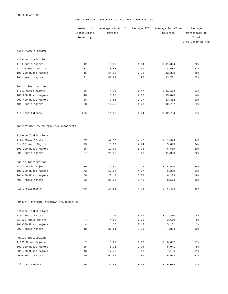#### PART-TIME MUSIC INSTRUCTION: ALL PART-TIME FACULTY

|                                         | Number of      | Average Number of | Average FTE | Average Part-Time | Average           |
|-----------------------------------------|----------------|-------------------|-------------|-------------------|-------------------|
|                                         | Institutions   | Persons           |             | Salaries          | Percentage of     |
|                                         | Reporting      |                   |             |                   | Total             |
|                                         |                |                   |             |                   | Instructional FTE |
| WITH FACULTY STATUS                     |                |                   |             |                   |                   |
| Private Institutions                    |                |                   |             |                   |                   |
| 1-50 Music Majors                       | 42             | 3.55              | 1.34        | \$11,324          | 22%               |
| 51-100 Music Majors                     | 31             | 8.68              | 4.40        | 8,588             | 22%               |
| 101-200 Music Majors                    | 16             | 14.12             | 7.78        | 13,320            | 25%               |
| 201+ Music Majors                       | 31             | 40.81             | 14.98       | 13,701            | 27%               |
| Public Institutions                     |                |                   |             |                   |                   |
| 1-100 Music Majors                      | 25             | 4.00              | 1.47        | \$11,183          | 13%               |
| 101-200 Music Majors                    | 46             | 6.65              | 2.98        | 13,046            | 14%               |
| 201-400 Music Majors                    | 36             | 7.81              | 3.37        | 13,352            | 10%               |
| 401+ Music Majors                       | 38             | 12.45             | 4.73        | 12,757            | 9%                |
| All Institutions                        | 265            | 11.58             | 4.74        | \$12,784          | 17%               |
| ADJUNCT FACULTY OR TEACHING ASSOCIATES  |                |                   |             |                   |                   |
| Private Institutions                    |                |                   |             |                   |                   |
| 1-50 Music Majors                       | 70             | 10.47             | 2.77        | \$4,212           | 33%               |
| 51-100 Music Majors                     | 73             | 15.08             | 4.74        | 5,093             | 34%               |
| 101-200 Music Majors                    | 35             | 19.60             | 6.38        | 6,559             | 29%               |
| 201+ Music Majors                       | 27             | 25.33             | 9.68        | 11,068            | 22%               |
| Public Institutions                     |                |                   |             |                   |                   |
| 1-100 Music Majors                      | 89             | 9.49              | 2.74        | \$4,590           | 25%               |
| 101-200 Music Majors                    | 72             | 12.94             | 4.27        | 6,239             | 21%               |
| 201-400 Music Majors                    | 50             | 20.10             | 6.78        | 6,239             | 19%               |
| 401+ Music Majors                       | 32             | 20.34             | 6.46        | 8,553             | 10%               |
| All Institutions                        | 448            | 14.81             | 4.73        | \$6,373           | 26%               |
| GRADUATE TEACHING ASSISTANTS/ASSOCIATES |                |                   |             |                   |                   |
| Private Institutions                    |                |                   |             |                   |                   |
| 1-50 Music Majors                       | 1              | 1.00              | 0.30        | \$2,400           | $4\%$             |
| 51-100 Music Majors                     | $\overline{4}$ | 4.50              | 1.29        | 3,660             | 8%                |
| 101-200 Music Majors                    | $\overline{4}$ | 4.25              | 0.47        | 5,181             | $2\frac{6}{9}$    |
| 201+ Music Majors                       | 18             | 39.61             | 9.73        | 4,803             | 10 <sup>8</sup>   |
| Public Institutions                     |                |                   |             |                   |                   |
| 1-100 Music Majors                      | 7              | 5.29              | 1.92        | \$8,032           | $11\%$            |
| 101-200 Music Majors                    | 35             | 6.31              | 2.04        | 5,941             | 8 <sup>°</sup>    |
| 201-400 Music Majors                    | 46             | 17.48             | 5.03        | 7,156             | 11%               |
| 401+ Music Majors                       | 40             | 62.90             | 19.89       | 5,972             | 21%               |
| All Institutions                        | 155            | 27.92             | 8.35        | \$6,002           | 13%               |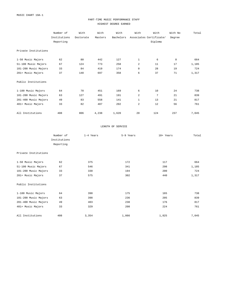## PART-TIME MUSIC PERFORMANCE STAFF HIGHEST DEGREE EARNED

|                      | Number of    | With      | With    | With      | With           | With                    | With No | Total |
|----------------------|--------------|-----------|---------|-----------|----------------|-------------------------|---------|-------|
|                      | Institutions | Doctorate | Masters | Bachelors |                | Associates Certificate/ | Degree  |       |
|                      | Reporting    |           |         |           |                | Diploma                 |         |       |
|                      |              |           |         |           |                |                         |         |       |
| Private Institutions |              |           |         |           |                |                         |         |       |
|                      |              |           |         |           |                |                         |         |       |
| 1-50 Music Majors    | 62           | 80        | 442     | 127       | $\mathbf{1}$   | 6                       | 8       | 664   |
| 51-100 Music Majors  | 67           | 124       | 773     | 258       | $\overline{a}$ | 11                      | 17      | 1,185 |
| 101-200 Music Majors | 33           | 84        | 419     | 174       | 0              | 28                      | 19      | 724   |
| 201+ Music Majors    | 37           | 148       | 697     | 358       | 6              | 37                      | 71      | 1,317 |
|                      |              |           |         |           |                |                         |         |       |
| Public Institutions  |              |           |         |           |                |                         |         |       |
|                      |              |           |         |           |                |                         |         |       |
| 1-100 Music Majors   | 64           | 78        | 451     | 169       | 6              | 10                      | 24      | 738   |
| 101-200 Music Majors | 63           | 127       | 491     | 191       | 2              | 7                       | 21      | 839   |
| 201-400 Music Majors | 49           | 83        | 558     | 141       | $\mathbf{1}$   | 13                      | 21      | 817   |
| 401+ Music Majors    | 33           | 82        | 407     | 202       | $\overline{a}$ | 12                      | 56      | 761   |
|                      |              |           |         |           |                |                         |         |       |
| All Institutions     | 408          | 806       | 4,238   | 1,620     | 20             | 124                     | 237     | 7,045 |

#### LENGTH OF SERVICE

|                      | Number of    | 1-4 Years | 5-9 Years | 10+ Years | Total |
|----------------------|--------------|-----------|-----------|-----------|-------|
|                      | Institutions |           |           |           |       |
|                      | Reporting    |           |           |           |       |
| Private Institutions |              |           |           |           |       |
| 1-50 Music Majors    | 62           | 375       | 172       | 117       | 664   |
| 51-100 Music Majors  | 67           | 546       | 341       | 298       | 1,185 |
| 101-200 Music Majors | 33           | 330       | 194       | 200       | 724   |
| 201+ Music Majors    | 37           | 575       | 302       | 440       | 1,317 |
| Public Institutions  |              |           |           |           |       |
| 1-100 Music Majors   | 64           | 398       | 175       | 165       | 738   |
| 101-200 Music Majors | 63           | 398       | 236       | 205       | 839   |
| 201-400 Music Majors | 49           | 403       | 238       | 176       | 817   |
| 401+ Music Majors    | 33           | 329       | 208       | 224       | 761   |
| All Institutions     | 408          | 3,354     | 1,866     | 1,825     | 7,045 |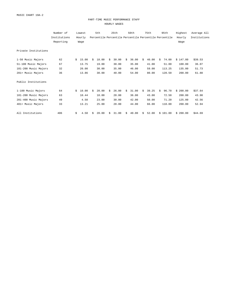### PART-TIME MUSIC PERFORMANCE STAFF HOURLY WAGES

|                      | Number of    |    | Lowest |    | 5th                                                    |    | 25th  |    | 50th  |    | 75th  |    | 95th     | Highest  | Average All  |
|----------------------|--------------|----|--------|----|--------------------------------------------------------|----|-------|----|-------|----|-------|----|----------|----------|--------------|
|                      | Institutions |    | Hourly |    | Percentile Percentile Percentile Percentile Percentile |    |       |    |       |    |       |    |          | Hourly   | Institutions |
|                      | Reporting    |    | Wage   |    |                                                        |    |       |    |       |    |       |    |          | Wage     |              |
| Private Institutions |              |    |        |    |                                                        |    |       |    |       |    |       |    |          |          |              |
| 1-50 Music Majors    | 62           | Ŝ. | 15.00  | Ŝ. | 18.00                                                  | Ŝ. | 30.00 | Ŝ. | 36.00 | Ŝ. | 40.00 | Ŝ. | 74.00    | \$147.00 | \$39.53      |
| 51-100 Music Majors  | 67           |    | 13.75  |    | 19.00                                                  |    | 30.00 |    | 35.00 |    | 41.00 |    | 51.00    | 100.00   | 36.07        |
| 101-200 Music Majors | 32           |    | 20.00  |    | 30.00                                                  |    | 35.00 |    | 46.00 |    | 59.00 |    | 113.25   | 135.00   | 51.73        |
| 201+ Music Majors    | 36           |    | 13.86  |    | 30.00                                                  |    | 40.00 |    | 54.00 |    | 80.00 |    | 128.50   | 200.00   | 61.88        |
| Public Institutions  |              |    |        |    |                                                        |    |       |    |       |    |       |    |          |          |              |
| 1-100 Music Majors   | 64           | Ŝ. | 10.00  | Ŝ. | 20.00                                                  | Ŝ. | 26.00 | Ŝ. | 31.00 | Ŝ. | 39.25 | Ŝ. | 96.70    | \$200.00 | \$37.64      |
| 101-200 Music Majors | 63           |    | 10.44  |    | 18.00                                                  |    | 28.00 |    | 36.00 |    | 43.00 |    | 72.50    | 200.00   | 43.98        |
| 201-400 Music Majors | 49           |    | 4.50   |    | 23.00                                                  |    | 30.00 |    | 42.00 |    | 50.00 |    | 71.20    | 125.00   | 42.56        |
| 401+ Music Majors    | 33           |    | 13.21  |    | 25.00                                                  |    | 28.00 |    | 44.00 |    | 66.00 |    | 110.00   | 200.00   | 52.94        |
| All Institutions     | 406          | \$ | 4.50   | Ŝ  | 20.00                                                  | \$ | 31.00 | \$ | 40.00 | \$ | 52.00 |    | \$101.00 | \$200.00 | \$44.69      |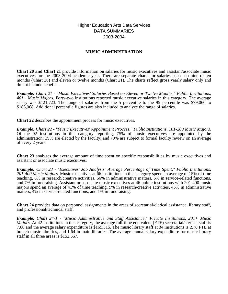Higher Education Arts Data Services DATA SUMMARIES 2003-2004

## **MUSIC ADMINISTRATION**

**Chart 20 and Chart 21** provide information on salaries for music executives and assistant/associate music executives for the 2003-2004 academic year. There are separate charts for salaries based on nine or ten months (Chart 20) and eleven or twelve months (Chart 21). The charts reflect gross yearly salary only and do not include benefits.

*Example: Chart 21 - "Music Executives' Salaries Based on Eleven or Twelve Months," Public Institutions, 401+ Music Majors.* Forty-two institutions reported music executive salaries in this category. The average salary was \$121,723. The range of salaries from the 5 percentile to the 95 percentile was \$79,060 to \$183,068. Additional percentile figures are also included to analyze the range of salaries.

**Chart 22** describes the appointment process for music executives.

*Example: Chart 22 - "Music Executives' Appointment Process," Public Institutions, 101-200 Music Majors.* Of the 92 institutions in this category reporting, 75% of music executives are appointed by the administration; 39% are elected by the faculty; and 79% are subject to formal faculty review on an average of every 2 years.

**Chart 23** analyzes the average amount of time spent on specific responsibilities by music executives and assistant or associate music executives.

*Example: Chart 23 - "Executives' Job Analysis: Average Percentage of Time Spent," Public Institutions, 201-400 Music Majors.* Music executives at 66 institutions in this category spend an average of 15% of time teaching, 6% in research/creative activities, 66% in administrative matters, 5% in service-related functions, and 7% in fundraising. Assistant or associate music executives at 46 public institutions with 201-400 music majors spend an average of 41% of time teaching, 9% in research/creative activities, 45% in administrative matters, 4% in service-related functions, and 1% in fundraising.

**Chart 24** provides data on personnel assignments in the areas of secretarial/clerical assistance, library staff, and professional/technical staff.

*Example: Chart 24-1 - "Music Administrative and Staff Assistance," Private Institutions, 201+ Music Majors.* At 42 institutions in this category, the average full-time equivalent (FTE) secretarial/clerical staff is 7.80 and the average salary expenditure is \$165,315. The music library staff at 34 institutions is 2.76 FTE at branch music libraries, and 1.64 in main libraries. The average annual salary expenditure for music library staff in all three areas is \$152,567.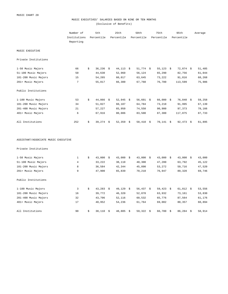## MUSIC EXECUTIVES' SALARIES BASED ON NINE OR TEN MONTHS (Exclusive of Benefits)

|                                             | Number of<br>Institutions<br>Reporting | 5th<br>Percentile |                  | 25th<br>Percentile |  | 50th<br>Percentile | 75th<br>Percentile | 95th<br>Percentile | Average          |
|---------------------------------------------|----------------------------------------|-------------------|------------------|--------------------|--|--------------------|--------------------|--------------------|------------------|
| MUSIC EXECUTIVE                             |                                        |                   |                  |                    |  |                    |                    |                    |                  |
| Private Institutions                        |                                        |                   |                  |                    |  |                    |                    |                    |                  |
|                                             |                                        |                   |                  |                    |  |                    |                    |                    |                  |
| 1-50 Music Majors                           | 66<br>50                               | \$                | $36,236$ \$      | $44,113$ \$        |  | $51,774$ \$        | $55,123$ \$        | $72,874$ \$        | 51,485           |
| 51-100 Music Majors<br>101-200 Music Majors | 15                                     |                   | 44,630<br>54,265 | 52,960             |  | 56,124             | 65,290             | 82,756             | 61,044<br>68,268 |
| 201+ Music Majors                           | 7                                      |                   | 55,817           | 60,017<br>66,300   |  | 63,645<br>67,760   | 73,222<br>76,780   | 91,816<br>113,599  | 75,986           |
|                                             |                                        |                   |                  |                    |  |                    |                    |                    |                  |
| Public Institutions                         |                                        |                   |                  |                    |  |                    |                    |                    |                  |
| 1-100 Music Majors                          | 53                                     | \$                | $44,866$ \$      | 52,945 \$          |  | $56,601$ \$        | 66,000 \$          | 76,840 \$          | 59,258           |
| 101-200 Music Majors                        | 34                                     |                   | 51,027           | 60,107             |  | 64,784             | 73,210             | 91,995             | 67,139           |
| 201-400 Music Majors                        | 21                                     |                   | 57,227           | 65,950             |  | 74,550             | 90,900             | 97,373             | 78,166           |
| 401+ Music Majors                           | 6                                      |                   | 67,916           | 80,086             |  | 83,500             | 87,300             | 117,875            | 87,733           |
|                                             |                                        |                   |                  |                    |  |                    |                    |                    |                  |
| All Institutions                            | 252                                    | \$                | $39,274$ \$      | $52,359$ \$        |  | $58,410$ \$        | $70,141$ \$        | $92,473$ \$        | 61,895           |
| ASSISTANT/ASSOCIATE MUSIC EXECUTIVE         |                                        |                   |                  |                    |  |                    |                    |                    |                  |
| Private Institutions                        |                                        |                   |                  |                    |  |                    |                    |                    |                  |
| 1-50 Music Majors                           | 1                                      | \$                | $43,000$ \$      | $43,000$ \$        |  | $43,000$ \$        | $43,000$ \$        | $43,000$ \$        | 43,000           |
| 51-100 Music Majors                         | $\overline{4}$                         |                   | 33,222           | 38,110             |  | 40,300             | 47,280             | 63,792             | 45,122           |
| 101-200 Music Majors                        | 8                                      |                   | 36,584           | 42,344             |  | 45,890             | 53,272             | 59,716             | 47,520           |
| 201+ Music Majors                           | 9                                      |                   | 47,900           | 65,839             |  | 70,210             | 76,947             | 89,320             | 69,746           |
| Public Institutions                         |                                        |                   |                  |                    |  |                    |                    |                    |                  |
| 1-100 Music Majors                          | 3                                      | \$                | $43,283$ \$      | 49,129 \$          |  | 56,437 \$          | 59,423 \$          | $61,812$ \$        | 53,556           |
| 101-200 Music Majors                        | 16                                     |                   | 39,772           | 46,320             |  | 52,878             | 63,932             | 73,161             | 53,830           |
| 201-400 Music Majors                        | 32                                     |                   | 43,706           | 52,116             |  | 60,532             | 65,776             | 87,564             | 61,176           |
| 401+ Music Majors                           | 17                                     |                   | 40,952           | 54,236             |  | 61,764             | 69,002             | 80,357             | 60,894           |
|                                             |                                        |                   |                  |                    |  |                    |                    |                    |                  |

All Institutions 68,914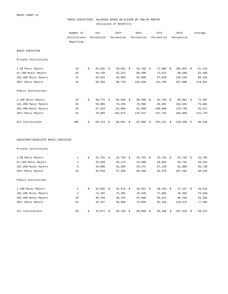## MUSIC EXECUTIVES' SALARIES BASED ON ELEVEN OR TWELVE MONTHS (Exclusive of Benefits)

|                                     | Number of<br>Institutions<br>Reporting | 5th<br>Percentile | 25th<br>Percentile | 50th<br>Percentile | 75th<br>Percentile |              | 95th<br>Percentile |              | Average |
|-------------------------------------|----------------------------------------|-------------------|--------------------|--------------------|--------------------|--------------|--------------------|--------------|---------|
| MUSIC EXECUTIVE                     |                                        |                   |                    |                    |                    |              |                    |              |         |
| Private Institutions                |                                        |                   |                    |                    |                    |              |                    |              |         |
| 1-50 Music Majors                   | 16                                     | \$<br>$43,555$ \$ | $49,681$ \$        | $63,788$ \$        |                    | $72,000$ \$  |                    | $105,925$ \$ | 67,141  |
| 51-100 Music Majors                 | 35                                     | 44,738            | 52,222             | 60,200             |                    | 73,622       |                    | 80,398       | 62,586  |
| 101-200 Music Majors                | 23                                     | 54,025            | 65,969             | 82,600             |                    | 97,820       |                    | 135,150      | 90,315  |
| 201+ Music Majors                   | 34                                     | 63,202            | 96,728             | 125,650            |                    | 133,768      |                    | 207,000      | 124,661 |
| Public Institutions                 |                                        |                   |                    |                    |                    |              |                    |              |         |
| 1-100 Music Majors                  | 43                                     | \$<br>$48,775$ \$ | $62,500$ \$        | $69,500$ \$        |                    | $81,768$ \$  |                    | $95,891$ \$  | 71,407  |
| 101-200 Music Majors                | 58                                     | 59,905            | 70,295             | 78,000             |                    | 85,852       |                    | 104,655      | 78,601  |
| 201-400 Music Majors                | 45                                     | 67,943            | 81,806             | 91,098             |                    | 100,000      |                    | 119,738      | 91,517  |
| 401+ Music Majors                   | 42                                     | 79,060            | 103,073            | 115,972            |                    | 137,754      |                    | 183,068      | 121,723 |
| All Institutions                    | 296                                    | \$<br>$50,123$ \$ | $66,054$ \$        | $82,068$ \$        |                    | $102,212$ \$ |                    | $148,490$ \$ | 89,326  |
| ASSISTANT/ASSOCIATE MUSIC EXECUTIVE |                                        |                   |                    |                    |                    |              |                    |              |         |
| Private Institutions                |                                        |                   |                    |                    |                    |              |                    |              |         |
| 1-50 Music Majors                   | $\mathbf{1}$                           | \$<br>$25,755$ \$ | $25,755$ \$        | $25,755$ \$        |                    | $25,755$ \$  |                    | $25,755$ \$  | 25,755  |
| 51-100 Music Majors                 | $\overline{4}$                         | 33,838            | 46,274             | 54,998             |                    | 58,905       |                    | 59,781       | 50,181  |
| 101-200 Music Majors                | 9                                      | 34,000            | 52,956             | 59,272             |                    | 67,140       |                    | 91,000       | 60,738  |
| 201+ Music Majors                   | 29                                     | 36,650            | 57,369             | 68,380             |                    | 83,370       |                    | 107,284      | 69,325  |
| Public Institutions                 |                                        |                   |                    |                    |                    |              |                    |              |         |
| 1-100 Music Majors                  | $\overline{\mathbf{c}}$                | \$<br>$32,685$ \$ | $33,679$ \$        | $34,921$ \$        |                    | $36,163$ \$  |                    | $37,157$ \$  | 34,921  |
| 101-200 Music Majors                | 2                                      | 74,392            | 75,395             | 76,648             |                    | 77,902       |                    | 78,905       | 76,648  |
| 201-400 Music Majors                | 16                                     | 39,168            | 48,754             | 63,800             |                    | 68,413       |                    | 86,349       | 62,364  |
| 401+ Music Majors                   | 32                                     | 45,187            | 59,968             | 74,858             |                    | 92,458       |                    | 118,475      | 77,404  |

All Institutions 69,872<br>  $\frac{1}{35}$  95 \$ 35,971 \$ 56,169 \$ 68,000 \$ 85,349 \$ 107,310 \$ 69,872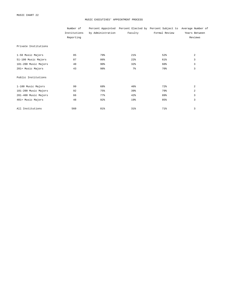#### MUSIC EXECUTIVES' APPOINTMENT PROCESS

|                      | Number of    |                   |                 | Percent Appointed Percent Elected by Percent Subject to Average Number of |                |
|----------------------|--------------|-------------------|-----------------|---------------------------------------------------------------------------|----------------|
|                      | Institutions | by Administration | Faculty         | Formal Review                                                             | Years Between  |
|                      | Reporting    |                   |                 |                                                                           | Reviews        |
| Private Institutions |              |                   |                 |                                                                           |                |
| 1-50 Music Majors    | 85           | 79%               | 21%             | 52%                                                                       | 2              |
| 51-100 Music Majors  | 87           | 86%               | 22%             | 61%                                                                       | 3              |
| 101-200 Music Majors | 40           | 90 <sup>8</sup>   | 32 <sub>8</sub> | 60%                                                                       | 3              |
| 201+ Music Majors    | 43           | 98%               | 7 <sup>8</sup>  | 70%                                                                       | 3              |
| Public Institutions  |              |                   |                 |                                                                           |                |
| 1-100 Music Majors   | 99           | 68%               | 46%             | 72%                                                                       | $\overline{a}$ |
| 101-200 Music Majors | 92           | 75%               | 39%             | 79%                                                                       | $\overline{a}$ |
| 201-400 Music Majors | 66           | 77%               | 42%             | 89%                                                                       | 3              |
| 401+ Music Majors    | 48           | 92%               | 19%             | 85%                                                                       | 3              |
| All Institutions     | 560          | 81%               | 31%             | 71%                                                                       | 3              |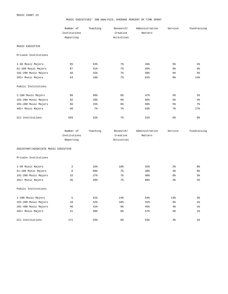#### MUSIC EXECUTIVES' JOB ANALYSIS: AVERAGE PERCENT OF TIME SPENT

|                      | Number of<br>Institutions<br>Reporting | Teaching        | Research/<br>Creative<br>Activities | Administrative<br>Matters | Service        | Fundraising    |
|----------------------|----------------------------------------|-----------------|-------------------------------------|---------------------------|----------------|----------------|
| MUSIC EXECUTIVE      |                                        |                 |                                     |                           |                |                |
| Private Institutions |                                        |                 |                                     |                           |                |                |
| 1-50 Music Majors    | 85                                     | 53%             | 7 <sup>8</sup>                      | 34%                       | 5 <sup>°</sup> | 2 <sup>°</sup> |
| 51-100 Music Majors  | 87                                     | 41%             | 7 <sup>8</sup>                      | 45%                       | 6 <sup>°</sup> | 3 <sup>°</sup> |
| 101-200 Music Majors | 40                                     | 32%             | 7 <sup>8</sup>                      | 50%                       | 6 <sup>°</sup> | 5 <sup>°</sup> |
| 201+ Music Majors    | 43                                     | 10%             | 7 <sup>8</sup>                      | 61%                       | 8 <sup>°</sup> | 14%            |
| Public Institutions  |                                        |                 |                                     |                           |                |                |
| 1-100 Music Majors   | 98                                     | 40 <sup>8</sup> | 6 <sup>°</sup>                      | 47%                       | 5 <sup>°</sup> | 2 <sup>°</sup> |
| 101-200 Music Majors | 92                                     | 29%             | 6 <sup>°</sup>                      | 56%                       | 5 <sup>°</sup> | 4%             |
| 201-400 Music Majors | 66                                     | 15%             | 6 <sup>°</sup>                      | 66%                       | 5 <sup>°</sup> | 7 <sup>8</sup> |
| 401+ Music Majors    | 48                                     | $7\frac{6}{9}$  | 7 <sup>°</sup>                      | 63%                       | 7 <sup>°</sup> | 17%            |
| All Institutions     | 559                                    | 32%             | 7 <sup>8</sup>                      | 51%                       | $6\%$          | 6%             |

| Number of    | Teaching | Research/  | Administrative | Service | Fundraising |
|--------------|----------|------------|----------------|---------|-------------|
| Institutions |          | Creative   | Matters        |         |             |
| Reporting    |          | Activities |                |         |             |

ASSISTANT/ASSOCIATE MUSIC EXECUTIVE

Private Institutions

| 1-50 Music Majors    | $\overline{2}$ | 32% | 10%            | 55% | 2 <sup>°</sup>  | 0 <sub>8</sub> |
|----------------------|----------------|-----|----------------|-----|-----------------|----------------|
| 51-100 Music Majors  | 8              | 60% | 7 <sup>8</sup> | 30% | 4 <sup>°</sup>  | 0 <sup>°</sup> |
| 101-200 Music Majors | 15             | 37% | 7 <sup>8</sup> | 48% | 6 <sup>°</sup>  | 3 <sup>°</sup> |
| 201+ Music Majors    | 36             | 20% | 7 <sup>8</sup> | 68% | 3 <sup>°</sup>  | 2 <sup>°</sup> |
|                      |                |     |                |     |                 |                |
| Public Institutions  |                |     |                |     |                 |                |
|                      |                |     |                |     |                 |                |
| 1-100 Music Majors   | 5              | 41% | 14%            | 54% | 13 <sup>8</sup> | 3 <sup>°</sup> |
| 101-200 Music Majors | 18             | 52% | 10%            | 31% | 6 <sup>°</sup>  | 1 <sup>°</sup> |
| 201-400 Music Majors | 46             | 41% | 9 <sub>8</sub> | 45% | 4 <sup>°</sup>  | 1 <sup>°</sup> |
| 401+ Music Majors    | 41             | 30% | 8 <sup>°</sup> | 57% | 4 <sup>°</sup>  | 1 <sup>°</sup> |
|                      |                |     |                |     |                 |                |
| All Institutions     | 171            | 33% | 8 <sup>°</sup> | 53% | 4%              | $1\%$          |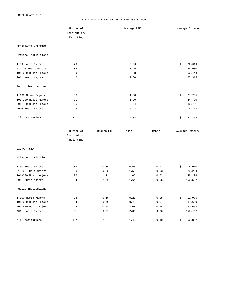#### MUSIC ADMINISTRATIVE AND STAFF ASSISTANCE

|                      | Number of    |            | Average FTE |              | Average Expense |
|----------------------|--------------|------------|-------------|--------------|-----------------|
|                      | Institutions |            |             |              |                 |
|                      | Reporting    |            |             |              |                 |
| SECRETARIAL/CLERICAL |              |            |             |              |                 |
| Private Institutions |              |            |             |              |                 |
| 1-50 Music Majors    | 73           |            | 2.26        |              | \$<br>20,614    |
| 51-100 Music Majors  | 86           |            | 1.45        |              | 29,980          |
| 101-200 Music Majors | 39           |            | 2.08        |              | 52,444          |
| 201+ Music Majors    | 42           |            | 7.80        |              | 165,315         |
| Public Institutions  |              |            |             |              |                 |
| 1-100 Music Majors   | 96           |            | 1.50        |              | \$<br>27,755    |
| 101-200 Music Majors | 91           |            | 1.90        |              | 44,730          |
| 201-400 Music Majors | 66           |            | 3.04        |              | 80,731          |
| 401+ Music Majors    | 48           |            | 6.48        |              | 179,113         |
| All Institutions     | 541          |            | 2.82        |              | \$<br>62,352    |
|                      | Number of    | Branch FTE | Main FTE    | Other FTE    | Average Expense |
|                      | Institutions |            |             |              |                 |
|                      | Reporting    |            |             |              |                 |
| LIBRARY STAFF        |              |            |             |              |                 |
| Private Institutions |              |            |             |              |                 |
| 1-50 Music Majors    | 39           | 0.39       | 0.53        | 0.01         | \$<br>16,070    |
| 51-100 Music Majors  | 50           | 0.53       | 1.55        | 0.03         | 23,224          |
| 101-200 Music Majors | 26           | 1.11       | 1.06        | 0.02         | 48,228          |
| 201+ Music Majors    | 34           | 2.76       | 1.64        | 0.06         | 152,567         |
| Public Institutions  |              |            |             |              |                 |
| 1-100 Music Majors   | 38           | 0.15       | 0.20        | 0.08         | \$<br>11,075    |
| 101-200 Music Majors | 54           | 0.40       | 0.75        | $0\,.\,0\,7$ | 34,600          |
| 201-400 Music Majors | 45           | 10.54      | 3.08        | 0.14         | 80,668          |
| 401+ Music Majors    | 41           | 3.97       | 2.33        | 0.36         | 155,447         |
| All Institutions     | 327          | 2.54       | 1.42        | 0.10         | \$<br>62,802    |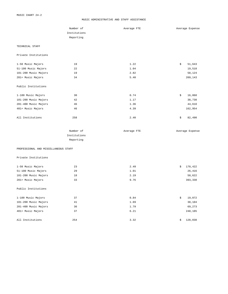#### MUSIC ADMINISTRATIVE AND STAFF ASSISTANCE

|                                      | Number of    | Average FTE | Average Expense |
|--------------------------------------|--------------|-------------|-----------------|
|                                      | Institutions |             |                 |
|                                      | Reporting    |             |                 |
|                                      |              |             |                 |
| TECHNICAL STAFF                      |              |             |                 |
| Private Institutions                 |              |             |                 |
| 1-50 Music Majors                    | 19           | 1.22        | \$<br>51,643    |
| 51-100 Music Majors                  | 22           | 1.04        | 19,510          |
| 101-200 Music Majors                 | 19           | 2.82        | 58,124          |
| 201+ Music Majors                    | 34           | 5.40        | 209,143         |
| Public Institutions                  |              |             |                 |
| 1-100 Music Majors                   | 30           | 0.74        | 16,068<br>\$    |
| 101-200 Music Majors                 | 42           | 1.17        | 38,730          |
| 201-400 Music Majors                 | 46           | 1.36        | 44,610          |
| 401+ Music Majors                    | 46           | 4.39        | 162,954         |
| All Institutions                     | 258          | 2.40        | \$<br>82,490    |
|                                      | Number of    | Average FTE | Average Expense |
|                                      | Institutions |             |                 |
|                                      | Reporting    |             |                 |
| PROFESSIONAL AND MISCELLANEOUS STAFF |              |             |                 |
| Private Institutions                 |              |             |                 |
| 1-50 Music Majors                    | 23           | 2.49        | \$<br>170,422   |
| 51-100 Music Majors                  | 29           | 1.01        | 26,416          |
| 101-200 Music Majors                 | 18           | 2.19        | 50,622          |
| 201+ Music Majors                    | 33           | 9.76        | 393,338         |
| Public Institutions                  |              |             |                 |
| 1-100 Music Majors                   | 37           | 0.84        | 19,072<br>\$    |
| 101-200 Music Majors                 | 41           | 1.69        | 38,104          |
| 201-400 Music Majors                 | 36           | 1.79        | 69,273          |
| 401+ Music Majors                    | 37           | 6.21        | 248,185         |
| All Institutions                     | 254          | 3.32        | 128,038<br>\$   |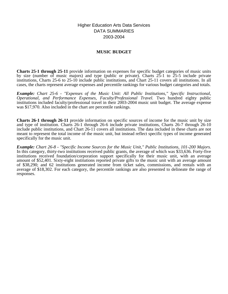Higher Education Arts Data Services DATA SUMMARIES 2003-2004

## **MUSIC BUDGET**

**Charts 25-1 through 25-11** provide information on expenses for specific budget categories of music units by size (number of music majors) and type (public or private). Charts  $2\bar{5}$ -1 to  $25$ -5 include private institutions, Charts 25-6 to 25-10 include public institutions, and Chart 25-11 covers all institutions. In all cases, the charts represent average expenses and percentile rankings for various budget categories and totals.

*Example: Chart 25-6 - "Expenses of the Music Unit: All Public Institutions," Specific Instructional, Operational, and Performance Expenses, Faculty/Professional Travel.* Two hundred eighty public institutions included faculty/professional travel in their 2003-2004 music unit budget. The average expense was \$17,970. Also included in the chart are percentile rankings.

**Charts 26-1 through 26-11** provide information on specific sources of income for the music unit by size and type of institution. Charts 26-1 through 26-6 include private institutions, Charts 26-7 through 26-10 include public institutions, and Chart 26-11 covers all institutions. The data included in these charts are not meant to represent the total income of the music unit, but instead reflect specific types of income generated specifically for the music unit.

*Example: Chart 26-8 - "Specific Income Sources for the Music Unit," Public Institutions, 101-200 Majors.* In this category, thirty-two institutions received public grants, the average of which was \$33,636. Forty-five institutions received foundation/corporation support specifically for their music unit, with an average amount of \$52,401. Sixty-eight institutions reported private gifts to the music unit with an average amount of \$38,290; and 62 institutions generated income from ticket sales, commissions, and rentals with an average of \$18,302. For each category, the percentile rankings are also presented to delineate the range of responses.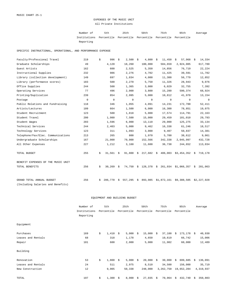## EXPENSES OF THE MUSIC UNIT All Private Institutions

| Number of                                                           | 5th | 25th | 50 t.h | 75th | 95th | Average |
|---------------------------------------------------------------------|-----|------|--------|------|------|---------|
| Institutions Percentile Percentile Percentile Percentile Percentile |     |      |        |      |      |         |
| Reporting                                                           |     |      |        |      |      |         |

SPECIFIC INSTRUCTIONAL, OPERATIONAL, AND PERFORMANCE EXPENSE

| Faculty/Professional Travel        | 219         | \$ | 996         | \$   | 2,500     | - \$ | 4,800      | - \$ | 11,450                                                   | $57,968$ \$<br>\$      | 14,334      |
|------------------------------------|-------------|----|-------------|------|-----------|------|------------|------|----------------------------------------------------------|------------------------|-------------|
| Graduate Scholarships              | 49          |    | 4,120       |      | 18,260    |      | 100,000    |      | 584,659                                                  | 2,924,005              | 617,780     |
| Guest Artists                      | 162         |    | 600         |      | 2,525     |      | 5,350      |      | 14,856                                                   | 76,719                 | 22,224      |
| Instructional Supplies             | 232         |    | 986         |      | 2,276     |      | 4,702      |      | 11,425                                                   | 39,591                 | 11,782      |
| Library (collection development)   | 149         |    | 697         |      | 1,834     |      | 4,000      |      | 11,300                                                   | 56,779                 | 12,852      |
| Library (performance scores)       | 183         |    | 500         |      | 2,270     |      | 5,750      |      | 11,326                                                   | 28,943                 | 9,076       |
| Office Supplies                    | 244         |    | 500         |      | 1,365     |      | 3,000      |      | 6,029                                                    | 32,755                 | 7,392       |
| Operating Services                 | 77          |    | 496         |      | 2,000     |      | 3,800      |      | 15,280                                                   | 590,374                | 68,924      |
| Printing/Duplication               | 239         |    | 854         |      | 2,995     |      | 5,000      |      | 10,812                                                   | 41,970                 | 13,154      |
| Postage                            | $\mathbf 0$ |    | $\mathbf 0$ |      | 0         |      | 0          |      | 0                                                        | 0                      | 0           |
| Public Relations and Fundraising   | 118         |    | 346         |      | 1,055     |      | 4,091      |      | 14,231                                                   | 172,700                | 52,411      |
| Artists/Lectures                   | 109         |    | 664         |      | 1,500     |      | 6,000      |      | 16,300                                                   | 78,851                 | 19,075      |
| Student Recruitment                | 123         |    | 500         |      | 1,818     |      | 5,000      |      | 17,574                                                   | 114,791                | 22,163      |
| Student Travel                     | 200         |    | 1,980       |      | 7,500     |      | 15,000     |      | 29,459                                                   | 101,010                | 29,793      |
| Student Wages                      | 203         |    | 1,596       |      | 6,000     |      | 13,110     |      | 29,000                                                   | 125,275                | 33,134      |
| Technical Services                 | 244         |    | 2,403       |      | 5,000     |      | 9,462      |      | 16,338                                                   | 61,246                 | 18,517      |
| Technology Services                | 123         |    | 311         |      | 1,093     |      | 3,000      |      | 9,407                                                    | 50,837                 | 14,381      |
| Telephone/Fax/Elec. Communications | 213         |    | 265         |      | 800       |      | 1,970      |      | 5,700                                                    | 38,612                 | 9,061       |
| Undergraduate Scholarships         | 167         |    | 21,000      |      | 79,000    |      | 152,566    |      | 342,338                                                  | 2,045,997              | 432,728     |
| All Other Expenses                 | 227         |    | 1,212       |      | 3,160     |      | 11,600     |      | 36,738                                                   | 244,652                | 113,034     |
| TOTAL BUDGET                       | 255         | \$ | $31,561$ \$ |      |           |      |            |      | $91,800 \Leftrightarrow 217,682 \Leftrightarrow 406,003$ | $$3,454,352$ \$        | 719,178     |
| BENEFIT EXPENSES OF THE MUSIC UNIT |             |    |             |      |           |      |            |      |                                                          |                        |             |
| TOTAL BENEFITS                     | 256         | \$ | 30,269      | - \$ | 74,750 \$ |      | 128,378 \$ |      |                                                          | 261,934 \$1,066,357 \$ | 281,063     |
| GRAND TOTAL ANNUAL BUDGET          | 256         | Ŝ. | 286,770     | \$   | 557,295   | \$   | 893,985    |      | \$1,872,161                                              | \$9,308,505            | \$2,227,928 |
| (Including Salaries and Benefits)  |             |    |             |      |           |      |            |      |                                                          |                        |             |

### EQUIPMENT AND BUILDING BUDGET

|                    | Number of    |    | 5th        |      | 25th       |    | 50th       |    | 75th       |    | 95th       |    | Average   |
|--------------------|--------------|----|------------|------|------------|----|------------|----|------------|----|------------|----|-----------|
|                    | Institutions |    | Percentile |      | Percentile |    | Percentile |    | Percentile |    | Percentile |    |           |
|                    | Reporting    |    |            |      |            |    |            |    |            |    |            |    |           |
| Equipment          |              |    |            |      |            |    |            |    |            |    |            |    |           |
| Purchases          | 169          | \$ | 1,410      | - \$ | 5,000      | Ŝ. | 15,000     | \$ | 37,100     | -Ŝ | 173,178    | S. | 40,930    |
| Leases and Rentals | 68           |    | 318        |      | 1,178      |    | 4,650      |    | 10,619     |    | 66,742     |    | 15,006    |
| Repair             | 101          |    | 600        |      | 2,000      |    | 5,000      |    | 11,902     |    | 60,000     |    | 12,489    |
| Building           |              |    |            |      |            |    |            |    |            |    |            |    |           |
| Renovation         | 53           | \$ | 1,800      | - \$ | $5,000$ \$ |    | 20,000     | Ŝ. | 30,000     | S. | 699,685    | Ŝ. | 136,091   |
| Leases and Rentals | 24           |    | 511        |      | 2,975      |    | 8,510      |    | 34,500     |    | 156,000    |    | 35,719    |
| New Construction   | 12           |    | 9,905      |      | 50,338     |    | 248,000    |    | 3,262,750  |    | 19,652,284 |    | 4,319,937 |
| TOTAL              | 197          | \$ | 1,300      | \$   | 8,000      | \$ | 27,035     | \$ | 70,964     | \$ | 432,740    | \$ | 350,803   |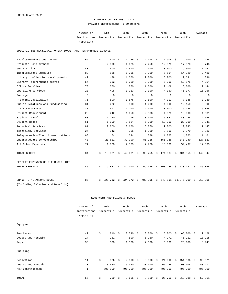## EXPENSES OF THE MUSIC UNIT Private Institutions; 1-50 Majors

Number of 5th 25th 50th 75th 95th Institutions Percentile Percentile Percentile Percentile Percentile Reporting Average

SPECIFIC INSTRUCTIONAL, OPERATIONAL, AND PERFORMANCE EXPENSE

| Faculty/Professional Travel        | 66          | \$ | 500          | \$ | $1,225$ \$  |    | $2,498$ \$  |      | 5,906        | \$<br>$14,000$ \$ |      | 4,444   |
|------------------------------------|-------------|----|--------------|----|-------------|----|-------------|------|--------------|-------------------|------|---------|
| Graduate Scholarships              | 6           |    | 2,300        |    | 4,025       |    | 7,250       |      | 12,875       | 17,320            |      | 8,743   |
| Guest Artists                      | 43          |    | 500          |    | 1,500       |    | 4,000       |      | 8,000        | 19,500            |      | 7,757   |
| Instructional Supplies             | 80          |    | 888          |    | 1,355       |    | 3,000       |      | 5,594        | 14,929            |      | 7,489   |
| Library (collection development)   | 49          |    | 428          |    | 1,000       |    | 2,200       |      | 5,700        | 12,641            |      | 4,336   |
| Library (performance scores)       | 54          |    | 232          |    | 1,050       |    | 3,000       |      | 5,000        | 12,575            |      | 4,254   |
| Office Supplies                    | 78          |    | 370          |    | 750         |    | 1,500       |      | 2,408        | 6,000             |      | 2,144   |
| Operating Services                 | 23          |    | 405          |    | 1,023       |    | 2,000       |      | 4,350        | 46,077            |      | 11,156  |
| Postage                            | $\mathbf 0$ |    | 0            |    | 0           |    | 0           |      | 0            | 0                 |      | 0       |
| Printing/Duplication               | 76          |    | 500          |    | 1,575       |    | 2,500       |      | 4,312        | 7,188             |      | 3,239   |
| Public Relations and Fundraising   | 31          |    | 232          |    | 800         |    | 1,400       |      | 4,000        | 12,150            |      | 3,590   |
| Artists/Lectures                   | 31          |    | 672          |    | 1,100       |    | 2,000       |      | 8,000        | 26,725            |      | 6,856   |
| Student Recruitment                | 26          |    | 242          |    | 1,050       |    | 2,388       |      | 4,525        | 16,000            |      | 4,331   |
| Student Travel                     | 58          |    | 1,140        |    | 4,296       |    | 10,000      |      | 15,822       | 40,225            |      | 12,556  |
| Student Wages                      | 61          |    | 1,000        |    | 2,864       |    | 6,000       |      | 13,000       | 22,000            |      | 8,341   |
| Technical Services                 | 81          |    | 2,000        |    | 3,600       |    | 5,250       |      | 9,000        | 20,743            |      | 7,147   |
| Technology Services                | 27          |    | 342          |    | 755         |    | 1,200       |      | 3,100        | 7,370             |      | 2,233   |
| Telephone/Fax/Elec. Communications | 68          |    | 154          |    | 394         |    | 788         |      | 1,825        | 4,863             |      | 1,461   |
| Undergraduate Scholarships         | 48          |    | 20,612       |    | 32,000      |    | 81,125      |      | 156,725      | 340,240           |      | 127,523 |
| All Other Expenses                 | 74          |    | 1,060        |    | 2,139       |    | 4,728       |      | 13,000       | 59,497            |      | 14,533  |
| TOTAL BUDGET                       | 84          | \$ | $15,381 \t5$ |    | $42,031$ \$ |    | $95,755$ \$ |      | $174,587$ \$ | 404,855           | - \$ | 142,847 |
| BENEFIT EXPENSES OF THE MUSIC UNIT |             |    |              |    |             |    |             |      |              |                   |      |         |
| TOTAL BENEFITS                     | 85          | \$ | 19,882       | \$ | $44,000$ \$ |    | 59,056      | - \$ | 103,246      | $$210,141$ \$     |      | 85,856  |
| GRAND TOTAL ANNUAL BUDGET          | 85          | Ŝ. | 225,712      | Ŝ. | 324,372     | Ŝ. | 480,395     | Ŝ.   | 643,891      | \$1,246,700       | Ŝ.   | 912,398 |
| (Including Salaries and Benefits)  |             |    |              |    |             |    |             |      |              |                   |      |         |

## EQUIPMENT AND BUILDING BUDGET

|                    | Number of    |    | 5th        |    | 25th       |    | 50th       |    | 75th       |     | 95th       |      | Average |
|--------------------|--------------|----|------------|----|------------|----|------------|----|------------|-----|------------|------|---------|
|                    | Institutions |    | Percentile |    | Percentile |    | Percentile |    | Percentile |     | Percentile |      |         |
|                    | Reporting    |    |            |    |            |    |            |    |            |     |            |      |         |
| Equipment          |              |    |            |    |            |    |            |    |            |     |            |      |         |
| Purchases          | 49           | \$ | 810        | Ŝ. | 3,540      | \$ | 8,000      | \$ | 15,000     | - Š | 65,200     | S.   | 19,128  |
| Leases and Rentals | 14           |    | 252        |    | 500        |    | 1,250      |    | 4,271      |     | 45,911     |      | 10,218  |
| Repair             | 33           |    | 320        |    | 1,500      |    | 4,000      |    | 6,000      |     | 25,180     |      | 8,941   |
| Building           |              |    |            |    |            |    |            |    |            |     |            |      |         |
| Renovation         | 11           | \$ | 926        | S. | $2,500$ \$ |    | 5,000      | Ŝ. | 24,000     | Ŝ.  | 454,936    | - \$ | 90,371  |
| Leases and Rentals | 3            |    | 3,630      |    | 15,350     |    | 30,000     |    | 65,225     |     | 93,405     |      | 43,717  |
| New Construction   | $\mathbf 1$  |    | 706,000    |    | 706,000    |    | 706,000    |    | 706,000    |     | 706,000    |      | 706,000 |
| TOTAL              | 56           | \$ | 750        | \$ | 3,656      | \$ | 8,850      | \$ | 25,750     | \$  | 213,718    | \$   | 57,261  |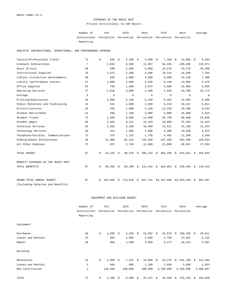## EXPENSES OF THE MUSIC UNIT Private Institutions; 51-100 Majors

| Number of                                                           | 5th | 25th | 50 t.h | 75th | 95th | Average |
|---------------------------------------------------------------------|-----|------|--------|------|------|---------|
| Institutions Percentile Percentile Percentile Percentile Percentile |     |      |        |      |      |         |
| Reporting                                                           |     |      |        |      |      |         |

SPECIFIC INSTRUCTIONAL, OPERATIONAL, AND PERFORMANCE EXPENSE

| Faculty/Professional Travel        | 73          | \$<br>838    | \$ | 2,500       | \$<br>4,000         | - \$ | 7,200       | \$<br>13,086  | - \$ | 5,362       |
|------------------------------------|-------------|--------------|----|-------------|---------------------|------|-------------|---------------|------|-------------|
| Graduate Scholarships              | 7           | 2,692        |    | 8,500       | 12,687              |      | 84,425      | 439,486       |      | 110,071     |
| Guest Artists                      | 59          | 590          |    | 2,680       | 5,000               |      | 10,570      | 24,570        |      | 20,200      |
| Instructional Supplies             | 76          | 1,075        |    | 2,930       | 4,500               |      | 10,144      | 18,639        |      | 7,254       |
| Library (collection development)   | 50          | 835          |    | 2,000       | 4,000               |      | 8,000       | 14,229        |      | 7,308       |
| Library (performance scores)       | 67          | 1,000        |    | 2,050       | 5,500               |      | 9,150       | 14,996        |      | 6,476       |
| Office Supplies                    | 84          | 758          |    | 1,500       | 2,875               |      | 5,000       | 16,683        |      | 5,050       |
| Operating Services                 | 27          | 1,010        |    | 2,000       | 3,500               |      | 4,943       | 16,109        |      | 32,174      |
| Postage                            | $\mathbf 0$ | $\mathbf 0$  |    | $\mathbf 0$ | $\mathbf 0$         |      | $\mathbf 0$ | $\mathbf 0$   |      | $\mathbf 0$ |
| Printing/Duplication               | 83          | 1,000        |    | 3,199       | 5,150               |      | 8,362       | 14,093        |      | 6,400       |
| Public Relations and Fundraising   | 42          | 334          |    | 1,000       | 2,850               |      | 6,418       | 10,221        |      | 6,011       |
| Artists/Lectures                   | 28          | 535          |    | 1,000       | 4,150               |      | 11,328      | 28,286        |      | 9,432       |
| Student Recruitment                | 41          | 500          |    | 1,100       | 3,000               |      | 5,000       | 25,000        |      | 5,623       |
| Student Travel                     | 73          | 1,300        |    | 8,500       | 14,000              |      | 25,790      | 80,600        |      | 23,846      |
| Student Wages                      | 66          | 2,465        |    | 6,221       | 12,284              |      | 20,000      | 37,463        |      | 15,452      |
| Technical Services                 | 84          | 2,936        |    | 5,188       | 10,000              |      | 14,911      | 21,190        |      | 11,253      |
| Technology Services                | 50          | 311          |    | 1,000       | 2,000               |      | 4,309       | 10,550        |      | 3,514       |
| Telephone/Fax/Elec. Communications | 72          | 378          |    | 1,152       | 1,750               |      | 4,402       | 11,308        |      | 3,450       |
| Undergraduate Scholarships         | 59          | 21,000       |    | 85,314      | 135,500             |      | 207,250     | 364,600       |      | 158,834     |
| All Other Expenses                 | 75          | 937          |    | 2,750       | 12,000              |      | 23,906      | 69,951        |      | 27,293      |
| TOTAL BUDGET                       | 87          | \$<br>34,126 | Ŝ. | 99,510      | \$<br>$205, 194$ \$ |      | 302,295     | \$<br>643,922 | \$   | 250,845     |
| BENEFIT EXPENSES OF THE MUSIC UNIT |             |              |    |             |                     |      |             |               |      |             |
| TOTAL BENEFITS                     | 87          | \$<br>60,259 | \$ | 89,398      | \$<br>121,442       |      | \$165,863   | \$239,463     | \$   | 133,543     |
| GRAND TOTAL ANNUAL BUDGET          | 87          | 455,489      | Ŝ. | 714,010     | \$<br>857,761       |      | \$1,107,588 | \$1,825,249   | Ŝ.   | 963,287     |
| (Including Salaries and Benefits)  |             |              |    |             |                     |      |             |               |      |             |

### EQUIPMENT AND BUILDING BUDGET

|                    | Number of<br>Institutions |    | 5th        | 25th |            | 50th |             | 75th |            | 95th |            | Average |           |
|--------------------|---------------------------|----|------------|------|------------|------|-------------|------|------------|------|------------|---------|-----------|
|                    |                           |    | Percentile |      | Percentile |      | Percentile  |      | Percentile |      | Percentile |         |           |
|                    | Reporting                 |    |            |      |            |      |             |      |            |      |            |         |           |
| Equipment          |                           |    |            |      |            |      |             |      |            |      |            |         |           |
| Purchases          | 58                        | \$ | 1,500      | -S   | 6,250      | \$   | 15,892      | \$   | 32,870     | Ŝ.   | 100,450    | - \$    | 28,011    |
| Leases and Rentals | 23                        |    | 365        |      | 1,056      |      | 2,500       |      | 4,750      |      | 23,925     |         | 5,222     |
| Repair             | 29                        |    | 850        |      | 1,500      |      | 3,050       |      | 9,471      |      | 16,512     |         | 5,607     |
| Building           |                           |    |            |      |            |      |             |      |            |      |            |         |           |
| Renovation         | 18                        | \$ | 2,000      | S.   | $7,325$ \$ |      | $13,500$ \$ |      | 23,375     | S.   | 531,100    | S.      | 112,484   |
| Leases and Rentals | 3                         |    | 560        |      | 800        |      | 1,100       |      | 2,650      |      | 3,890      |         | 1,933     |
| New Construction   | 3                         |    | 126,400    |      | 248,000    |      | 400,000     |      | 3,700,000  |      | 6,340,000  |         | 2,498,667 |
| TOTAL              | 73                        | \$ | 1,440      | Ŝ.   | 8,000      | \$   | 25,157      | \$   | 36,350     | \$   | 155,324    |         | \$156,628 |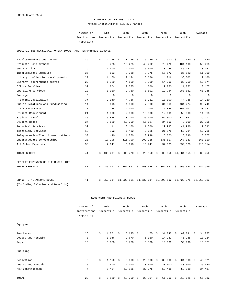# EXPENSES OF THE MUSIC UNIT Private Institutions; 101-200 Majors

| Number of                                                           | 5th | 25th | 50 t.h | 75th | 95th | Average |
|---------------------------------------------------------------------|-----|------|--------|------|------|---------|
| Institutions Percentile Percentile Percentile Percentile Percentile |     |      |        |      |      |         |
| Reporting                                                           |     |      |        |      |      |         |

SPECIFIC INSTRUCTIONAL, OPERATIONAL, AND PERFORMANCE EXPENSE

| Faculty/Professional Travel        | 39          | \$ | 2,156   | \$ | 3,255       | - \$ | 6,129                                  | - \$ | 9,970    | -S | 34,350      | - \$ | 14,040      |
|------------------------------------|-------------|----|---------|----|-------------|------|----------------------------------------|------|----------|----|-------------|------|-------------|
| Graduate Scholarships              | 8           |    | 8,438   |    | 19,225      |      | 48,462                                 |      | 70,470   |    | 104,100     |      | 50,415      |
| Guest Artists                      | 29          |    | 1,000   |    | 2,000       |      | 5,500                                  |      | 18,246   |    | 45,157      |      | 18,451      |
| Instructional Supplies             | 36          |    | 653     |    | 2,988       |      | 8,975                                  |      | 15,572   |    | 35,122      |      | 11,900      |
| Library (collection development)   | 27          |    | 1,150   |    | 2,134       |      | 5,686                                  |      | 14,716   |    | 36,302      |      | 12,160      |
| Library (performance scores)       | 29          |    | 1,320   |    | 4,500       |      | 8,300                                  |      | 14,000   |    | 30,750      |      | 10,574      |
| Office Supplies                    | 39          |    | 804     |    | 2,575       |      | 4,500                                  |      | 9,250    |    | 21,752      |      | 8,177       |
| Operating Services                 | 12          |    | 1,910   |    | 2,750       |      | 8,602                                  |      | 19,764   |    | 288,661     |      | 60,188      |
| Postage                            | $\mathbf 0$ |    | 0       |    | $\mathbf 0$ |      | $\mathbf 0$                            |      | $\Omega$ |    | $\Omega$    |      | $\circ$     |
| Printing/Duplication               | 37          |    | 2,940   |    | 4,756       |      | 8,931                                  |      | 18,000   |    | 44,738      |      | 14,220      |
| Public Relations and Fundraising   | 14          |    | 695     |    | 1,900       |      | 7,500                                  |      | 34,568   |    | 434,274     |      | 95,749      |
| Artists/Lectures                   | 20          |    | 785     |    | 2,000       |      | 4,700                                  |      | 6,848    |    | 167,402     |      | 23,941      |
| Student Recruitment                | 21          |    | 1,000   |    | 2,300       |      | 10,000                                 |      | 12,609   |    | 50,000      |      | 14,815      |
| Student Travel                     | 35          |    | 6,835   |    | 13,100      |      | 25,000                                 |      | 52,300   |    | 124,867     |      | 39,177      |
| Student Wages                      | 37          |    | 3,629   |    | 10,000      |      | 16,687                                 |      | 34,500   |    | 72,600      |      | 27,958      |
| Technical Services                 | 39          |    | 4,111   |    | 8,100       |      | 11,500                                 |      | 29,997   |    | 41,980      |      | 17,693      |
| Technology Services                | 18          |    | 192     |    | 1,432       |      | 3,625                                  |      | 21,875   |    | 50,714      |      | 13,715      |
| Telephone/Fax/Elec. Communications | 33          |    | 440     |    | 1,750       |      | 3,998                                  |      | 6,570    |    | 26,890      |      | 6,577       |
| Undergraduate Scholarships         | 28          |    | 17,295  |    | 116,700     |      | 202,125                                |      | 536,817  |    | 967,333     |      | 363,310     |
| All Other Expenses                 | 38          |    | 2,641   |    | 6,918       |      | 15,741                                 |      | 32,065   |    | 830,329     |      | 216,814     |
| TOTAL BUDGET                       | 41          | Ŝ. | 103,217 | Ŝ. |             |      | 209,770 \$ 323,350 \$                  |      | 600,356  |    | \$1,381,355 | Ŝ.   | 688,250     |
| BENEFIT EXPENSES OF THE MUSIC UNIT |             |    |         |    |             |      |                                        |      |          |    |             |      |             |
| TOTAL BENEFITS                     | 41          | \$ | 86,497  |    |             |      | $$151,861$ $$250,625$ $$352,363$       |      |          |    | \$665,623   | \$   | 282,999     |
| GRAND TOTAL ANNUAL BUDGET          | 41          | s  | 850,214 |    |             |      | $$1,220,861$ $$1,537,614$ $$2,393,592$ |      |          |    | \$3,422,975 |      | \$2,060,213 |
| (Including Salaries and Benefits)  |             |    |         |    |             |      |                                        |      |          |    |             |      |             |

|                    | Number of      | 5th              |      | 25th       | 50th         | 75th         |      | 95th       | Average      |
|--------------------|----------------|------------------|------|------------|--------------|--------------|------|------------|--------------|
|                    | Institutions   | Percentile       |      | Percentile | Percentile   | Percentile   |      | Percentile |              |
|                    | Reporting      |                  |      |            |              |              |      |            |              |
| Equipment          |                |                  |      |            |              |              |      |            |              |
| Purchases          | 26             | \$<br>$1,761$ \$ |      | 6,625      | \$<br>14,475 | \$<br>31,045 | S.   | 80,841     | \$<br>34,257 |
| Leases and Rentals | 8              | 1,046            |      | 2,670      | 6,350        | 14,232       |      | 45,285     | 13,924       |
| Repair             | 15             | 3,050            |      | 3,788      | 5,500        | 10,000       |      | 50,996     | 13,871       |
| Building           |                |                  |      |            |              |              |      |            |              |
| Renovation         | 9              | \$<br>1,150      | - \$ | $5,000$ \$ | 20,000       | \$<br>30,000 | - \$ | 201,800    | \$<br>49,321 |
| Leases and Rentals | 5              | 600              |      | 1,000      | 3,600        | 23,000       |      | 88,600     | 26,620       |
| New Construction   | $\overline{4}$ | 5,464            |      | 12,125     | 37,075       | 59,438       |      | 59,888     | 34,487       |
| TOTAL              | 29             | \$<br>6,580      | -S   | 12,000     | \$<br>29,994 | \$<br>61,000 | Ŝ.   | 313,625    | \$<br>66,382 |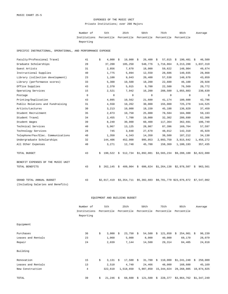### EXPENSES OF THE MUSIC UNIT Private Institutions; over 200 Majors

Number of 5th 25th 50th 75th 95th Institutions Percentile Percentile Percentile Percentile Percentile Reporting Average

SPECIFIC INSTRUCTIONAL, OPERATIONAL, AND PERFORMANCE EXPENSE

| Faculty/Professional Travel        | 41          | 4,000<br>\$   | 10,000<br>Ŝ.  | 26,400<br>- \$ | 57,015<br>\$        | 190,481<br>\$                                                | 46,509<br>\$ |
|------------------------------------|-------------|---------------|---------------|----------------|---------------------|--------------------------------------------------------------|--------------|
| Graduate Scholarships              | 28          | 37,200        | 105,250       | 548,776        | 1,716,864           | 3, 213, 288                                                  | 1,037,319    |
| Guest Artists                      | 31          | 2,856         | 7,670         | 18,000         | 59,622              | 148,984                                                      | 49,674       |
| Instructional Supplies             | 40          | 1,775         | 5,894         | 12,550         | 28,686              | 140,035                                                      | 28,868       |
| Library (collection development)   | 23          | 1,100         | 9,043         | 20,400         | 57,538              | 148,670                                                      | 43,859       |
| Library (performance scores)       | 33          | 5,300         | 10,500        | 18,200         | 22,600              | 46,100                                                       | 20,928       |
| Office Supplies                    | 43          | 2,370         | 5,915         | 9,700          | 22,500              | 76,569                                                       | 20,772       |
| Operating Services                 | 15          | 2,521         | 7,942         | 16,200         | 288,500             | 1,055,883                                                    | 230,639      |
| Postage                            | $\mathbf 0$ | 0             | 0             | 0              | $\mathbf{0}$        | $\circ$                                                      | $\circ$      |
| Printing/Duplication               | 43          | 4,095         | 10,562        | 21,600         | 41,174              | 180,600                                                      | 42,796       |
| Public Relations and Fundraising   | 31          | 4,550         | 10,262        | 30,000         | 155,000             | 725,270                                                      | 144,525      |
| Artists/Lectures                   | 30          | 3,213         | 10,000        | 18,150         | 45,188              | 136,829                                                      | 37,459       |
| Student Recruitment                | 35          | 2,873         | 10,750        | 25,000         | 78,584              | 184,900                                                      | 59,193       |
| Student Travel                     | 34          | 2,455         | 7,700         | 19,000         | 32,302              | 280,699                                                      | 62,306       |
| Student Wages                      | 39          | 8,240         | 30,000        | 60,400         | 117,364             | 362,691                                                      | 106,749      |
| Technical Services                 | 40          | 5,967         | 13,125        | 28,987         | 87,396              | 169,764                                                      | 57,597       |
| Technology Services                | 28          | 745           | 3,848         | 27,670         | 48,012              | 142,310                                                      | 45,929       |
| Telephone/Fax/Elec. Communications | 40          | 1,350         | 4,343         | 14,350         | 38,500              | 187,212                                                      | 34,130       |
| Undergraduate Scholarships         | 32          | 144,406       | 452,000       | 995,053        | 2,093,750           | 3,815,642                                                    | 1,456,272    |
| All Other Expenses                 | 40          | 3,271         | 12,748        | 45,700         | 158,369             | 1,100,193                                                    | 357,435      |
| TOTAL BUDGET                       | 43          | 190,522<br>\$ | - \$          |                |                     | 512,734 \$1,892,081 \$3,565,234 \$9,208,100 \$2,822,080      |              |
| BENEFIT EXPENSES OF THE MUSIC UNIT |             |               |               |                |                     |                                                              |              |
| TOTAL BENEFITS                     | 43          | 262,145<br>Ŝ. | 489,904<br>\$ | \$             | 606,824 \$1,264,138 | \$2,978,507                                                  | \$963,561    |
| GRAND TOTAL ANNUAL BUDGET          | 43          | \$2,017,419   |               |                |                     | \$3,354,711 \$5,302,603 \$9,701,770 \$23,076,872 \$7,547,002 |              |
| (Including Salaries and Benefits)  |             |               |               |                |                     |                                                              |              |

|                    | Number of                 | 5th              |     | 25th        |    | 50th       |            | 75th       |      | 95th                    |    | Average    |
|--------------------|---------------------------|------------------|-----|-------------|----|------------|------------|------------|------|-------------------------|----|------------|
|                    | Institutions<br>Reporting | Percentile       |     | Percentile  |    | Percentile |            | Percentile |      | Percentile              |    |            |
| Equipment          |                           |                  |     |             |    |            |            |            |      |                         |    |            |
| Purchases          | 36                        | \$<br>3,000      | S.  | $23,750$ \$ |    | 54,500     | Ŝ.         | 121,850    | - \$ | $254,901 \t5$           |    | 96,239     |
| Leases and Rentals | 23                        | 1,060            |     | 5,000       |    | 8,000      |            | 40,000     |      | 69,170                  |    | 28,079     |
| Repair             | 24                        | 2,039            |     | 7,144       |    | 14,500     |            | 29,314     |      | 84,405                  |    | 24,818     |
| Building           |                           |                  |     |             |    |            |            |            |      |                         |    |            |
| Renovation         | 15                        | \$<br>$3,131$ \$ |     | $17,500$ \$ |    | 31,700     |            | \$110,000  |      | \$1,241,248             | Ŝ. | 250,009    |
| Leases and Rentals | 13                        | 2,510            |     | 4,740       |    | 24,466     |            | 48,000     |      | 168,600                 |    | 45,169     |
| New Construction   | $\overline{4}$            | 322,610          |     | 1,518,650   |    | 5,987,850  |            | 15,344,024 |      | 28,268,805              |    | 10,874,825 |
| TOTAL              | 39                        | \$<br>21,246     | - S | 68,600      | Ŝ. | 121,500    | $\ddot{s}$ | 228,377    |      | \$3,864,762 \$1,347,249 |    |            |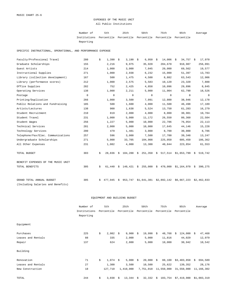# EXPENSES OF THE MUSIC UNIT All Public Institutions

| Number of                                                           | 5th | 25th | 50 t.h | 75th | 95th | Average |
|---------------------------------------------------------------------|-----|------|--------|------|------|---------|
| Institutions Percentile Percentile Percentile Percentile Percentile |     |      |        |      |      |         |
| Reporting                                                           |     |      |        |      |      |         |

SPECIFIC INSTRUCTIONAL, OPERATIONAL, AND PERFORMANCE EXPENSE

| Faculty/Professional Travel        | 280         | \$<br>1,390   | \$ | 3,190       | - \$ | 6,950              | \$<br>14,006  | \$<br>$34,757$ \$       | 17,970      |
|------------------------------------|-------------|---------------|----|-------------|------|--------------------|---------------|-------------------------|-------------|
| Graduate Scholarships              | 155         | 2,216         |    | 9,975       |      | 35,920             | 204,670       | 910,987                 | 256,091     |
| Guest Artists                      | 214         | 1,000         |    | 3,000       |      | 7,045              | 20,000        | 69,562                  | 19,577      |
| Instructional Supplies             | 271         | 1,000         |    | 2,938       |      | 6,232              | 15,000        | 51,397                  | 13,783      |
| Library (collection development)   | 167         | 500           |    | 1,475       |      | 4,500              | 8,882         | 63,543                  | 12,906      |
| Library (performance scores)       | 212         | 1,000         |    | 2,575       |      | 5,583              | 10,120        | 23,320                  | 7,888       |
| Office Supplies                    | 282         | 752           |    | 2,425       |      | 4,858              | 10,096        | 29,896                  | 8,845       |
| Operating Services                 | 138         | 1,000         |    | 2,211       |      | 5,000              | 11,904        | 62,790                  | 18,526      |
| Postage                            | $\mathbf 0$ | 0             |    | $\mathbf 0$ |      | 0                  | 0             | 0                       | $\circ$     |
| Printing/Duplication               | 266         | 1,000         |    | 3,500       |      | 7,091              | 12,800        | 38,946                  | 12,178      |
| Public Relations and Fundraising   | 185         | 500           |    | 1,600       |      | 4,000              | 11,500        | 46,498                  | 17,189      |
| Artists/Lectures                   | 138         | 900           |    | 1,638       |      | 5,524              | 13,750        | 61,283                  | 16,279      |
| Student Recruitment                | 210         | 819           |    | 2,000       |      | 4,000              | 8,000         | 30,901                  | 10,784      |
| Student Travel                     | 231         | 1,000         |    | 5,000       |      | 11,172             | 26,550        | 80,360                  | 22,504      |
| Student Wages                      | 256         | 1,227         |    | 5,000       |      | 10,000             | 22,786        | 76,054                  | 22,113      |
| Technical Services                 | 281         | 2,000         |    | 5,000       |      | 10,000             | 17,645        | 44,146                  | 15,228      |
| Technology Services                | 200         | 479           |    | 1,481       |      | 3,000              | 8,700         | 30,000                  | 8,786       |
| Telephone/Fax/Elec. Communications | 257         | 596           |    | 3,000       |      | 7,500              | 17,700        | 39,348                  | 13,247      |
| Undergraduate Scholarships         | 271         | 5,000         |    | 33,705      |      | 104,908            | 225,050       | 605,450                 | 186,362     |
| All Other Expenses                 | 231         | 1,082         |    | 4,000       |      | 13,300             | 40,844        | 223,854                 | 61,553      |
| TOTAL BUDGET                       | 303         | \$<br>28,836  | \$ | 104,288     |      | \$251,350          | \$<br>517,514 | $$1,653,799$ $$519,742$ |             |
| BENEFIT EXPENSES OF THE MUSIC UNIT |             |               |    |             |      |                    |               |                         |             |
| TOTAL BENEFITS                     | 305         | \$<br>61,440  | Ŝ. |             |      | 140,421 \$ 255,000 | \$470,000     | $$1,164,970 \$390,275$  |             |
| GRAND TOTAL ANNUAL BUDGET          | 305         | \$<br>477,945 | \$ | 953,747     |      | \$1,641,381        | \$2,892,142   | \$6,667,223             | \$2,462,833 |
| (Including Salaries and Benefits)  |             |               |    |             |      |                    |               |                         |             |

|                    | Number of    | 5th         |      | 25th        | 50th        | 75th          |    | 95th        |      | Average     |
|--------------------|--------------|-------------|------|-------------|-------------|---------------|----|-------------|------|-------------|
|                    | Institutions | Percentile  |      | Percentile  | Percentile  | Percentile    |    | Percentile  |      |             |
|                    | Reporting    |             |      |             |             |               |    |             |      |             |
| Equipment          |              |             |      |             |             |               |    |             |      |             |
| Purchases          | 225          | \$<br>2,982 | - \$ | $9,900$ \$  | 19,998      | \$<br>48,768  | -Ŝ | 124,000     | - \$ | 47,468      |
| Leases and Rentals | 88           | 335         |      | 2,000       | 5,000       | 11,816        |    | 44,029      |      | 12,979      |
| Repair             | 137          | 624         |      | 2,800       | 5,000       | 10,000        |    | 30,942      |      | 10,542      |
| Building           |              |             |      |             |             |               |    |             |      |             |
| Renovation         | 71           | \$<br>1,074 | \$   | $5,000$ \$  | $20,000$ \$ | 88,100        |    | \$3,403,858 | \$   | 694,589     |
| Leases and Rentals | 27           | 1,300       |      | 3,500       | 10,500      | 25,622        |    | 139,352     |      | 28,176      |
| New Construction   | 18           | 127,710     |      | 1,410,000   | 7,751,018   | 11,550,000    |    | 31,550,000  |      | 11,166,302  |
| TOTAL              | 244          | \$<br>3,038 | \$   | $13,344$ \$ | 32,332      | \$<br>103,754 |    | \$7,419,988 |      | \$1,083,319 |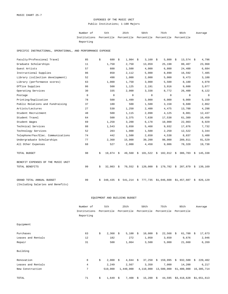# EXPENSES OF THE MUSIC UNIT Public Institutions; 1-100 Majors

| Number of                                                           | 5th | 25th | 50 t.h | 75th | 95th | Average |
|---------------------------------------------------------------------|-----|------|--------|------|------|---------|
| Institutions Percentile Percentile Percentile Percentile Percentile |     |      |        |      |      |         |
| Reporting                                                           |     |      |        |      |      |         |

SPECIFIC INSTRUCTIONAL, OPERATIONAL, AND PERFORMANCE EXPENSE

| Faculty/Professional Travel        | 85          | \$ | 680         | \$ | $1,984$ \$  | 3,160                    | - \$ | 5,800                   | \$<br>$13,574$ \$ | 4,796         |
|------------------------------------|-------------|----|-------------|----|-------------|--------------------------|------|-------------------------|-------------------|---------------|
| Graduate Scholarships              | 11          |    | 1,750       |    | 2,750       | 13,059                   |      | 25,198                  | 80,407            | 23,968        |
| Guest Artists                      | 57          |    | 600         |    | 1,500       | 4,000                    |      | 6,800                   | 24,400            | 6,684         |
| Instructional Supplies             | 86          |    | 850         |    | 2,112       | 5,000                    |      | 8,890                   | 16,592            | 7,485         |
| Library (collection development)   | 52          |    | 498         |    | 1,000       | 2,000                    |      | 5,000                   | 9,473             | 3,188         |
| Library (performance scores)       | 63          |    | 1,000       |    | 1,750       | 3,000                    |      | 5,500                   | 8,180             | 4,070         |
| Office Supplies                    | 86          |    | 500         |    | 1,125       | 2,191                    |      | 3,916                   | 9,600             | 3,077         |
| Operating Services                 | 30          |    | 335         |    | 2,000       | 3,338                    |      | 8,772                   | 26,400            | 8,122         |
| Postage                            | $\mathbf 0$ |    | $\mathbf 0$ |    | 0           | 0                        |      | 0                       | 0                 | 0             |
| Printing/Duplication               | 78          |    | 500         |    | 1,499       | 3,000                    |      | 6,000                   | 9,009             | 5,159         |
| Public Relations and Fundraising   | 37          |    | 180         |    | 500         | 1,500                    |      | 3,158                   | 9,680             | 2,862         |
| Artists/Lectures                   | 27          |    | 530         |    | 1,250       | 2,400                    |      | 4,475                   | 13,700            | 4,298         |
| Student Recruitment                | 48          |    | 500         |    | 1,115       | 2,098                    |      | 4,125                   | 8,081             | 12,437        |
| Student Travel                     | 64          |    | 500         |    | 3,375       | 7,638                    |      | 17,538                  | 61,389            | 16,459        |
| Student Wages                      | 69          |    | 1,258       |    | 3,200       | 6,178                    |      | 10,000                  | 22,003            | 8,929         |
| Technical Services                 | 88          |    | 1,543       |    | 3,650       | 5,468                    |      | 9,932                   | 17,876            | 7,732         |
| Technology Services                | 52          |    | 203         |    | 1,000       | 1,500                    |      | 2,250                   | 12,522            | 3,344         |
| Telephone/Fax/Elec. Communications | 74          |    | 442         |    | 1,500       | 2,650                    |      | 4,538                   | 8,837             | 3,400         |
| Undergraduate Scholarships         | 77          |    | 2,360       |    | 15,000      | 39,200                   |      | 98,000                  | 289,811           | 81,529        |
| All Other Expenses                 | 68          |    | 527         |    | 2,000       | 4,450                    |      | 9,086                   | 78,320            | 19,738        |
| TOTAL BUDGET                       | 98          | \$ | $19,874$ \$ |    | 49,560      | \$<br>101,522 \$ 182,912 |      |                         | \$<br>386,703 \$  | 145,338       |
| BENEFIT EXPENSES OF THE MUSIC UNIT |             |    |             |    |             |                          |      |                         |                   |               |
| TOTAL BENEFITS                     | 99          | \$ | 32,983      | S. | $70,552$ \$ |                          |      | 120,000 \$ 179,782      | $$287,879$ \$     | 139,169       |
| GRAND TOTAL ANNUAL BUDGET          | 99          | Ŝ. | 348,435     | \$ | 541,214     |                          |      | $$777,735$ $$1,046,608$ | \$1,457,607       | \$<br>826,129 |
| (Including Salaries and Benefits)  |             |    |             |    |             |                          |      |                         |                   |               |

|                    | Number of      | 5th         |    | 25th                  | 50th         |    | 75th        |    | 95th        |      | Average     |
|--------------------|----------------|-------------|----|-----------------------|--------------|----|-------------|----|-------------|------|-------------|
|                    | Institutions   | Percentile  |    | Percentile Percentile |              |    | Percentile  |    | Percentile  |      |             |
|                    | Reporting      |             |    |                       |              |    |             |    |             |      |             |
| Equipment          |                |             |    |                       |              |    |             |    |             |      |             |
| Purchases          | 63             | \$<br>2,368 | S. | $5,100$ \$            | 10,000       | \$ | $22,568$ \$ |    | 61,700      | - \$ | 17,673      |
| Leases and Rentals | 12             | 182         |    | 272                   | 1,050        |    | 3,650       |    | 9,676       |      | 2,946       |
| Repair             | 31             | 500         |    | 1,064                 | 3,500        |    | 5,000       |    | 21,660      |      | 6,269       |
| Building           |                |             |    |                       |              |    |             |    |             |      |             |
| Renovation         | 8              | \$<br>2,000 | S. | $4,044 \t$ \$         | 37,250       | Ŝ. | 159,995     | S. | 932,500     | Ŝ.   | 220,402     |
| Leases and Rentals | $\overline{4}$ | 2,249       |    | 2,567                 | 3,350        |    | 7,000       |    | 14,200      |      | 6,217       |
| New Construction   | 7              | 519,000     |    | 1,440,000             | 4,110,000    |    | 13,500,000  |    | 61,400,000  |      | 16,305,714  |
| TOTAL              | 71             | \$<br>1,649 | \$ | 7,408                 | \$<br>15,200 | \$ | 44,595      |    | \$3,418,628 |      | \$1,651,613 |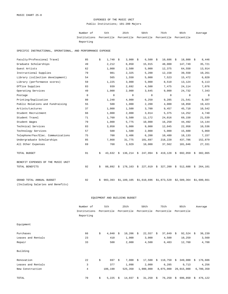## EXPENSES OF THE MUSIC UNIT Public Institutions; 101-200 Majors

| Number of                                                           | 5th | 25th | 50 t.h | 75th | 95th | Average |
|---------------------------------------------------------------------|-----|------|--------|------|------|---------|
| Institutions Percentile Percentile Percentile Percentile Percentile |     |      |        |      |      |         |
| Reporting                                                           |     |      |        |      |      |         |

SPECIFIC INSTRUCTIONAL, OPERATIONAL, AND PERFORMANCE EXPENSE

| Faculty/Professional Travel        | 85          | \$ | 1,740       | \$<br>3,000 | - \$ | 6,500                              | - \$ | 10,686      | \$ | 18,800      | - \$ | 8,446       |
|------------------------------------|-------------|----|-------------|-------------|------|------------------------------------|------|-------------|----|-------------|------|-------------|
| Graduate Scholarships              | 49          |    | 2,212       | 6,850       |      | 15,915                             |      | 48,000      |    | 147,749     |      | 35,721      |
| Guest Artists                      | 62          |    | 1,000       | 2,500       |      | 5,000                              |      | 12,375      |    | 64,550      |      | 13,914      |
| Instructional Supplies             | 79          |    | 981         | 2,325       |      | 5,200                              |      | 12,158      |    | 39,550      |      | 10,261      |
| Library (collection development)   | 54          |    | 565         | 1,550       |      | 5,000                              |      | 7,523       |    | 15,472      |      | 6,820       |
| Library (performance scores)       | 59          |    | 1,225       | 3,000       |      | 5,000                              |      | 8,510       |    | 13,124      |      | 6,113       |
| Office Supplies                    | 83          |    | 939         | 2,692       |      | 4,500                              |      | 7,475       |    | 24,114      |      | 7,076       |
| Operating Services                 | 49          |    | 1,000       | 2,000       |      | 3,645                              |      | 9,000       |    | 24,732      |      | 7,343       |
| Postage                            | $\mathbf 0$ |    | $\mathbf 0$ | $\mathbf 0$ |      | $\mathbf 0$                        |      | $\mathbf 0$ |    | $\mathbf 0$ |      | 0           |
| Printing/Duplication               | 80          |    | 1,248       | 4,000       |      | 6,250                              |      | 9,285       |    | 21,541      |      | 8,397       |
| Public Relations and Fundraising   | 55          |    | 500         | 1,000       |      | 2,200                              |      | 4,000       |    | 18,850      |      | 19,423      |
| Artists/Lectures                   | 37          |    | 1,000       | 1,500       |      | 3,700                              |      | 9,457       |    | 45,710      |      | 10,542      |
| Student Recruitment                | 66          |    | 1,000       | 2,000       |      | 3,014                              |      | 5,375       |    | 14,252      |      | 4,740       |
| Student Travel                     | 71          |    | 1,760       | 5,500       |      | 11,172                             |      | 24,016      |    | 69,150      |      | 21,539      |
| Student Wages                      | 79          |    | 1,000       | 5,775       |      | 10,000                             |      | 16,250      |    | 44,492      |      | 14,144      |
| Technical Services                 | 83          |    | 3,050       | 5,000       |      | 9,000                              |      | 12,045      |    | 22,958      |      | 10,536      |
| Technology Services                | 57          |    | 500         | 1,500       |      | 2,000                              |      | 5,000       |    | 15,600      |      | 5,069       |
| Telephone/Fax/Elec. Communications | 75          |    | 700         | 3,406       |      | 6,200                              |      | 10,480      |    | 18,133      |      | 7,157       |
| Undergraduate Scholarships         | 85          |    | 7,868       | 31,775      |      | 101,697                            |      | 218,220     |    | 437,786     |      | 152,879     |
| All Other Expenses                 | 69          |    | 768         | 3,929       |      | 10,000                             |      | 37,562      |    | 101,046     |      | 27,331      |
| TOTAL BUDGET                       | 91          | \$ | 43,632      | \$          |      | $136,214 \quad $247,994 \quad $$   |      | 419,128     | Ŝ. | 692,059     | \$   | 302,065     |
| BENEFIT EXPENSES OF THE MUSIC UNIT |             |    |             |             |      |                                    |      |             |    |             |      |             |
| TOTAL BENEFITS                     | 92          | \$ | 88,892      |             |      | $$178,163$$ $$227,919$$ $$327,200$ |      |             |    | \$512,688   | \$   | 264,101     |
| GRAND TOTAL ANNUAL BUDGET          | 92          | Ŝ. | 903,393     | \$1,189,105 |      | \$1,610,696                        |      | \$1,873,520 |    | \$2,589,364 |      | \$1,600,661 |
| (Including Salaries and Benefits)  |             |    |             |             |      |                                    |      |             |    |             |      |             |

|                    | Number of      | 5th         |    | 25th        |    | 50th       |    | 75th       |    | 95th       |    | Average   |
|--------------------|----------------|-------------|----|-------------|----|------------|----|------------|----|------------|----|-----------|
|                    | Institutions   | Percentile  |    | Percentile  |    | Percentile |    | Percentile |    | Percentile |    |           |
|                    | Reporting      |             |    |             |    |            |    |            |    |            |    |           |
| Equipment          |                |             |    |             |    |            |    |            |    |            |    |           |
| Purchases          | 66             | \$<br>4,040 | -Ŝ | $10,206$ \$ |    | 22,557     | Ŝ. | 37,849     | S. | 92,524     | S. | 36,239    |
| Leases and Rentals | 23             | 410         |    | 1,900       |    | 3,000      |    | 4,500      |    | 10,259     |    | 3,560     |
| Repair             | 33             | 500         |    | 2,000       |    | 4,500      |    | 6,483      |    | 12,760     |    | 4,708     |
| Building           |                |             |    |             |    |            |    |            |    |            |    |           |
| Renovation         | 22             | \$<br>697   | S. | 7,000       | S. | 17,500     | Ŝ. | 118,750    | S. | 349,000    | Ŝ. | 176,606   |
| Leases and Rentals | 3              | 377         |    | 1,098       |    | 2,000      |    | 6,285      |    | 9,713      |    | 4,256     |
| New Construction   | $\overline{4}$ | 106,190     |    | 525,350     |    | 1,900,000  |    | 8,075,000  |    | 20,015,000 |    | 6,700,350 |
| TOTAL              | 70             | \$<br>5,225 | Ŝ. | 14,037      | \$ | 31,250     | \$ | 76,250     | \$ | 696,850    | \$ | 476,122   |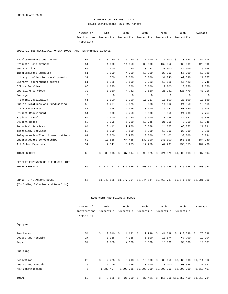## EXPENSES OF THE MUSIC UNIT Public Institutions; 201-400 Majors

| Number of                                                           | 5th | 25th | 50 t.h | 75th | 95th | Average |
|---------------------------------------------------------------------|-----|------|--------|------|------|---------|
| Institutions Percentile Percentile Percentile Percentile Percentile |     |      |        |      |      |         |
| Reporting                                                           |     |      |        |      |      |         |

SPECIFIC INSTRUCTIONAL, OPERATIONAL, AND PERFORMANCE EXPENSE

| Faculty/Professional Travel        | 62          | \$<br>3,240  | \$<br>5,250   | \$<br>11,000          | - \$ | 15,000      | \$<br>23,683 | - \$ | 42,514      |
|------------------------------------|-------------|--------------|---------------|-----------------------|------|-------------|--------------|------|-------------|
| Graduate Scholarships              | 51          | 1,000        | 11,950        | 38,000                |      | 162,052     | 536,009      |      | 123,990     |
| Guest Artists                      | 55          | 2,000        | 4,250         | 8,723                 |      | 20,000      | 42,009       |      | 15,696      |
| Instructional Supplies             | 61          | 2,000        | 4,000         | 10,000                |      | 20,000      | 56,700       |      | 17,139      |
| Library (collection development)   | 31          | 500          | 3,000         | 6,000                 |      | 31,040      | 62,530       |      | 21,857      |
| Library (performance scores)       | 51          | 1,125        | 3,800         | 7,223                 |      | 12,116      | 16,423       |      | 8,745       |
| Office Supplies                    | 66          | 1,225        | 4,500         | 6,000                 |      | 12,000      | 28,750       |      | 10,650      |
| Operating Services                 | 32          | 1,910        | 4,762         | 9,810                 |      | 25,261      | 120,479      |      | 43,216      |
| Postage                            | $\mathbf 0$ | $\mathbf 0$  | $\mathbf 0$   | $\mathbf 0$           |      | $\mathbf 0$ | $\mathbf 0$  |      | 0           |
| Printing/Duplication               | 61          | 3,000        | 7,000         | 10,123                |      | 18,500      | 28,800       |      | 13,659      |
| Public Relations and Fundraising   | 50          | 1,267        | 2,575         | 5,038                 |      | 14,962      | 24,850       |      | 13,165      |
| Artists/Lectures                   | 40          | 995          | 2,375         | 8,000                 |      | 16,741      | 60,650       |      | 16,004      |
| Student Recruitment                | 51          | 500          | 2,750         | 6,000                 |      | 9,350       | 24,400       |      | 7,757       |
| Student Travel                     | 54          | 2,000        | 5,150         | 15,000                |      | 30,736      | 82,682       |      | 26,336      |
| Student Wages                      | 60          | 2,095        | 6,250         | 12,745                |      | 21,255      | 40,250       |      | 18,045      |
| Technical Services                 | 64          | 3,412        | 9,900         | 16,388                |      | 24,625      | 66,052       |      | 21,091      |
| Technology Services                | 52          | 1,000        | 2,500         | 5,000                 |      | 10,000      | 20,000       |      | 7,019       |
| Telephone/Fax/Elec. Communications | 61          | 3,000        | 8,975         | 13,500                |      | 25,403      | 33,000       |      | 16,034      |
| Undergraduate Scholarships         | 62          | 13,855       | 64,468        | 132,000               |      | 240,000     | 550,658      |      | 184,740     |
| All Other Expenses                 | 54          | 2,341        | 8,275         | 17,250                |      | 42,297      | 236,855      |      | 102,438     |
| TOTAL BUDGET                       | 66          | \$<br>88,918 | \$<br>237,514 | \$395,025             | - \$ | 721,579     | \$1,309,618  | S.   | 587,694     |
| BENEFIT EXPENSES OF THE MUSIC UNIT |             |              |               |                       |      |             |              |      |             |
| TOTAL BENEFITS                     | 66          | \$177,762    | \$336,625     | $$400,572 \t$575,458$ |      |             | \$775,388    | \$   | 463,943     |
| GRAND TOTAL ANNUAL BUDGET          | 66          | \$1,342,525  | \$1,977,794   | \$2,844,144           |      | \$3,468,737 | \$5,541,129  |      | \$2,981,319 |
| (Including Salaries and Benefits)  |             |              |               |                       |      |             |              |      |             |

|                    | Number of    | 5th         |      | 25th                  | 50th         | 75th         |      | 95th                    |    | Average     |
|--------------------|--------------|-------------|------|-----------------------|--------------|--------------|------|-------------------------|----|-------------|
|                    | Institutions | Percentile  |      | Percentile Percentile |              | Percentile   |      | Percentile              |    |             |
|                    | Reporting    |             |      |                       |              |              |      |                         |    |             |
| Equipment          |              |             |      |                       |              |              |      |                         |    |             |
| Purchases          | 54           | \$<br>2,010 | - S  | $11,632$ \$           | 19,999       | \$<br>41,699 | - \$ | 113,538                 | S. | 76,538      |
| Leases and Rentals | 27           | 1,335       |      | 4,335                 | 6,500        | 13,874       |      | 67,700                  |    | 19,104      |
| Repair             | 37           | 1,850       |      | 4,000                 | 5,000        | 15,000       |      | 30,000                  |    | 10,661      |
| Building           |              |             |      |                       |              |              |      |                         |    |             |
| Renovation         | 20           | \$<br>2,438 | - \$ | 5,213 \$              | $15,000$ \$  | 89,650       |      | \$8,885,000             |    | \$1,211,562 |
| Leases and Rentals | 5            | 1,209       |      | 2,046                 | 10,000       | 10,100       |      | 93,626                  |    | 27,531      |
| New Construction   | 5            | 1,880,407   |      | 8,002,035             | 10,200,000   |              |      | 12,000,000 12,000,000   |    | 8,510,407   |
| TOTAL              | 59           | \$<br>8,625 | Ŝ.   | 21,000                | \$<br>37,421 |              |      | $$116,066$ \$10,657,459 |    | \$1,219,734 |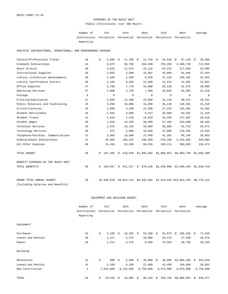### EXPENSES OF THE MUSIC UNIT Public Institutions; over 400 Majors

Number of 5th 25th 50th 75th 95th Institutions Percentile Percentile Percentile Percentile Percentile Reporting Average

SPECIFIC INSTRUCTIONAL, OPERATIONAL, AND PERFORMANCE EXPENSE

| Faculty/Professional Travel        | 48 | \$ | 4,350       | - \$ | 11,786  | $\ddot{s}$ | 21,750    | - \$ | 34,916                                                            | \$<br>67,149 | \$<br>26,460 |
|------------------------------------|----|----|-------------|------|---------|------------|-----------|------|-------------------------------------------------------------------|--------------|--------------|
| Graduate Scholarships              | 44 |    | 6,075       |      | 50,750  |            | 318,500   |      | 755,260                                                           | 3,400,720    | 712,650      |
| Guest Artists                      | 40 |    | 4,825       |      | 11,875  |            | 22,122    |      | 54,225                                                            | 117,684      | 52,065       |
| Instructional Supplies             | 45 |    | 2,055       |      | 5,600   |            | 15,851    |      | 42,000                                                            | 81,846       | 27,454       |
| Library (collection development)   | 30 |    | 1,428       |      | 2,660   |            | 8,250     |      | 37,125                                                            | 108,401      | 31,452       |
| Library (performance scores)       | 39 |    | 1,348       |      | 8,250   |            | 12,600    |      | 21,215                                                            | 31,491       | 15,621       |
| Office Supplies                    | 47 |    | 2,790       |      | 7,770   |            | 15,000    |      | 20,130                                                            | 61,375       | 19,986       |
| Operating Services                 | 27 |    | 1,000       |      | 2,750   |            | 7,500     |      | 20,836                                                            | 65,302       | 21,118       |
| Postage                            | 0  |    | 0           |      | 0       |            | 0         |      | 0                                                                 | $\mathbf 0$  | $\circ$      |
| Printing/Duplication               | 47 |    | 2,606       |      | 12,400  |            | 22,000    |      | 32,136                                                            | 80,372       | 28,341       |
| Public Relations and Fundraising   | 43 |    | 3,388       |      | 10,000  |            | 15,000    |      | 36,136                                                            | 135,391      | 31,338       |
| Artists/Lectures                   | 34 |    | 1,000       |      | 4,250   |            | 12,500    |      | 37,225                                                            | 135,681      | 32,362       |
| Student Recruitment                | 45 |    | 1,555       |      | 4,800   |            | 9,614     |      | 20,000                                                            | 83,597       | 21,319       |
| Student Travel                     | 42 |    | 1,610       |      | 7,479   |            | 14,623    |      | 26,256                                                            | 147,007      | 28,419       |
| Student Wages                      | 48 |    | 1,826       |      | 14,250  |            | 30,000    |      | 67,395                                                            | 253,699      | 59,266       |
| Technical Services                 | 46 |    | 1,875       |      | 10,152  |            | 19,880    |      | 38,800                                                            | 91,753       | 29,874       |
| Technology Services                | 39 |    | 975         |      | 4,000   |            | 10,000    |      | 21,608                                                            | 118,391      | 23,832       |
| Telephone/Fax/Elec. Communications | 47 |    | 3,950       |      | 19,500  |            | 27,460    |      | 41,262                                                            | 95,140       | 34,853       |
| Undergraduate Scholarships         | 47 |    | 49,984      |      | 156,422 |            | 236,869   |      | 578,166                                                           | 1,194,993    | 420,803      |
| All Other Expenses                 | 40 |    | 11,416      |      | 22,266  |            | 66,556    |      | 140,111                                                           | 569,655      | 136,475      |
| TOTAL BUDGET                       | 48 | S. | 197,305     |      |         |            |           |      | $$518,550$ $$1,005,402$ $$1,988,662$ $$6,003,740$ $$1,603,398$    |              |              |
| BENEFIT EXPENSES OF THE MUSIC UNIT |    |    |             |      |         |            |           |      |                                                                   |              |              |
| TOTAL BENEFITS                     | 48 | Ŝ. | 269,597     | \$   | 641,517 |            | \$879,348 |      | \$1,258,090                                                       | \$1,990,426  | \$1,048,719  |
| GRAND TOTAL ANNUAL BUDGET          | 48 |    | \$1,936,049 |      |         |            |           |      | $$3,915,212$ $$5,642,902$ $$7,434,542$ $$15,961,254$ $$6,778,115$ |              |              |
| (Including Salaries and Benefits)  |    |    |             |      |         |            |           |      |                                                                   |              |              |

|                    | Number of      | 5th          |    | 25th       |    | 50th       |    | 75th       | 95th          |    | Average   |
|--------------------|----------------|--------------|----|------------|----|------------|----|------------|---------------|----|-----------|
|                    | Institutions   | Percentile   |    | Percentile |    | Percentile |    | Percentile | Percentile    |    |           |
|                    | Reporting      |              |    |            |    |            |    |            |               |    |           |
| Equipment          |                |              |    |            |    |            |    |            |               |    |           |
| Purchases          | 42             | \$<br>5,150  | -Ŝ | 18,326     | S. | 53,500     | \$ | 91,875     | 230,185<br>Ŝ. | Ŝ. | 72,428    |
| Leases and Rentals | 26             | 1,471        |    | 5,375      |    | 10,000     |    | 26,473     | 47,038        |    | 19,579    |
| Repair             | 36             | 1,214        |    | 3,375      |    | 6,300      |    | 24,583     | 48,750        |    | 19,445    |
| Building           |                |              |    |            |    |            |    |            |               |    |           |
| Renovation         | 21             | \$<br>890    | \$ | 5,000      | S. | 20,000     | Ŝ. | 40,000     | \$1,008,302   | Ŝ. | 925,526   |
| Leases and Rentals | 15             | 5,100        |    | 9,250      |    | 21,000     |    | 41,490     | 150,606       |    | 39,032    |
| New Construction   | $\overline{a}$ | 7,625,000    |    | 8,125,000  |    | 8,750,000  |    | 9,375,000  | 9,875,000     |    | 8,750,000 |
| TOTAL              | 44             | \$<br>10,510 | \$ | 33,062     | \$ | 95,182     | \$ | 192,750    | \$6,986,952   | \$ | 949,377   |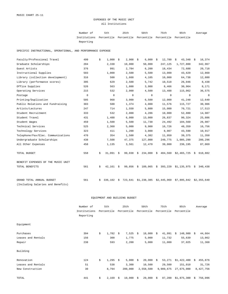### EXPENSES OF THE MUSIC UNIT All Institutions

Number of 5th 25th 50th 75th 95th Institutions Percentile Percentile Percentile Percentile Percentile Reporting Average

SPECIFIC INSTRUCTIONAL, OPERATIONAL, AND PERFORMANCE EXPENSE

| Faculty/Professional Travel        | 499         | \$ | 1,000       | \$ | 2,908       | - \$ | 6,000       | - \$ | 12,780      | $43,348$ \$<br>\$ |      | 16,374      |
|------------------------------------|-------------|----|-------------|----|-------------|------|-------------|------|-------------|-------------------|------|-------------|
| Graduate Scholarships              | 204         |    | 2,330       |    | 10,000      |      | 50,000      |      | 247,125     | 1,727,800         |      | 342,967     |
| Guest Artists                      | 376         |    | 991         |    | 2,784       |      | 6,200       |      | 18,434      | 72,688            |      | 20,718      |
| Instructional Supplies             | 503         |    | 1,000       |    | 2,500       |      | 5,500       |      | 13,000      | 43,629            |      | 12,860      |
| Library (collection development)   | 316         |    | 500         |    | 1,668       |      | 4,105       |      | 10,000      | 64,738            |      | 12,880      |
| Library (performance scores)       | 395         |    | 629         |    | 2,500       |      | 5,742       |      | 10,518      | 26,046            |      | 8,438       |
| Office Supplies                    | 526         |    | 563         |    | 1,800       |      | 3,988       |      | 8,466       | 30,964            |      | 8,171       |
| Operating Services                 | 215         |    | 532         |    | 2,000       |      | 4,500       |      | 13,488      | 115,062           |      | 36,575      |
| Postage                            | $\mathbf 0$ |    | $\mathbf 0$ |    | $\mathbf 0$ |      | 0           |      | $\mathbf 0$ | $\mathbf 0$       |      | 0           |
| Printing/Duplication               | 505         |    | 968         |    | 3,000       |      | 6,500       |      | 12,000      | 41,248            |      | 12,640      |
| Public Relations and Fundraising   | 303         |    | 500         |    | 1,374       |      | 4,000       |      | 11,576      | 115,727           |      | 30,906      |
| Artists/Lectures                   | 247         |    | 714         |    | 1,550       |      | 5,800       |      | 15,000      | 70,721            |      | 17,513      |
| Student Recruitment                | 333         |    | 532         |    | 2,000       |      | 4,286       |      | 10,000      | 52,880            |      | 14,987      |
| Student Travel                     | 431         |    | 1,488       |    | 6,000       |      | 13,000      |      | 26,837      | 90,324            |      | 25,886      |
| Student Wages                      | 459         |    | 1,500       |    | 5,500       |      | 11,730      |      | 24,492      | 104,560           |      | 26,987      |
| Technical Services                 | 525         |    | 2,360       |    | 5,000       |      | 9,900       |      | 16,726      | 48,359            |      | 16,756      |
| Technology Services                | 323         |    | 411         |    | 1,200       |      | 3,000       |      | 8,907       | 43,590            |      | 10,917      |
| Telephone/Fax/Elec. Communications | 470         |    | 354         |    | 1,500       |      | 4,382       |      | 11,950      | 39,375            |      | 11,350      |
| Undergraduate Scholarships         | 438         |    | 7,508       |    | 47,375      |      | 127,000     |      | 249,775     | 1,005,290         |      | 280,296     |
| All Other Expenses                 | 458         |    | 1,135       |    | 3,561       |      | 12,470      |      | 39,000      | 236,195           |      | 87,069      |
| TOTAL BUDGET                       | 558         | \$ | 31,091      | S. | 99,038      | \$   | 234,000     |      | \$484,560   | \$2,465,725       | - \$ | 610,882     |
| BENEFIT EXPENSES OF THE MUSIC UNIT |             |    |             |    |             |      |             |      |             |                   |      |             |
| TOTAL BENEFITS                     | 561         | \$ | 42,161      | \$ | 99,856      | \$   | 189,065     | - \$ | 393,220     | $$1,135,975$ \$   |      | 340,438     |
| GRAND TOTAL ANNUAL BUDGET          | 561         | Ŝ. | 336,102     | \$ | 723,641     |      | \$1,238,385 |      | \$2,445,960 | \$7,895,842       |      | \$2,355,640 |
| (Including Salaries and Benefits)  |             |    |             |    |             |      |             |      |             |                   |      |             |

|                    | Number of    | 5th         |      | 25th       |    | 50th       | 75th         | 95th          |    | Average   |
|--------------------|--------------|-------------|------|------------|----|------------|--------------|---------------|----|-----------|
|                    | Institutions | Percentile  |      | Percentile |    | Percentile | Percentile   | Percentile    |    |           |
|                    | Reporting    |             |      |            |    |            |              |               |    |           |
| Equipment          |              |             |      |            |    |            |              |               |    |           |
| Purchases          | 394          | \$<br>1,782 | - \$ | 7,525      | Ŝ. | 18,000     | \$<br>41,991 | 148,980<br>Ŝ. | Ŝ. | 44,664    |
| Leases and Rentals | 156          | 300         |      | 1,775      |    | 5,000      | 11,732       | 55,639        |    | 13,862    |
| Repair             | 238          | 593         |      | 2,200      |    | 5,000      | 11,000       | 37,025        |    | 11,368    |
| Building           |              |             |      |            |    |            |              |               |    |           |
| Renovation         | 124          | \$<br>1,295 | - \$ | 5,000      | \$ | 20,000     | \$<br>53,271 | \$1,422,400   | \$ | 455,876   |
| Leases and Rentals | 51           | 538         |      | 3,300      |    | 10,500     | 29,500       | 151,010       |    | 31,726    |
| New Construction   | 30           | 8,794       |      | 200,000    |    | 2,558,500  | 9,989,675    | 27,675,000    |    | 8,427,756 |
| TOTAL              | 441          | \$<br>2,169 | Ŝ.   | 10,000     | \$ | 29,000     | \$<br>87,200 | \$1,875,300   | \$ | 756,096   |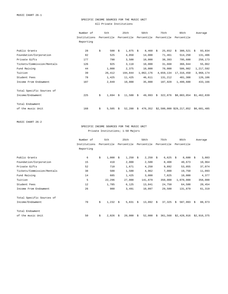## SPECIFIC INCOME SOURCES FOR THE MUSIC UNIT All Private Institutions

|                            | Number of    | 5th         | 25th              | 50th          | 75th          | 95th                     | Average      |
|----------------------------|--------------|-------------|-------------------|---------------|---------------|--------------------------|--------------|
|                            | Institutions | Percentile  | Percentile        | Percentile    | Percentile    | Percentile               |              |
|                            | Reporting    |             |                   |               |               |                          |              |
|                            |              |             |                   |               |               |                          |              |
| Public Grants              | 28           | \$<br>500   | $1,875$ \$<br>Ŝ.  | 8,460         | 25,652<br>S.  | 300,521<br>-Ŝ            | 93,834<br>S. |
| Foundation/Corporation     | 82           | 525         | 4,050             | 14,000        | 71,461        | 514,250                  | 131,406      |
| Private Gifts              | 177          | 790         | 3,500             | 10,000        | 38,393        | 795,600                  | 250,173      |
| Tickets/Commission/Rentals | 126          | 925         | 3,118             | 10,000        | 31,668        | 366,944                  | 55,062       |
| Fund Raising               | 44           | 1,000       | 2,375             | 10,000        | 70,000        | 586,982                  | 1,217,592    |
| Tuition                    | 39           | 26,412      | 194,844           | 1,062,176     | 4,659,134     | 17,316,450               | 3,968,174    |
| Student Fees               | 78           | 1,425       | 11,425            | 46,611        | 131,212       | 481,308                  | 126,106      |
| Income From Endowment      | 107          | 2,049       | 10,000            | 35,000        | 187,920       | 1,499,600                | 433,166      |
| Total Specific Sources of  |              |             |                   |               |               |                          |              |
| Income/Endowment           | 225          | \$<br>1,694 | $11,500$ \$<br>Ŝ. | 49,993        | 322,876<br>Ŝ. | \$8,003,054              | \$1,462,839  |
| Total Endowment            |              |             |                   |               |               |                          |              |
| of the music Unit          | 168          | \$<br>5,505 | 52,288<br>Ŝ.      | 476,352<br>S. |               | \$2,500,000 \$29,217,852 | \$6,681,485  |
|                            |              |             |                   |               |               |                          |              |

MUSIC CHART 26-2

SPECIFIC INCOME SOURCES FOR THE MUSIC UNIT Private Institutions; 1-50 Majors

|                            | Number of    | 5th         |    | 25th       |    | 50th       |    | 75th       |    | 95th        |      | Average     |
|----------------------------|--------------|-------------|----|------------|----|------------|----|------------|----|-------------|------|-------------|
|                            | Institutions | Percentile  |    | Percentile |    | Percentile |    | Percentile |    | Percentile  |      |             |
|                            | Reporting    |             |    |            |    |            |    |            |    |             |      |             |
| Public Grants              | 6            | \$<br>1,000 | Ŝ. | 1,250      | S. | 2,250      | Ŝ. | 6,625      | -Ŝ | 8,600       | - \$ | 3,883       |
| Foundation/Corporation     | 15           | 410         |    | 2,000      |    | 2,500      |    | 8,408      |    | 40,673      |      | 10,964      |
| Private Gifts              | 52           | 710         |    | 1,671      |    | 4,250      |    | 9,892      |    | 53,055      |      | 37,074      |
| Tickets/Commission/Rentals | 38           | 500         |    | 1,500      |    | 4,962      |    | 7,000      |    | 19,750      |      | 11,093      |
| Fund Raising               | 14           | 685         |    | 1,425      |    | 3,000      |    | 7,825      |    | 10,000      |      | 4,377       |
| Tuition                    | 5            | 22,296      |    | 27,000     |    | 141,879    |    | 350,000    |    | 1,070,000   |      | 358,000     |
| Student Fees               | 12           | 1,785       |    | 6,125      |    | 13,841     |    | 24,750     |    | 64,500      |      | 20,454      |
| Income From Endowment      | 26           | 980         |    | 3,491      |    | 10,097     |    | 29,500     |    | 131,879     |      | 61,319      |
| Total Specific Sources of  |              |             |    |            |    |            |    |            |    |             |      |             |
| Income/Endowment           | 70           | \$<br>1,232 | S. | 5,831 \$   |    | 13,092     | Ŝ. | 37,325     | Ŝ. | 587,993     | S.   | 88,973      |
| Total Endowment            |              |             |    |            |    |            |    |            |    |             |      |             |
| of the music Unit          | 50           | \$<br>2,026 | Ŝ. | 20,000     | Ŝ. | 52,000     | Ŝ. | 361,568    |    | \$2,428,916 |      | \$2,916,375 |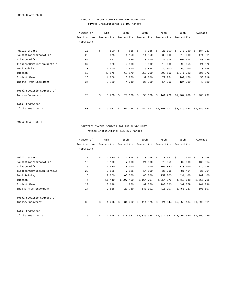## SPECIFIC INCOME SOURCES FOR THE MUSIC UNIT Private Institutions; 51-100 Majors

|                            | Number of    | 5th         |    | 25th           |     | 50th       |    | 75th        | 95th         |    | Average     |
|----------------------------|--------------|-------------|----|----------------|-----|------------|----|-------------|--------------|----|-------------|
|                            | Institutions | Percentile  |    | Percentile     |     | Percentile |    | Percentile  | Percentile   |    |             |
|                            | Reporting    |             |    |                |     |            |    |             |              |    |             |
| Public Grants              | 10           | \$<br>500   | Ŝ. | 625            | - S | 7,365      | -S | 20,000      | 973,250<br>Ŝ | Ŝ  | 184,223     |
| Foundation/Corporation     | 28           | 675         |    | 4,150          |     | 11,350     |    | 35,000      | 915,000      |    | 171,811     |
| Private Gifts              | 66           | 562         |    | 4,529          |     | 10,000     |    | 25,914      | 107,314      |    | 43,789      |
| Tickets/Commission/Rentals | 37           | 980         |    | 2,500          |     | 5,092      |    | 15,000      | 98,055       |    | 21,072      |
| Fund Raising               | 13           | 1,000       |    | 2,500          |     | 6,844      |    | 29,000      | 59,200       |    | 18,696      |
| Tuition                    | 12           | 42,876      |    | 69,170         |     | 350,700    |    | 802,500     | 1,941,722    |    | 596,372     |
| Student Fees               | 26           | 1,808       |    | 8,850          |     | 32,000     |    | 72,254      | 200,176      |    | 58,019      |
| Income From Endowment      | 37           | 2,130       |    | 4,210          |     | 25,000     |    | 54,000      | 124,099      |    | 40,580      |
| Total Specific Sources of  |              |             |    |                |     |            |    |             |              |    |             |
| Income/Endowment           | 78           | \$<br>3,700 | Ŝ. | $20,000 \t$ \$ |     | 58,120     | Ŝ. | 141,726     | \$1,264,786  | S. | 265,797     |
| Total Endowment            |              |             |    |                |     |            |    |             |              |    |             |
|                            |              |             |    |                |     |            |    |             |              |    |             |
| of the music Unit          | 58           | \$<br>9,931 | Ŝ. | 67,158         | S.  | 444,371    |    | \$1,093,772 | \$2,619,453  |    | \$1,089,053 |

MUSIC CHART 26-4

## SPECIFIC INCOME SOURCES FOR THE MUSIC UNIT Private Institutions; 101-200 Majors

|                            | Number of    | 5th          |    | 25th       |    | 50th       |    | 75th       | 95th                                 | Average     |
|----------------------------|--------------|--------------|----|------------|----|------------|----|------------|--------------------------------------|-------------|
|                            | Institutions | Percentile   |    | Percentile |    | Percentile |    | Percentile | Percentile                           |             |
|                            | Reporting    |              |    |            |    |            |    |            |                                      |             |
|                            |              |              |    |            |    |            |    |            |                                      |             |
| Public Grants              | 2            | \$<br>2,580  | Ŝ. | $2,898$ \$ |    | $3,295$ \$ |    | 3,692      | $4,010$ \$<br>Ŝ.                     | 3,295       |
| Foundation/Corporation     | 15           | 3,100        |    | 7,000      |    | 24,000     |    | 70,858     | 802,000                              | 136,514     |
| Private Gifts              | 25           | 1,320        |    | 8,000      |    | 14,000     |    | 105,840    | 770,400                              | 219,734     |
| Tickets/Commission/Rentals | 22           | 2,525        |    | 7,125      |    | 14,500     |    | 35,298     | 81,464                               | 36,304      |
| Fund Raising               | 5            | 17,000       |    | 65,000     |    | 85,000     |    | 157,000    | 431,400                              | 162,400     |
| Tuition                    | 7            | 11,440       |    | 1,297,400  |    | 3,164,797  |    | 4,054,079  | 4,710,648                            | 2,666,718   |
| Student Fees               | 20           | 3,698        |    | 14,850     |    | 92,750     |    | 183,520    | 497,079                              | 161,736     |
| Income From Endowment      | 14           | 9,825        |    | 27,769     |    | 143,391    |    | 415,107    | 2,450,227                            | 600,507     |
| Total Specific Sources of  |              |              |    |            |    |            |    |            |                                      |             |
| Income/Endowment           | 36           | \$<br>1,206  | Ŝ. | 34,462     | S. | 114,375    | Ŝ. | 621,844    | \$5,355,134                          | \$1.096.311 |
| Total Endowment            |              |              |    |            |    |            |    |            |                                      |             |
| of the music Unit          | 26           | \$<br>14,375 | Ŝ. | 210,931    |    |            |    |            | \$1,836,924 \$4,912,527 \$13,992,350 | \$7,009,189 |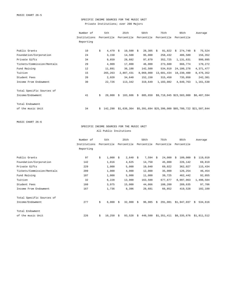# SPECIFIC INCOME SOURCES FOR THE MUSIC UNIT Private Institutions; over 200 Majors

| Number of    | 5th | 25th        | 50th                                                                                                     | 75th                 | 95th                                                                         | Average                                                                                                                                             |
|--------------|-----|-------------|----------------------------------------------------------------------------------------------------------|----------------------|------------------------------------------------------------------------------|-----------------------------------------------------------------------------------------------------------------------------------------------------|
| Institutions |     | Percentile  | Percentile                                                                                               | Percentile           | Percentile                                                                   |                                                                                                                                                     |
| Reporting    |     |             |                                                                                                          |                      |                                                                              |                                                                                                                                                     |
|              |     |             |                                                                                                          |                      |                                                                              |                                                                                                                                                     |
|              |     |             |                                                                                                          |                      |                                                                              | 75,524<br>\$                                                                                                                                        |
| 24           |     | 14,500      |                                                                                                          | 258,432              | 486,589                                                                      | 156,352                                                                                                                                             |
| 34           |     | 28,682      |                                                                                                          | 352,725              | 1,131,631                                                                    | 999,095                                                                                                                                             |
| 29           |     | 17,800      |                                                                                                          | 273,600              | 666,774                                                                      | 170,272                                                                                                                                             |
| 12           |     | 36,188      | 142,500                                                                                                  | 534,910              | 24,100,278                                                                   | 4,371,477                                                                                                                                           |
| 15           |     | 2,807,431   |                                                                                                          | 13,681,434           | 18,230,400                                                                   | 8,476,352                                                                                                                                           |
| 20           |     | 34,640      | 152,150                                                                                                  | 315,450              | 735,050                                                                      | 242,381                                                                                                                                             |
| 30           |     | 113,342     | 319,649                                                                                                  |                      | 4,649,763                                                                    | 1,161,530                                                                                                                                           |
|              |     |             |                                                                                                          |                      |                                                                              |                                                                                                                                                     |
| 41           | Ŝ.  | Ŝ.          |                                                                                                          |                      |                                                                              |                                                                                                                                                     |
|              |     |             |                                                                                                          |                      |                                                                              |                                                                                                                                                     |
| 34           | Ŝ.  |             |                                                                                                          |                      |                                                                              |                                                                                                                                                     |
|              | 10  | \$<br>2,920 | Percentile<br>4,479<br>S.<br>3,150<br>9,659<br>4,909<br>11,891<br>265,263<br>22,726<br>20,000<br>142,290 | $10,500 \text{ }$ \$ | $28,305$ \$<br>95,000<br>97,870<br>46,000<br>8,069,000<br>183,606 \$ 885,650 | 81,822<br>274,748<br>S.<br>1,103,082<br>\$9,718,045 \$23,583,000 \$6,407,594<br>$$1,636,364$ $$5,391,694$ $$25,396,000$ $$85,780,722$ $$21,507,844$ |

MUSIC CHART 26-6

## SPECIFIC INCOME SOURCES FOR THE MUSIC UNIT All Public Insitutions

|                            | Number of    | 5th          |    | 25th        |    | 50th       |    | 75th        | 95th         | Average       |
|----------------------------|--------------|--------------|----|-------------|----|------------|----|-------------|--------------|---------------|
|                            | Institutions | Percentile   |    | Percentile  |    | Percentile |    | Percentile  | Percentile   |               |
|                            | Reporting    |              |    |             |    |            |    |             |              |               |
|                            |              |              |    |             |    |            |    |             |              |               |
| Public Grants              | 97           | \$<br>1,000  | -Ŝ | 2,640       | S. | 7,594      | Ŝ. | 24,000      | 109,000<br>Ŝ | 119,010<br>S  |
| Foundation/Corporation     | 142          | 1,016        |    | 4,625       |    | 14,750     |    | 45,000      | 226,142      | 69,819        |
| Private Gifts              | 229          | 1,000        |    | 5,000       |    | 19,040     |    | 69,022      | 362,027      | 115,434       |
| Tickets/Commission/Rentals | 209          | 1,000        |    | 4,000       |    | 12,000     |    | 35,000      | 126,254      | 46,454        |
| Fund Raising               | 107          | 1,000        |    | 5,000       |    | 11,000     |    | 39,725      | 462,442      | 92,055        |
| Tuition                    | 32           | 6,228        |    | 13,000      |    | 163,500    |    | 677,677     | 8,097,063    | 1,498,504     |
| Student Fees               | 160          | 3,975        |    | 15,000      |    | 44,866     |    | 108,200     | 289,635      | 97,706        |
| Income From Endowment      | 167          | 1,736        |    | 8,396       |    | 28,681     |    | 66,852      | 419,528      | 102,109       |
| Total Specific Sources of  |              |              |    |             |    |            |    |             |              |               |
| Income/Endowment           | 277          | \$<br>6,000  | Ŝ. | $32,900$ \$ |    | 96,985     | Ŝ. | 291,081     | \$1,947,037  | 534,616<br>Ŝ. |
| Total Endowment            |              |              |    |             |    |            |    |             |              |               |
| of the music Unit          | 226          | \$<br>10,250 | Ŝ. | 93,528      | S. | 448,500    |    | \$1,351,411 | \$8,335,676  | \$1,811,512   |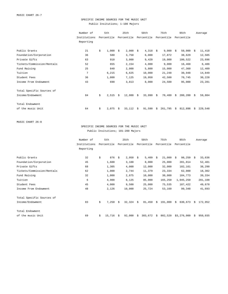# SPECIFIC INCOME SOURCES FOR THE MUSIC UNIT Public Insitutions; 1-100 Majors

|                            | Number of    | 5th         |    | 25th                 |     | 50th       |    | 75th       |    | 95th       |    | Average |
|----------------------------|--------------|-------------|----|----------------------|-----|------------|----|------------|----|------------|----|---------|
|                            | Institutions | Percentile  |    | Percentile           |     | Percentile |    | Percentile |    | Percentile |    |         |
|                            | Reporting    |             |    |                      |     |            |    |            |    |            |    |         |
|                            |              |             |    |                      |     |            |    |            |    |            |    |         |
| Public Grants              | 21           | \$<br>1,000 | Ŝ. | 2,000                | - S | 4,318      | Ŝ. | 9,000      | Ŝ. | 50,000     | -S | 11,418  |
| Foundation/Corporation     | 36           | 580         |    | 3,750                |     | 6,000      |    | 17,872     |    | 38,629     |    | 12,505  |
| Private Gifts              | 63           | 910         |    | 3,000                |     | 9,420      |    | 19,000     |    | 100,522    |    | 23,696  |
| Tickets/Commission/Rentals | 52           | 655         |    | 2,154                |     | 4,000      |    | 9,000      |    | 16,468     |    | 6,486   |
| Fund Raising               | 25           | 840         |    | 2,000                |     | 5,800      |    | 15,000     |    | 47,360     |    | 12,409  |
| Tuition                    | 7            | 6,215       |    | 6,625                |     | 10,000     |    | 21,248     |    | 30,948     |    | 14,849  |
| Student Fees               | 36           | 1,800       |    | 7,125                |     | 19,950     |    | 42,500     |    | 70,745     |    | 30,228  |
| Income From Endowment      | 43           | 690         |    | 3,813                |     | 8,000      |    | 24,500     |    | 95,000     |    | 23,281  |
| Total Specific Sources of  |              |             |    |                      |     |            |    |            |    |            |    |         |
| Income/Endowment           | 84           | \$<br>2,515 | Ŝ. | $12,000 \text{ }$ \$ |     | 33,990     | \$ | 70,480     | Ŝ. | 200,200    | S. | 59,804  |
|                            |              |             |    |                      |     |            |    |            |    |            |    |         |
| Total Endowment            |              |             |    |                      |     |            |    |            |    |            |    |         |
| of the music Unit          | 64           | \$<br>2,075 | Ŝ. | 33,112               | -S  | 91,590     | S  | 261,795    | Ŝ. | 812,898    | Ŝ. | 229,548 |

MUSIC CHART 26-8

## SPECIFIC INCOME SOURCES FOR THE MUSIC UNIT Public Insitutions; 101-200 Majors

|                            | Number of    | 5th          |    | 25th        |    | 50th       |    | 75th       |    | 95th        |    | Average |
|----------------------------|--------------|--------------|----|-------------|----|------------|----|------------|----|-------------|----|---------|
|                            | Institutions | Percentile   |    | Percentile  |    | Percentile |    | Percentile |    | Percentile  |    |         |
|                            | Reporting    |              |    |             |    |            |    |            |    |             |    |         |
|                            |              |              |    |             |    |            |    |            |    |             |    |         |
| Public Grants              | 32           | \$<br>876    | Ŝ. | $2,950$ \$  |    | 5,409      | -Ŝ | 21,000     | Ŝ. | $98,250$ \$ |    | 33,636  |
| Foundation/Corporation     | 45           | 1,600        |    | 3,100       |    | 8,000      |    | 25,000     |    | 201,814     |    | 52,401  |
| Private Gifts              | 68           | 1,305        |    | 4,000       |    | 12,000     |    | 32,000     |    | 182,161     |    | 38,290  |
| Tickets/Commission/Rentals | 62           | 1,000        |    | 2,744       |    | 11,379     |    | 23,334     |    | 62,000      |    | 18,302  |
| Fund Raising               | 32           | 1,000        |    | 2,875       |    | 10,000     |    | 30,000     |    | 184,773     |    | 39,334  |
| Tuition                    | 6            | 4,988        |    | 8,125       |    | 85,000     |    | 165,250    |    | 1,045,250   |    | 281,108 |
| Student Fees               | 45           | 4,000        |    | 9,500       |    | 25,000     |    | 75,535     |    | 187,422     |    | 49,678  |
| Income From Endowment      | 48           | 2,126        |    | 10,000      |    | 25,724     |    | 53,160     |    | 99,348      |    | 41,693  |
| Total Specific Sources of  |              |              |    |             |    |            |    |            |    |             |    |         |
| Income/Endowment           | 83           | \$<br>7,250  | Ŝ. | $32,324$ \$ |    | 81,450     | Ŝ  | 191,000    | Ŝ. | 630,673     | -Ŝ | 172,952 |
| Total Endowment            |              |              |    |             |    |            |    |            |    |             |    |         |
| of the music Unit          | 69           | \$<br>15,716 | Ŝ. | 92,000      | Ŝ. | 303,672    | Ŝ. | 802,520    |    | \$3,276,000 | Ŝ. | 950,035 |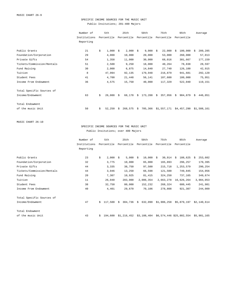# SPECIFIC INCOME SOURCES FOR THE MUSIC UNIT Public Insitutions; 201-400 Majors

|                            | Number of    | 5th          |    | 25th       |    | 50th       |    | 75th        |    | 95th        |    | Average     |
|----------------------------|--------------|--------------|----|------------|----|------------|----|-------------|----|-------------|----|-------------|
|                            | Institutions | Percentile   |    | Percentile |    | Percentile |    | Percentile  |    | Percentile  |    |             |
|                            | Reporting    |              |    |            |    |            |    |             |    |             |    |             |
|                            |              |              |    |            |    |            |    |             |    |             |    |             |
| Public Grants              | 21           | \$<br>1,000  | Ŝ. | $2,000$ \$ |    | 9,000      | -S | 22,000      | Ŝ  | 100,000     | Ŝ. | 209,285     |
| Foundation/Corporation     | 29           | 4,000        |    | 10,000     |    | 20,000     |    | 53,000      |    | 260,000     |    | 57,013      |
| Private Gifts              | 54           | 1,358        |    | 11,000     |    | 30,000     |    | 68,016      |    | 301,667     |    | 177,159     |
| Tickets/Commission/Rentals | 51           | 2,500        |    | 9,250      |    | 18,000     |    | 40,264      |    | 78,838      |    | 28,597      |
| Fund Raising               | 30           | 2,000        |    | 6,875      |    | 14,840     |    | 27,740      |    | 126,100     |    | 42,915      |
| Tuition                    | 8            | 47,994       |    | 92,135     |    | 179,948    |    | 216,879     |    | 941,681     |    | 292,120     |
| Student Fees               | 41           | 4,700        |    | 21,448     |    | 56,141     |    | 107,600     |    | 180,000     |    | 75,951      |
| Income From Endowment      | 36           | 4,575        |    | 15,750     |    | 40,000     |    | 117,329     |    | 522,040     |    | 119,151     |
| Total Specific Sources of  |              |              |    |            |    |            |    |             |    |             |    |             |
| Income/Endowment           | 63           | \$<br>26,088 | Ŝ. | 68,178     | S. | 173,208    | Ŝ. | 357,956     | Ŝ. | 984,879     | S. | 446,051     |
| Total Endowment            |              |              |    |            |    |            |    |             |    |             |    |             |
| of the music Unit          | 50           | \$<br>52,250 | Ŝ. | 268,575    | Ŝ. | 705,366    |    | \$1,557,171 |    | \$4,457,290 |    | \$1,508,161 |
|                            |              |              |    |            |    |            |    |             |    |             |    |             |

MUSIC CHART 26-10

SPECIFIC INCOME SOURCES FOR THE MUSIC UNIT Public Insitutions; over 400 Majors

|                            | Number of    |    | 5th        |    | 25th        |    | 50th        |    | 75th        | 95th                     |   | Average     |
|----------------------------|--------------|----|------------|----|-------------|----|-------------|----|-------------|--------------------------|---|-------------|
|                            | Institutions |    | Percentile |    | Percentile  |    | Percentile  |    | Percentile  | Percentile               |   |             |
|                            | Reporting    |    |            |    |             |    |             |    |             |                          |   |             |
|                            |              |    |            |    |             |    |             |    |             |                          |   |             |
| Public Grants              | 23           | \$ | 2,000      | Ŝ. | $5,000$ \$  |    | 10,000      | Ŝ. | 30,914      | 188,625<br>Ŝ.            | Ŝ | 253,602     |
| Foundation/Corporation     | 32           |    | 3,775      |    | 10,000      |    | 65,000      |    | 165,893     | 296,257                  |   | 170,395     |
| Private Gifts              | 44           |    | 3,335      |    | 38,750      |    | 97,500      |    | 215,718     | 1,253,579                |   | 290,254     |
| Tickets/Commission/Rentals | 44           |    | 3,046      |    | 13,250      |    | 66,598      |    | 121,500     | 749,845                  |   | 154,056     |
| Fund Raising               | 20           |    | 7,307      |    | 10,925      |    | 81,415      |    | 324,250     | 737,165                  |   | 349,674     |
| Tuition                    | 11           |    | 26,040     |    | 283,000     |    | 2,006,354   |    | 2,663,278   | 16,626,264               |   | 3,984,053   |
| Student Fees               | 38           |    | 32,750     |    | 80,000      |    | 152,232     |    | 268,324     | 680,445                  |   | 241,981     |
| Income From Endowment      | 40           |    | 4,401      |    | 29,670      |    | 70,106      |    | 278,808     | 921,307                  |   | 244,009     |
| Total Specific Sources of  |              |    |            |    |             |    |             |    |             |                          |   |             |
| Income/Endowment           | 47           | Ŝ. | 117,500    | Ŝ. | 304,736     | Ŝ. | 632,090     |    | \$1,906,258 | \$5,879,197              |   | \$2.140.614 |
| Total Endowment            |              |    |            |    |             |    |             |    |             |                          |   |             |
| of the music Unit          | 43           | \$ | 194,600    |    | \$1,216,452 |    | \$3,108,404 |    |             | \$6,574,446 \$25,802,554 |   | \$5,901,165 |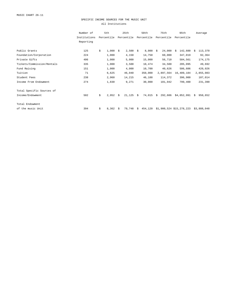### SPECIFIC INCOME SOURCES FOR THE MUSIC UNIT All Institutions

|                            | Number of    | 5th         |    | 25th        |    | 50th       |      | 75th       | 95th                     |    | Average     |
|----------------------------|--------------|-------------|----|-------------|----|------------|------|------------|--------------------------|----|-------------|
|                            | Institutions | Percentile  |    | Percentile  |    | Percentile |      | Percentile | Percentile               |    |             |
|                            | Reporting    |             |    |             |    |            |      |            |                          |    |             |
|                            |              |             |    |             |    |            |      |            |                          |    |             |
| Public Grants              | 125          | \$<br>1,000 | Ŝ. | $2,500$ \$  |    | 8,000      | - \$ | 24,000     | 142,600<br>Ŝ             | S  | 113,370     |
| Foundation/Corporation     | 224          | 1,000       |    | 4,150       |    | 14,750     |      | 60,000     | 347,019                  |    | 92,364      |
| Private Gifts              | 406          | 1,000       |    | 5,000       |    | 15,000     |      | 56,710     | 504,561                  |    | 174,175     |
| Tickets/Commission/Rentals | 335          | 1,000       |    | 3,500       |    | 10,474     |      | 34,500     | 205,095                  |    | 49,692      |
| Fund Raising               | 151          | 1,000       |    | 4,000       |    | 10,700     |      | 40,626     | 506,606                  |    | 420,026     |
| Tuition                    | 71           | 6,625       |    | 46,040      |    | 350,000    |      | 2,897,564  | 16,409,184               |    | 2,855,083   |
| Student Fees               | 238          | 2,960       |    | 14,215      |    | 46,188     |      | 114,372    | 396,900                  |    | 107,014     |
| Income From Endowment      | 274          | 1,830       |    | 9,271       |    | 30,000     |      | 101,942    | 799,400                  |    | 231,390     |
| Total Specific Sources of  |              |             |    |             |    |            |      |            |                          |    |             |
| Income/Endowment           | 502          | \$<br>2,952 | Ŝ. | $21,125$ \$ |    | 74,015     | S.   | 292,606    | \$4,052,991              | Ŝ. | 950,652     |
| Total Endowment            |              |             |    |             |    |            |      |            |                          |    |             |
| of the music Unit          | 394          | \$<br>8,362 | Ŝ. | 79,748      | S. | 454,120    |      |            | \$1,900,524 \$15,278,223 |    | \$3,888,048 |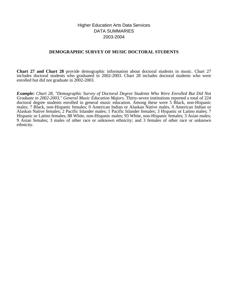# Higher Education Arts Data Services DATA SUMMARIES 2003-2004

# **DEMOGRAPHIC SURVEY OF MUSIC DOCTORAL STUDENTS**

**Chart 27 and Chart 28** provide demographic information about doctoral students in music. Chart 27 includes doctoral students who graduated in 2002-2003. Chart 28 includes doctoral students who were enrolled but did not graduate in 2002-2003.

*Example: Chart 28, "Demographic Survey of Doctoral Degree Students Who Were Enrolled But Did Not Graduate in 2002-2003," General Music Education Majors.* Thirty-seven institutions reported a total of 224 doctoral degree students enrolled in general music education. Among these were 5 Black, non-Hispanic males; 7 Black, non-Hispanic females; 0 American Indian or Alaskan Native males, 0 American Indian or Alaskan Native females; 2 Pacific Islander males; 1 Pacific Islander females; 3 Hispanic or Latino males; 7 Hispanic or Latino females; 88 White, non-Hispanic males; 93 White, non-Hispanic females; 3 Asian males; 9 Asian females; 3 males of other race or unknown ethnicity; and 3 females of other race or unknown ethnicity.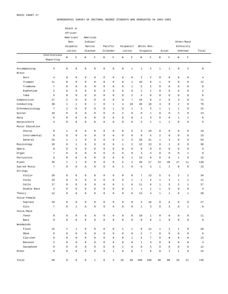#### DEMOGRAPHIC SURVEY OF DOCTORAL DEGREE STUDENTS WHO GRADUATED IN 2002-2003

|                 |                  |                         | Black or       |                     |                     |                     |              |                         |                     |                         |                         |                     |                         |                     |                         |                |
|-----------------|------------------|-------------------------|----------------|---------------------|---------------------|---------------------|--------------|-------------------------|---------------------|-------------------------|-------------------------|---------------------|-------------------------|---------------------|-------------------------|----------------|
|                 |                  | African-                |                |                     |                     |                     |              |                         |                     |                         |                         |                     |                         |                     |                         |                |
|                 |                  | American/               |                |                     | American            |                     |              |                         |                     |                         |                         |                     |                         |                     |                         |                |
|                 |                  | Non-                    |                | Indian/             |                     |                     |              |                         |                     |                         |                         |                     |                         |                     | Other/Race              |                |
|                 |                  |                         | Hispanic       |                     | Native              |                     | Pacific      |                         | Hispanic/           |                         | White Non-              |                     |                         |                     | Ethnicity               |                |
|                 |                  |                         | Latino         |                     | Alaskan             |                     | Islander     |                         | Latino              |                         | Hispanic                |                     | Asian                   |                     | Unknown                 | Total          |
|                 | Institutions     |                         |                |                     |                     |                     |              |                         |                     |                         |                         |                     |                         |                     |                         |                |
|                 | Reporting        | М                       | $\mathbf{F}$   | M                   | F                   | М                   | $\mathbf F$  | М                       | $\mathbf F$         | М                       | $\mathbf F$             | М                   | $\mathbf F$             | М                   | $\mathbf F$             |                |
|                 |                  |                         |                |                     |                     |                     |              |                         |                     |                         |                         |                     |                         |                     |                         |                |
| Accompanying    | 5                | $\mathsf 0$             | 0              | $\mathsf 0$         | $\mathsf 0$         | $\mathbb O$         | 0            | 0                       | $\mathbf 1$         | $\mathbf{1}$            | $\overline{\mathbf{c}}$ | $\mathbf 1$         | $\mathbf 1$             | $\mathsf 0$         | $\overline{\mathbf{c}}$ | 8              |
| <b>Brass</b>    |                  |                         |                |                     |                     |                     |              |                         |                     |                         |                         |                     |                         |                     |                         |                |
| Horn            | $\overline{4}$   | $\mathsf 0$             | 0              | 0                   | 0                   | $\circ$             | 0            | 0                       | $\mathsf 0$         | $\sqrt{2}$              | $\overline{\mathbf{c}}$ | 0                   | $\mathbf 0$             | $\mathsf 0$         | 0                       | $\overline{4}$ |
| Trumpet         | 11               | 0                       | 0              | 0                   | 0                   | 0                   | 0            | $\mathbf 0$             | $\mathbf{1}$        | 10                      | 0                       | 1                   | $\mathbf 0$             | $\mathbf 0$         | 0                       | 12             |
| Trombone        | $\boldsymbol{7}$ | $\mathbf 0$             | 0              | 0                   | 0                   | 0                   | 0            | $\mathbf 0$             | $\mathbf{1}$        | 5                       | $\overline{a}$          | $\mathbf 0$         | $\mathbf 0$             | 0                   | 0                       | 8              |
| Euphonium       | $\overline{a}$   | 0                       | 0              | 0                   | $\mathbf 0$         | $\mathbf 0$         | 0            | $\mathbf 0$             | $\mathbf 0$         | $\mathbf{1}$            | $\mathbf{1}$            | $\mathbf 0$         | $\mathbf 0$             | $\mathbf 0$         | 0                       | 2              |
| Tuba            | 5                | 0                       | 0              | $\mathbf 0$         | $\mathbf 0$         | $\mathbf 0$         | 0            | $\mathbf 0$             | $\sqrt{2}$          | $\overline{4}$          | 0                       | $\mathbf 0$         | $\mathbf 0$             | $\mathbf 0$         | 0                       | 6              |
| Composition     | 27               | $\overline{\mathbf{c}}$ | 0              | 0                   | 0                   | $\mathbf 0$         | 0            | $\mathbf 0$             | 7                   | 43                      | 8                       | $\sqrt{2}$          | 6                       | 3                   | 0                       | 71             |
| Conducting      | 30               | $\mathbf{1}$            | $\mathbf{1}$   | 0                   | $\mathbf{1}$        | $\mathbf 0$         | $\mathbf{1}$ | 4                       | 10                  | 46                      | 10                      | 3                   | $\mathbf 0$             | $\sqrt{2}$          | 0                       | 79             |
| Ethnomusicology | $\overline{7}$   | $\overline{a}$          | 0              | 0                   | $\mathbf 0$         | $\mathbf 0$         | $\mathbf{1}$ | $\mathbf 0$             | $\mathbf{1}$        | 3                       | 5                       | 1                   | $\mathbf{1}$            | $1\,$               | 0                       | 15             |
| Guitar          | 10               | 0                       | 0              | 0                   | 0                   | $\mathbf 0$         | 0            | $\overline{\mathbf{c}}$ | $\mathbf 0$         | 8                       | $\mathbf{1}$            | $\mathbf 0$         | $\mathbf 0$             | $\sqrt{2}$          | 0                       | 13             |
|                 |                  | 0                       | 0              |                     |                     |                     |              |                         |                     |                         |                         | $\mathbf 0$         |                         |                     |                         |                |
| Harp            | 6                |                         |                | 0                   | 0                   | $\mathbf 0$         | 0            | $\mathbf 0$             | $\mathbf 0$         | $\mathbf{1}$            | 3                       |                     | $\mathbf 0$             | $1\,$               | $\mathbf{1}$            | 6              |
| Harpsichord     | $\overline{4}$   | 0                       | 0              | 0                   | $\mathsf 0$         | $\mathbf 0$         | 0            | $\mathbf 0$             | $\mathbf 0$         | $\overline{\mathbf{c}}$ | $\mathbf 1$             | $\mathbf 1$         | $\mathbf{1}$            | $\mathsf 0$         | 0                       | 5              |
| Music Education |                  |                         |                |                     |                     |                     |              |                         |                     |                         |                         |                     |                         |                     |                         |                |
| Choral          | 9                | $1\,$                   | 0              | 0                   | 0                   | $\circ$             | 0            | 0                       | 5                   | 3                       | 10                      | 0                   | $\mathbf 0$             | 0                   | 0                       | 19             |
| Instrumental    | 8                | $\mathbf 0$             | 0              | 0                   | 0                   | 0                   | 0            | 0                       | 0                   | 8                       | 5                       | $\sqrt{2}$          | $\mathbf 0$             | 0                   | 0                       | 15             |
| General         | 25               | $\mathbf{1}$            | $\mathbf 1$    | 0                   | 0                   | $\mathbf 0$         | 0            | 2                       | 5                   | 20                      | 21                      | $\mathbf 1$         | 3                       | 0                   | 0                       | 54             |
| Musicology      | 19               | 0                       | $\mathbf{1}$   | $\mathbf 0$         | $\mathbf 0$         | $\mathbf 0$         | 0            | 1                       | $\overline{a}$      | 12                      | 13                      | $\mathbf 0$         | $\mathbf{1}$            | $\mathbf 0$         | 0                       | 30             |
| Opera           | $\mathbb O$      | $\mathbf 0$             | 0              | 0                   | $\mathbf 0$         | $\mathbf 0$         | 0            | $\mathbf 0$             | $\mathbf 0$         | $\mathbf 0$             | 0                       | $\mathbf 0$         | $\mathbf 0$             | $\mathbf 0$         | 0                       | $\mathbf 0$    |
| Organ           | 7                | 0                       | 0              | 0                   | $\mathbf 0$         | $\mathbf 0$         | 0            | $\mathbf 0$             | $\mathbf 0$         | $\overline{4}$          | $\overline{4}$          | $\mathbf 0$         | $\mathbf 0$             | $\mathbf 0$         | $\mathbf{1}$            | 9              |
| Percussion      | 9                | 0                       | 0              | $\mathbf 0$         | $\mathbf 0$         | $\mathbf 0$         | 0            | $\mathbf 0$             | $\mathbf{1}$        | 13                      | 0                       | 0                   | $\mathbf 0$             | $\mathbf{1}$        | 0                       | 15             |
| Piano           | 36               | $1\,$                   | $\mathbf 1$    | 0                   | 0                   | $\mathbf 0$         | 0            | 5                       | $\sqrt{2}$          | 20                      | 17                      | 14                  | 40                      | 17                  | 11                      | 128            |
| Sacred Music    | $\sqrt{ }$       | 0                       | 0              | 0                   | $\mathbf 0$         | $\mathbf 0$         | 0            | 1                       | $\mathbf 0$         | 6                       | 3                       | 1                   | $\overline{\mathbf{c}}$ | $\mathbf 0$         | $\mathbf 0$             | 13             |
| Strings         |                  |                         |                |                     |                     |                     |              |                         |                     |                         |                         |                     |                         |                     |                         |                |
| Violin          | 20               | $\mathsf 0$             | 0              | 0                   | 0                   | $\circ$             | 0            | 0                       | $\mathsf 0$         | 7                       | 13                      | 5                   | 5                       | $\sqrt{2}$          | $\overline{\mathbf{c}}$ | 34             |
| Viola           | 10               | 0                       | 0              | 0                   | 0                   | 0                   | 0            | $\mathbf 0$             | $\mathbf{1}$        | $\mathbf{1}$            | $\overline{4}$          | $\mathbf 1$         | $\overline{a}$          | $\mathbf{1}$        | $\mathbf{1}$            | 11             |
| Cello           | 17               | 0                       | 0              | 0                   | 0                   | $\mathbf 0$         | 0            | 1                       | $\mathbf 0$         | 11                      | 6                       | $\mathbf 1$         | 5                       | $\sqrt{2}$          | $\mathbf{1}$            | 27             |
| Double Bass     | 3                | 0                       | 0              | $\mathbf 0$         | $\mathbf 0$         | $\mathbf 0$         | 0            | $\mathbf 0$             | $1\,$               | $\mathbf{1}$            | $1\,$                   | $\mathbf 1$         | $\mathbf 0$             | $\mathbf 0$         | $\mathbf 0$             | $\overline{4}$ |
| Theory          | 12               | 0                       | 0              | $\mathbf 0$         | 0                   | $\mathbf 0$         | 0            | $\mathbf 0$             | 0                   | 13                      | 4                       | $\mathbf 1$         | 1                       | 0                   | 1                       | 20             |
| Voice-Female    |                  |                         |                |                     |                     |                     |              |                         |                     |                         |                         |                     |                         |                     |                         |                |
| Soprano         | 19               | 0                       | 0              | $\mathsf 0$         | $\mathsf{O}\xspace$ | $\mathbb O$         | $\mathsf 0$  | 0                       | $\mathsf 0$         | 5                       | 16                      | $\mathsf{O}\xspace$ | 6                       | $\mathsf 0$         | $\mathsf 0$             | 27             |
| Alto            | $\boldsymbol{7}$ | $\mathsf 0$             | $\mathbf{1}$   | $\mathsf 0$         | $\mathsf{O}\xspace$ | $\mathsf{O}$        | $\mathsf 0$  | $\mathsf 0$             | $\mathsf{O}\xspace$ | $\mathbf 1$             | 3                       | $\mathsf 0$         | $\mathbf{3}$            | $\mathsf{O}\xspace$ | $1\,$                   | 9              |
| Voice-Male      |                  |                         |                |                     |                     |                     |              |                         |                     |                         |                         |                     |                         |                     |                         |                |
| Tenor           | 8                | $\mathsf{O}\xspace$     | 0              | $\mathbb O$         | $\mathsf{O}\xspace$ | $\mathsf{O}$        | $\mathbb O$  | $\mathsf 0$             | $\mathsf 0$         | 10                      | $\mathbf{1}$            | $\mathsf 0$         | $\mathbb O$             | $\mathsf{O}\xspace$ | $\mathsf 0$             | 11             |
| Bass            | 9                | $\mathsf 0$             | 0              | $\mathsf{O}\xspace$ | $\mathsf{O}\xspace$ | $\mathsf{O}\xspace$ | $\mathsf 0$  | $\mathsf 0$             | $\mathsf{O}\xspace$ | 8                       | $\mathsf 0$             | $\mathbf 1$         | $\mathbb O$             | $\mathsf{O}\xspace$ | $\mathsf 0$             | 9              |
| Woodwinds       |                  |                         |                |                     |                     |                     |              |                         |                     |                         |                         |                     |                         |                     |                         |                |
| Flute           | 15               | $\mathbf{1}$            | $\mathbf{1}$   | $\mathsf 0$         | $\mathsf{O}\xspace$ | $\mathsf{O}$        | $\mathsf 0$  | $\mathbf 1$             | $1\,$               | 0                       | 12                      | $\mathbf{1}$        | $\overline{a}$          | $\mathbf{1}$        | $\mathbb O$             | 20             |
| Oboe            | $\,8\,$          | $\mathbf 0$             | 0              | $\mathsf 0$         | 0                   | $\mathbb O$         | $\mathsf 0$  | $\mathsf 0$             | $\mathsf{O}\xspace$ | $\overline{a}$          | $\sqrt{7}$              | $\mathsf 0$         | $\mathbf 0$             | $\mathsf 0$         | $\mathsf 0$             | 9              |
| Clarinet        | 9                | $\mathbf 0$             | 0              | $\mathsf 0$         | $\mathsf{O}\xspace$ | $\mathsf{O}$        | $\mathsf 0$  | $\mathsf 0$             | $\mathbf 1$         | 5                       | $\overline{7}$          | $\mathsf 0$         | $\mathbf 0$             | $\mathsf{O}$        | $\mathsf 0$             |                |
|                 |                  | $\mathbf 0$             |                |                     |                     |                     |              |                         |                     |                         |                         |                     |                         |                     |                         | 13             |
| Bassoon         | 3                |                         | 0              | $\mathsf 0$         | $\mathsf{O}\xspace$ | $\mathbb O$         | $\mathsf 0$  | $\mathbf 0$             | $\mathsf{O}\xspace$ | $\mathbf{1}$            | 3                       | $\mathsf 0$         | $\mathbb O$             | $\mathsf{O}$        | $\mathsf 0$             | $\overline{4}$ |
| Saxophone       | 9                | $\mathbf 0$             | $\overline{0}$ | $\mathsf 0$         | 0                   | $\mathbb O$         | $\mathsf 0$  | $1\,$                   | $\mathsf 0$         | 6                       | 5                       | $\mathsf 0$         | $\mathbf 0$             | $\mathsf 0$         | $\mathsf 0$             | 12             |
| Other           | 9                | $\mathsf 0$             | 0              | $\mathbf 0$         | $\mathsf{O}\xspace$ | $\mathsf 0$         | $1\,$        | $\mathsf 0$             | $\epsilon$          | $\sqrt{ }$              | 8                       | $\mathsf{O}\xspace$ | $\mathbf 1$             | $\mathbf 1$         | $\mathsf 0$             | 24             |
|                 |                  |                         |                |                     |                     |                     |              |                         |                     |                         |                         |                     |                         |                     |                         |                |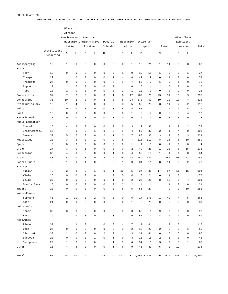DEMOGRAPHIC SURVEY OF DOCTORAL DEGREE STUDENTS WHO WERE ENROLLED BUT DID NOT GRADUATE IN 2002-2003

|                 |                 |                     | Black or            |                        |                             |                     |                |                     |                     |                |                 |                |                |                |                     |                |  |
|-----------------|-----------------|---------------------|---------------------|------------------------|-----------------------------|---------------------|----------------|---------------------|---------------------|----------------|-----------------|----------------|----------------|----------------|---------------------|----------------|--|
|                 |                 | African-            |                     |                        |                             |                     |                |                     |                     |                |                 |                |                |                |                     |                |  |
|                 |                 |                     |                     | American/Non- American |                             |                     |                |                     |                     |                |                 |                |                |                | Other/Race          |                |  |
|                 |                 |                     |                     | Hispanic Indian/Native |                             |                     | Pacific        |                     | Hispanic/           |                | White Non-      |                |                |                | Ethnicity           |                |  |
|                 |                 |                     |                     |                        |                             |                     |                |                     |                     |                |                 |                | Asian          |                | Unknown             |                |  |
|                 | Institutions    | Latino              |                     |                        | Alaskan                     |                     | Islander       |                     | Latino              |                | Hispanic        |                |                |                |                     | Total          |  |
|                 | Reporting       | M                   | F                   | М                      | $\mathbf F$                 | M                   | $\mathbf F$    | М                   | $\mathbf F$         | М              | $\mathbf F$     | М              | $\mathbf F$    | М              | $\mathbf F$         |                |  |
| Accompanying    | 12              | $\mathbf 1$         | $\mathsf 0$         | $\mathsf 0$            | $\mathsf 0$                 | $\mathsf 0$         | $\mathbb O$    | $\mathsf{O}\xspace$ | $\mathbf{1}$        | 16             | 21              | $\mathbf{1}$   | 14             | $\mathsf 0$    | 8                   | 62             |  |
| <b>Brass</b>    |                 |                     |                     |                        |                             |                     |                |                     |                     |                |                 |                |                |                |                     |                |  |
| Horn            | 18              | $\mathsf 0$         | $\mathsf 0$         | $\mathbf 0$            | $\mathsf 0$                 | $\mathsf 0$         | $\mathbb O$    | $\mathbf{1}$        | $\mathsf 0$         | 13             | 18              | $\mathbf{1}$   | 3              | $\mathsf 0$    | $\mathbf{1}$        | 37             |  |
| Trumpet         | 29              | $\mathbf 1$         | $\mathsf 0$         | $\mathbf 0$            | 0                           | 0                   | $\mathbf{1}$   | $\overline{4}$      | 8                   | 49             | 9               | $\mathsf 0$    | $\mathbf{1}$   | 0              | $\mathsf 0$         | 73             |  |
| Trombone        | 27              | $\mathsf 0$         | $\mathbf 0$         | $\mathbf 0$            | $\mathbf 0$                 | $\mathsf 0$         | $\mathbb O$    | $\mathbf{1}$        | $\overline{7}$      | 56             | $\overline{7}$  | $1\,$          | $\mathsf 0$    | $\mathbf{1}$   | $\mathsf 0$         | 73             |  |
| Euphonium       | $7\phantom{.0}$ | $\mathbf 1$         | $\mathbf 0$         | $\mathbb O$            | $\mathbf 0$                 | $\mathbf 0$         | $\mathbf 0$    | $\mathbf{1}$        | $\mathsf 0$         | 5              | $\mathbf{1}$    | $\overline{a}$ | $\mathsf 0$    | $\mathbf 0$    | $\mathbf 0$         | 10             |  |
| Tuba            | 18              | $\overline{a}$      | $\mathsf 0$         | $\mathbb O$            | $\mathbf 0$                 | $\mathbf 0$         | $\mathbb O$    | 2                   | $1\,$               | 20             | $1\,$           | $\mathsf 0$    | $\mathsf 0$    | $\overline{a}$ | $\mathsf 0$         | 28             |  |
| Composition     | 37              | $\overline{7}$      | $\overline{a}$      | $\mathbb O$            | $\mathbf 0$                 | $\mathbf 0$         | $\mathbf{1}$   | 6                   | 12                  | 169            | 23              | 23             | 31             | 15             | 9                   | 298            |  |
| Conducting      | 36              | 10                  | $\overline{a}$      | $\mathbb O$            | $\mathbf 0$                 | $\overline{a}$      | $\mathbf 0$    | 8                   | 24                  | 178            | 51              | 19             | 12             | 13             | $\overline{4}$      | 323            |  |
| Ethnomusicology | 13              | $\mathbf{1}$        | $\overline{4}$      | $\mathbb O$            | $\mathsf 0$                 | $\mathbf 0$         | 3              | 3                   | 5                   | 55             | 23              | 3              | 11             | $\overline{a}$ | $\overline{a}$      | 112            |  |
| Guitar          | 19              | $\mathsf 0$         | $\mathbf 0$         | $\mathbb O$            | $\mathbf 0$                 | $\mathbf 0$         | $\mathbf 0$    | 8                   | $\overline{4}$      | 50             | 2               | $\overline{2}$ | $\mathbb O$    | 7              | $\overline{4}$      | 77             |  |
| Harp            | 10              | $\mathsf 0$         | $\mathsf 0$         | $\mathbb O$            | $\mathbf 0$                 | $\mathbf 0$         | 0              | $\circ$             | $\mathbf{1}$        | $\overline{a}$ | $\overline{4}$  | $\mathsf 0$    | 6              | $\mathsf 0$    | $\overline{4}$      | 17             |  |
| Harpsichord     | $\sqrt{ }$      | $\mathsf 0$         | $\mathsf 0$         | $\mathbb O$            | $\mathbf 0$                 | $\mathbf 0$         | $\mathbf 0$    | 0                   | $\mathsf{O}\xspace$ | 6              | $\mathbf 0$     | $\mathsf 0$    | $\overline{a}$ | $\mathsf 0$    | $\mathsf 0$         | 8              |  |
| Music Education |                 |                     |                     |                        |                             |                     |                |                     |                     |                |                 |                |                |                |                     |                |  |
| Choral          | 15              | $\overline{4}$      | $\overline{a}$      | $\mathbb O$            | $\mathsf 0$                 | $\mathsf 0$         | $\mathbb O$    | $\mathbf 0$         | 3                   | 19             | 36              | $\mathbf{1}$   | $\overline{4}$ | $\overline{a}$ | 2                   | 73             |  |
| Instrumental    | 15              | $\overline{4}$      | $1\,$               | $\mathbb O$            | $\mathbf{1}$                | $\mathsf 0$         | $\mathbb O$    | $\mathbf{1}$        | $\overline{4}$      | 55             | 32              | $\overline{a}$ | $\mathbf{1}$   | 4              | $\mathsf 0$         | 105            |  |
| General         | 37              | 5                   | $\overline{7}$      | $\mathbb O$            | $\mathbf 0$                 | $\overline{a}$      | $\mathbf{1}$   | 3                   | $\overline{7}$      | 88             | 93              | 3              | 9              | 3              | 3                   | 224            |  |
|                 |                 | 3                   | 5                   | $\mathbf 0$            |                             | $\mathbf 0$         | $\overline{a}$ | 5                   | $\overline{7}$      |                |                 | 8              | 16             | 6              | 10                  | 289            |  |
| Musicology      | 28              |                     | $\mathbf 0$         |                        | $\mathbf{1}$<br>$\mathbf 0$ | $\mathbf 0$         | $\mathbf 0$    |                     |                     | 115            | 111             |                |                |                |                     |                |  |
| Opera           | 3               | $\mathsf 0$         |                     | $\mathbb O$            |                             |                     |                | $\mathsf{O}$        | $\mathbf{1}$        | $\mathbf{1}$   | $\mathbf{1}$    | $\mathsf 0$    | $\mathbf{1}$   | $\mathsf 0$    | $\mathsf 0$         | $\overline{4}$ |  |
| Organ           | 27              | 3                   | $\mathbf 0$         | $1\,$                  | $\mathbf 0$                 | $\mathbf 0$         | $\mathbf 0$    | $\circ$             | $\overline{a}$      | 49             | 26              | $\mathbf{1}$   | 28             | 8              | 15                  | 133            |  |
| Percussion      | 33              | $\overline{4}$      | $\mathbf 0$         | $\mathbb O$            | $\mathbf 0$                 | $\mathbf 0$         | $\mathbf{1}$   | $\mathsf{O}\xspace$ | $\overline{4}$      | 56             | 13              | $\mathbf{1}$   | $\mathbf{1}$   | $\overline{4}$ | $\mathsf 0$         | 84             |  |
| Piano           | 48              | $\overline{4}$      | $\mathsf 0$         | $\mathbf 0$            | $\mathsf 0$                 | $\overline{a}$      | 12             | 16                  | 28                  | 149            | 130             | 47             | 287            | 53             | 53                  | 781            |  |
| Sacred Music    | 8               | $\mathbf 1$         | $\mathsf 0$         | $\mathbf 1$            | $\mathsf 0$                 | $1\,$               | $\mathbf 0$    | $\mathbf{1}$        | $\mathsf 0$         | 34             | 11              | 8              | 14             | $\mathsf 0$    | 2                   | 73             |  |
| Strings         |                 |                     |                     |                        |                             |                     |                |                     |                     |                |                 |                |                |                |                     |                |  |
| Violin          | 42              | $\overline{a}$      | 3                   | $\mathbb O$            | $\mathbf{1}$                | $\mathsf 0$         | $\mathbf{1}$   | 10                  | 5                   | 34             | 38              | 17             | 57             | 11             | 15                  | 194            |  |
| Viola           | 25              | $\mathsf 0$         | $\mathsf 0$         | $\mathbb O$            | 0                           | $1\,$               | $\mathbf 0$    | 5                   | $\overline{4}$      | 18             | 21              | 6              | 11             | 3              | $\mathbf{1}$        | 70             |  |
| Cello           | 35              | $\mathsf 0$         | $\mathsf 0$         | $\mathbb O$            | $\mathsf 0$                 | $\mathsf 0$         | $\mathbf{1}$   | 8                   | $\overline{a}$      | 27             | 28              | 8              | 18             | 5              | $\overline{4}$      | 101            |  |
| Double Bass     | 16              | $\mathsf 0$         | $\mathsf 0$         | $\mathbf 0$            | $\mathbf 0$                 | $\mathbf 0$         | $\mathbf 0$    | 2                   | $\overline{a}$      | 14             | $\mathbf{1}$    | $1\,$          | $\mathbf{1}$   | $\mathsf 0$    | $\mathsf 0$         | 21             |  |
| Theory          | 23              | $\mathbf 0$         | $\mathbf 0$         | $\mathbb O$            | $\mathbf 0$                 | $\mathbf 0$         | 0              | 5                   | 5                   | 86             | 27              | $\overline{7}$ | 9              | 9              | 10                  | 158            |  |
| Voice-Female    |                 |                     |                     |                        |                             |                     |                |                     |                     |                |                 |                |                |                |                     |                |  |
| Soprano         | 45              | $\mathbf{1}$        | 10                  | $\mathsf 0$            | $\overline{a}$              | 0                   | $\mathbf 0$    | $\mathsf{O}\xspace$ | 6                   | 17             | 175             | $\mathbf{1}$   | 40             | 4              | 5                   | 261            |  |
| Alto            | 21              | $\mathsf{O}\xspace$ | $\mathsf{O}\xspace$ | $\mathbb O$            | $\mathsf 0$                 | $\mathsf{O}\xspace$ | $\mathsf 0$    | $\mathsf{O}\xspace$ | $\mathbf 1$         | 5              | 28              | $\mathsf 0$    | 5              | $\mathsf 0$    | $\mathsf 0$         | 39             |  |
| Voice-Male      |                 |                     |                     |                        |                             |                     |                |                     |                     |                |                 |                |                |                |                     |                |  |
| Tenor           | 32              | 3                   | $\mathsf{O}\xspace$ | $\mathbb O$            | $\mathsf 0$                 | $\mathsf 0$         | $\mathsf 0$    | 5                   | 3                   | 65             | $\mathbf{1}$    | 9              | $\mathbb O$    | 6              | $\mathbf 0$         | 92             |  |
| Bass            | 29              | 3                   | $\mathsf 0$         | $\mathsf 0$            | $\mathsf 0$                 | $\mathbf{1}$        | $\mathsf 0$    | 2                   | $\epsilon$          | 51             | $\mathbf{1}$    | $\overline{4}$ | $\mathsf 0$    | $\mathbf{1}$   | $\mathsf 0$         | 69             |  |
| Woodwinds       |                 |                     |                     |                        |                             |                     |                |                     |                     |                |                 |                |                |                |                     |                |  |
| Flute           | 37              | $\mathbf{1}$        | $\mathbf{1}$        | $\mathsf 0$            | $\mathbf{1}$                | $\mathsf 0$         | 3              | $\overline{4}$      | $\sqrt{7}$          | 11             | 64              | $\overline{a}$ | 12             | 3              | $\mathbf{1}$        | 110            |  |
| Oboe            | 27              | $\mathsf 0$         | $\mathsf 0$         | $\mathsf 0$            | $\mathsf 0$                 | $\mathsf 0$         | $\mathsf 0$    | $\mathbf{1}$        | $\overline{2}$      | 13             | 29              | $\overline{a}$ | $\overline{2}$ | $\mathsf 0$    | $\mathbf{1}$        | 50             |  |
| Clarinet        | 33              | $\overline{a}$      | $\mathsf{O}\xspace$ | $\mathbb O$            | $\mathsf 0$                 | $\overline{a}$      | $\mathsf 0$    | $\mathbf{1}$        | 3                   | 31             | 41              | 6              | 5              | 5              | $\mathsf{O}\xspace$ | 96             |  |
| Bassoon         | 23              | $\mathsf 0$         | $\mathsf{O}\xspace$ | $\mathbb O$            | $\mathbf{1}$                | $\mathsf 0$         | $\mathbf{1}$   | $\mathsf{O}$        | 3                   | 15             | 18              | 2              | 5              | $\mathbf{1}$   | $\mathsf 0$         | 46             |  |
| Saxophone       | 29              | $1\,$               | $\mathsf 0$         | $\mathsf 0$            | $\mathsf 0$                 | $1\,$               | $\mathbf{1}$   | 3                   | $\overline{4}$      | 34             | 10              | 3              | $\,2$          | $\mathbf{3}$   | $\mathbf{1}$        | 63             |  |
| Other           | 15              | $\overline{4}$      | 3                   | $\mathbb O$            | $\mathsf 0$                 | $\mathsf 0$         | $\mathbf{1}$   | 6                   | 9                   | 46             | 41              | 5              | $\,2$          | 12             | 7                   | 136            |  |
|                 |                 |                     |                     |                        |                             |                     |                |                     |                     |                |                 |                |                |                |                     |                |  |
| Total           | 61              | 68                  | 40                  | $\overline{a}$         | $7\phantom{.}$              | 12                  | 29             | 112                 |                     |                | 181 1,652 1,136 | 196            | 610            | 183            | 162                 | 4,390          |  |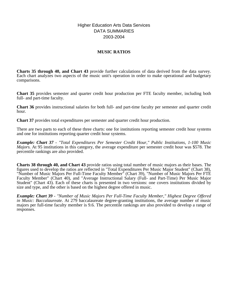# Higher Education Arts Data Services DATA SUMMARIES 2003-2004

# **MUSIC RATIOS**

**Charts 35 through 40, and Chart 43** provide further calculations of data derived from the data survey. Each chart analyzes two aspects of the music unit's operation in order to make operational and budgetary comparisons.

**Chart 35** provides semester and quarter credit hour production per FTE faculty member, including both full- and part-time faculty.

**Chart 36** provides instructional salaries for both full- and part-time faculty per semester and quarter credit hour.

**Chart 37** provides total expenditures per semester and quarter credit hour production.

There are two parts to each of these three charts: one for institutions reporting semester credit hour systems and one for institutions reporting quarter credit hour systems.

*Example: Chart 37 - "Total Expenditures Per Semester Credit Hour," Public Institutions, 1-100 Music Majors.* At 95 institutions in this category, the average expenditure per semester credit hour was \$578. The percentile rankings are also provided.

**Charts 38 through 40, and Chart 43** provide ratios using total number of music majors as their bases. The figures used to develop the ratios are reflected in "Total Expenditures Per Music Major Student" (Chart 38), "Number of Music Majors Per Full-Time Faculty Member" (Chart 39), "Number of Music Majors Per FTE Faculty Member" (Chart 40), and "Average Instructional Salary (Full- and Part-Time) Per Music Major Student" (Chart 43). Each of these charts is presented in two versions: one covers institutions divided by size and type, and the other is based on the highest degree offered in music.

*Example: Chart 39 - "Number of Music Majors Per Full-Time Faculty Member," Highest Degree Offered in Music: Baccalaureate.* At 279 baccalaureate degree-granting institutions, the average number of music majors per full-time faculty member is 9.6. The percentile rankings are also provided to develop a range of responses.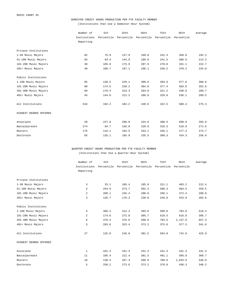### SEMESTER CREDIT HOURS PRODUCTION PER FTE FACULTY MEMBER

(Institutions that Use a Semester-Hour System)

|                        | Number of    | 5th        | 25th       | 50th       | 75th       | 95th       | Average |
|------------------------|--------------|------------|------------|------------|------------|------------|---------|
|                        | Institutions | Percentile | Percentile | Percentile | Percentile | Percentile |         |
|                        | Reporting    |            |            |            |            |            |         |
| Private Institutions   |              |            |            |            |            |            |         |
| 1-50 Music Majors      | 82           | 75.9       | 127.9      | 169.8      | 231.3      | 358.8      | 192.2   |
| 51-100 Music Majors    | 83           | 93.4       | 144.9      | 189.9      | 241.5      | 486.6      | 214.2   |
| 101-200 Music Majors   | 39           | 105.0      | 175.9      | 207.9      | 278.8      | 331.1      | 222.7   |
| 201+ Music Majors      | 40           | 109.7      | 167.1      | 196.1      | 250.2      | 370.2      | 225.0   |
| Public Institutions    |              |            |            |            |            |            |         |
| 1-100 Music Majors     | 95           | 136.5      | 229.1      | 300.8      | 393.9      | 677.6      | 360.0   |
| 101-200 Music Majors   | 90           | 174.5      | 239.2      | 304.0      | 377.4      | 503.6      | 352.6   |
| 201-400 Music Majors   | 60           | 178.4      | 223.3      | 264.8      | 321.2      | 438.6      | 280.7   |
| 401+ Music Majors      | 45           | 144.8      | 212.2      | 268.9      | 329.8      | 536.1      | 289.5   |
| All Institutions       | 534          | 102.2      | 182.2      | 240.6      | 322.5      | 508.4      | 275.3   |
| HIGHEST DEGREE OFFERED |              |            |            |            |            |            |         |
| Associate              | 20           | 227.8      | 288.0      | 324.6      | 388.5      | 690.9      | 393.9   |
| Baccalaureate          | 274          | 94.7       | 156.8      | 229.9      | 310.3      | 519.0      | 271.6   |
| Masters                | 175          | 116.1      | 194.5      | 253.1      | 335.1      | 477.4      | 274.7   |
| Doctorate              | 65           | 135.1      | 185.9      | 235.5      | 309.3      | 434.3      | 256.0   |

QUARTER CREDIT HOURS PRODUCTION PER FTE FACULTY MEMBER (Institutions that Use a Quarter-Hour System)

|                        | Number of      | 5th        | 25th       | 50th       | 75th       | 95th       | Average |
|------------------------|----------------|------------|------------|------------|------------|------------|---------|
|                        | Institutions   | Percentile | Percentile | Percentile | Percentile | Percentile |         |
|                        | Reporting      |            |            |            |            |            |         |
|                        |                |            |            |            |            |            |         |
| Private Institutions   |                |            |            |            |            |            |         |
| 1-50 Music Majors      | 3              | 33.1       | 105.4      | 195.8      | 311.1      | 403.2      | 212.4   |
| 51-100 Music Majors    | $\overline{4}$ | 254.6      | 373.7      | 502.4      | 588.3      | 604.5      | 459.5   |
| 101-200 Music Majors   | 2              | 209.1      | 245.4      | 290.8      | 336.1      | 372.4      | 290.8   |
| 201+ Music Majors      | 3              | 126.7      | 176.2      | 238.0      | 246.8      | 253.8      | 202.6   |
| Public Institutions    |                |            |            |            |            |            |         |
| 1-100 Music Majors     | $\overline{4}$ | 366.4      | 412.2      | 493.6      | 599.8      | 704.8      | 518.3   |
| 101-200 Music Majors   | 2              | 174.6      | 272.8      | 395.7      | 518.5      | 616.8      | 395.7   |
| 201-400 Music Majors   | 6              | 379.4      | 476.0      | 560.9      | 703.5      | 1,137.9    | 657.3   |
| 401+ Music Majors      | 3              | 283.6      | 323.4      | 373.2      | 375.6      | 377.5      | 341.6   |
| All Institutions       | 27             | 125.0      | 246.8      | 381.5      | 563.0      | 742.9      | 425.9   |
| HIGHEST DEGREE OFFERED |                |            |            |            |            |            |         |
| Associate              | $\mathbf{1}$   | 431.3      | 431.3      | 431.3      | 431.3      | 431.3      | 431.3   |
| Baccalaureate          | 11             | 105.4      | 212.4      | 381.5      | 491.1      | 595.0      | 360.7   |
| Masters                | 10             | 130.4      | 267.4      | 560.9      | 708.6      | 1,033.9    | 536.8   |
| Doctorate              | 5              | 259.2      | 273.6      | 373.2      | 378.0      | 436.3      | 346.2   |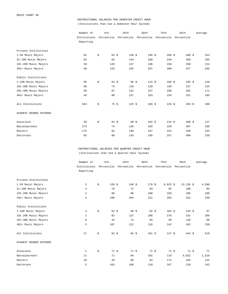# INSTRUCTIONAL SALARIES PER SEMESTER CREDIT HOUR (Institutions that Use a Semester-Hour System)

|                        | Number of    | 5th                    | 25th             | 50th                             | 75th       | 95th        | Average |
|------------------------|--------------|------------------------|------------------|----------------------------------|------------|-------------|---------|
|                        | Institutions |                        |                  | Percentile Percentile Percentile | Percentile | Percentile  |         |
|                        | Reporting    |                        |                  |                                  |            |             |         |
| Private Institutions   |              |                        |                  |                                  |            |             |         |
| 1-50 Music Majors      | 82           | \$<br>$62 \frac{1}{2}$ | 148S             | $198$ \$                         | 286S       | $468 \;$ \$ | 244     |
| 51-100 Music Majors    | 83           | 83                     | 144              | 188                              | 246        | 359         | 202     |
| 101-200 Music Majors   | 39           | 129                    | 157              | 196                              | 258        | 350         | 214     |
| 201+ Music Majors      | 40           | 123                    | 182              | 251                              | 309        | 427         | 265     |
| Public Institutions    |              |                        |                  |                                  |            |             |         |
| 1-100 Music Majors     | 95           | \$<br>$63 \;$ \$       | $96 \frac{1}{5}$ | 122S                             | $166$ \$   | $255$ \$    | 139     |
| 101-200 Music Majors   | 90           | 74                     | 110              | 139                              | 169        | 237         | 144     |
| 201-400 Music Majors   | 60           | 87                     | 132              | 157                              | 206        | 262         | 171     |
| 401+ Music Majors      | 45           | 80                     | 137              | 163                              | 234        | 321         | 185     |
| All Institutions       | 534          | \$<br>75S              | $125$ \$         | 166S                             | 224S       | 359 \$      | 188     |
| HIGHEST DEGREE OFFERED |              |                        |                  |                                  |            |             |         |
| Associate              | 20           | \$<br>64 \$            | $80 \frac{1}{2}$ | 102S                             | 144S       | 208S        | 117     |
| Baccalaureate          | 274          | 74                     | 120              | 166                              | 220        | 367         | 189     |
| Masters                | 175          | 92                     | 130              | 167                              | 222        | 339         | 183     |
| Doctorate              | 65           | 98                     | 145              | 195                              | 257        | 408         | 220     |

INSTRUCTIONAL SALARIES PER QUARTER CREDIT HOUR (Institutions that Use a Quarter-Hour System)

|                        | Number of    | 5th                    | 25th             | 50th                             | 75th       | 95th        | Average |
|------------------------|--------------|------------------------|------------------|----------------------------------|------------|-------------|---------|
|                        | Institutions |                        |                  | Percentile Percentile Percentile | Percentile | Percentile  |         |
|                        | Reporting    |                        |                  |                                  |            |             |         |
| Private Institutions   |              |                        |                  |                                  |            |             |         |
| 1-50 Music Majors      | 3            | \$<br>120S             | 146S             | 178S                             | $6,822$ \$ | $12,136$ \$ | 4,586   |
| 51-100 Music Majors    | 4            | 70                     | 72               | 83                               | 95         | 100         | 84      |
| 101-200 Music Majors   | 2            | 96                     | 98               | 100                              | 103        | 105         | 100     |
| 201+ Music Majors      | 3            | 190                    | 204              | 221                              | 282        | 331         | 250     |
| Public Institutions    |              |                        |                  |                                  |            |             |         |
| 1-100 Music Majors     | 4            | \$<br>$62 \text{ } $5$ | 68 \$            | 82S                              | 102S       | 119S        | 87      |
| 101-200 Music Majors   | 2            | 82                     | 137              | 206                              | 276        | 331         | 206     |
| 201-400 Music Majors   | 6            | 42                     | 74               | 94                               | 99         | 120         | 86      |
| 401+ Music Majors      | 3            | 107                    | 112              | 118                              | 142        | 162         | 130     |
| All Institutions       | 27           | \$<br>$62 \frac{1}{2}$ | $82 \frac{1}{2}$ | $101$ \$                         | 147S       | 344S        | 619     |
| HIGHEST DEGREE OFFERED |              |                        |                  |                                  |            |             |         |
| Associate              | 1            | \$<br>71S              | 71S              | 71S                              | 71S        | 71S         | 71      |
| Baccalaureate          | 11           | 71                     | 94               | 101                              | 119        | 6,822       | 1,319   |
| Masters                | 10           | 45                     | 68               | 94                               | 171        | 344         | 142     |
| Doctorate              | 5            | 101                    | 106              | 118                              | 167        | 210         | 142     |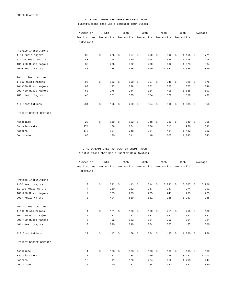# TOTAL EXPENDITURES PER SEMESTER CREDIT HOUR (Institutions that Use a Semester-Hour System)

|                        | Number of    | 5th       | 25th                                                   | 50th            | 75th          | 95th             | Average   |
|------------------------|--------------|-----------|--------------------------------------------------------|-----------------|---------------|------------------|-----------|
|                        | Institutions |           | Percentile Percentile Percentile Percentile Percentile |                 |               |                  |           |
|                        | Reporting    |           |                                                        |                 |               |                  |           |
| Private Institutions   |              |           |                                                        |                 |               |                  |           |
| 1-50 Music Majors      | 82           | \$<br>226 | 357 $\frac{1}{2}$<br>- \$                              | 450             | \$<br>592 $$$ | $1,166$ \$       | 771       |
| 51-100 Music Majors    | 83           | 218       | 320                                                    | 408             | 538           | 1,016            | 478       |
| 101-200 Music Majors   | 39           | 236       | 332                                                    | 430             | 602           | 1,028            | 534       |
| 201+ Music Majors      | 40           | 234       | 446                                                    | 599             | 1,047         | 1,525            | 899       |
| Public Institutions    |              |           |                                                        |                 |               |                  |           |
| 1-100 Music Majors     | 95           | \$<br>133 | - \$<br>190                                            | 257<br>\$       | \$<br>348     | 828<br>- \$      | 578<br>\$ |
| 101-200 Music Majors   | 90           | 137       | 228                                                    | 272             | 365           | 577              | 346       |
| 201-400 Music Majors   | 60           | 178       | 244                                                    | 314             | 415           | 1,638            | 503       |
| 401+ Music Majors      | 45           | 161       | 303                                                    | 374             | 528           | 850              | 437       |
| All Institutions       | 534          | \$<br>156 | 260<br>\$                                              | 354 $$$<br>- \$ | 506           | $1,085$ \$<br>\$ | 553       |
| HIGHEST DEGREE OFFERED |              |           |                                                        |                 |               |                  |           |
| Associate              | 20           | \$<br>110 | 162S<br>- \$                                           | 248S            | 299S          | 540              | 368<br>\$ |
| Baccalaureate          | 274          | 159       | 264                                                    | 366             | 512           | 950              | 532       |
| Masters                | 175          | 164       | 248                                                    | 334             | 484           | 1,482            | 612       |
| Doctorate              | 65           | 180       | 311                                                    | 419             | 605           | 1,243            | 543       |

TOTAL EXPENDITURES PER QUARTER CREDIT HOUR (Institutions that Use a Quarter-Hour System)

|                        | Number of      | 5th       | 25th                             | 50th           | 75th       | 95th             | Average   |
|------------------------|----------------|-----------|----------------------------------|----------------|------------|------------------|-----------|
|                        | Institutions   |           | Percentile Percentile Percentile |                | Percentile | Percentile       |           |
|                        | Reporting      |           |                                  |                |            |                  |           |
| Private Institutions   |                |           |                                  |                |            |                  |           |
| 1-50 Music Majors      | 3              | \$<br>332 | 413<br>\$                        | 514S<br>- \$   | $8,732$ \$ | $15,307$ \$      | 5,926     |
| 51-100 Music Majors    | $\overline{4}$ | 150       | 152                              | 187            | 237        | 274              | 202       |
| 101-200 Music Majors   | 2              | 185       | 203                              | 225            | 247        | 265              | 225       |
| 201+ Music Majors      | 3              | 494       | 510                              | 531            | 938        | 1,263            | 788       |
| Public Institutions    |                |           |                                  |                |            |                  |           |
| 1-100 Music Majors     | 4              | \$<br>121 | \$<br>130                        | \$<br>160      | \$<br>211S | 266              | \$<br>180 |
| 101-200 Music Majors   | 2              | 143       | 252                              | 387            | 522        | 631              | 387       |
| 201-400 Music Majors   | 6              | 92        | 163                              | 194            | 252        | 864              | 324       |
| 401+ Music Majors      | 3              | 230       | 240                              | 254            | 367        | 457              | 320       |
| All Institutions       | 27             | \$<br>117 | \$<br>169                        | $254$ \$<br>\$ | 485        | $1,260$ \$<br>\$ | 956       |
| HIGHEST DEGREE OFFERED |                |           |                                  |                |            |                  |           |
| Associate              | 1              | \$<br>133 | 133<br>\$                        | 133<br>\$      | \$<br>133  | 133<br>- \$      | \$<br>133 |
| Baccalaureate          | 11             | 151       | 184                              | 269            | 298        | 8,732            | 1,773     |
| Masters                | 10             | 91        | 128                              | 224            | 616        | 1,218            | 447       |
| Doctorate              | 5              | 210       | 227                              | 254            | 480        | 521              | 340       |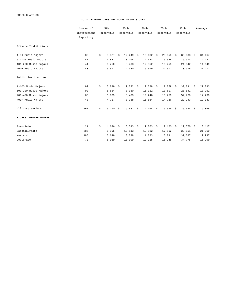MUSIC CHART 38

#### TOTAL EXPENDITURES PER MUSIC MAJOR STUDENT

|                        | Number of    | 5th         |    | 25th        | 50th             | 75th       |      | 95th        | Average |
|------------------------|--------------|-------------|----|-------------|------------------|------------|------|-------------|---------|
|                        | Institutions | Percentile  |    | Percentile  | Percentile       | Percentile |      | Percentile  |         |
|                        | Reporting    |             |    |             |                  |            |      |             |         |
| Private Institutions   |              |             |    |             |                  |            |      |             |         |
| 1-50 Music Majors      | 85           | \$<br>9,327 | \$ | $12,249$ \$ | $15,682 \quad $$ | 20,958     | \$   | $36,338$ \$ | 34,467  |
| 51-100 Music Majors    | 87           | 7,882       |    | 10,108      | 12,323           | 15,588     |      | 26,973      | 14,731  |
| 101-200 Music Majors   | 41           | 6,750       |    | 8,403       | 12,852           | 16,255     |      | 24,842      | 14,649  |
| 201+ Music Majors      | 43           | 6,511       |    | 12,380      | 16,599           | 24,672     |      | 38,976      | 21,117  |
| Public Institutions    |              |             |    |             |                  |            |      |             |         |
| 1-100 Music Majors     | 99           | \$<br>5,899 | \$ | $9,732$ \$  | $12,328$ \$      | 17,859     | - \$ | $30,891$ \$ | 27,093  |
| 101-200 Music Majors   | 92           | 5,824       |    | 8,930       | 11,012           | 13,617     |      | 20,541      | 13,152  |
| 201-400 Music Majors   | 66           | 6,029       |    | 8,409       | 10,246           | 13,750     |      | 52,720      | 14,239  |
| 401+ Music Majors      | 48           | 4,717       |    | 8,368       | 11,864           | 14,726     |      | 22,243      | 12,343  |
| All Institutions       | 561          | \$<br>6,290 | \$ | $9,637$ \$  | $12,464$ \$      | 16,599     | \$   | $35,334$ \$ | 19,865  |
| HIGHEST DEGREE OFFERED |              |             |    |             |                  |            |      |             |         |
| Associate              | 21           | \$<br>4,636 | Ŝ. | $6,543$ \$  | $9,863$ \$       | 12,160     | S.   | $22,570$ \$ | 18,117  |
| Baccalaureate          | 285          | 6,995       |    | 10,113      | 12,882           | 17,862     |      | 33,851      | 21,069  |
| Masters                | 185          | 5,649       |    | 8,738       | 11,823           | 15,291     |      | 37,387      | 19,937  |
| Doctorate              | 70           | 6,969       |    | 10,909      | 12,915           | 16,245     |      | 34,775      | 15,299  |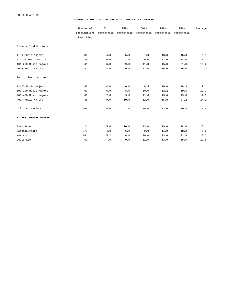#### NUMBER OF MUSIC MAJORS PER FULL-TIME FACULTY MEMBER

|                        | Number of    | 5th        | 25th       | 50th       | 75th       | 95th       | Average |
|------------------------|--------------|------------|------------|------------|------------|------------|---------|
|                        | Institutions | Percentile | Percentile | Percentile | Percentile | Percentile |         |
|                        | Reporting    |            |            |            |            |            |         |
| Private Institutions   |              |            |            |            |            |            |         |
| 1-50 Music Majors      | 80           | 4.0        | 5.0        | 7.0        | 10.0       | 15.0       | 8.1     |
| 51-100 Music Majors    | 86           | 5.0        | 7.0        | 9.0        | 11.0       | 18.0       | 10.3    |
| 101-200 Music Majors   | 41           | 6.0        | 9.0        | 11.0       | 15.0       | 21.0       | 15.2    |
| 201+ Music Majors      | 42           | 8.0        | 9.0        | 12.0       | 15.0       | 16.0       | 12.0    |
| Public Institutions    |              |            |            |            |            |            |         |
| 1-100 Music Majors     | 98           | 4.0        | 6.0        | 8.5        | 10.0       | 18.3       | 9.1     |
| 101-200 Music Majors   | 92           | 6.0        | 8.0        | 10.0       | 12.2       | 19.5       | 11.0    |
| 201-400 Music Majors   | 66           | 7.0        | 9.0        | 11.0       | 13.0       | 19.8       | 12.0    |
| 401+ Music Majors      | 48           | 9.0        | 10.0       | 12.0       | 15.0       | 27.2       | 14.1    |
| All Institutions       | 553          | 5.0        | 7.0        | 10.0       | 13.0       | 19.4       | 10.9    |
| HIGHEST DEGREE OFFERED |              |            |            |            |            |            |         |
| Associate              | 21           | 5.0        | 10.0       | 13.0       | 19.0       | 24.0       | 15.1    |
| Baccalaureate          | 279          | 4.0        | 6.0        | 9.0        | 11.0       | 18.0       | 9.6     |
| Masters                | 184          | 5.2        | 8.0        | 10.0       | 13.0       | 22.8       | 12.2    |
| Doctorate              | 69           | 7.0        | 9.0        | 11.0       | 13.0       | 16.6       | 11.5    |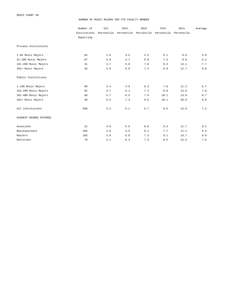#### NUMBER OF MUSIC MAJORS PER FTE FACULTY MEMBER

|                        | Number of    | 5th | 25th                             | 50th  | 75th       | 95th       | Average |
|------------------------|--------------|-----|----------------------------------|-------|------------|------------|---------|
|                        | Institutions |     | Percentile Percentile Percentile |       | Percentile | Percentile |         |
|                        | Reporting    |     |                                  |       |            |            |         |
| Private Institutions   |              |     |                                  |       |            |            |         |
| 1-50 Music Majors      | 84           | 2.6 | 3.5                              | 4.5   | 6.1        | 8.9        | 5.0     |
| 51-100 Music Majors    | 87           | 3.0 | 4.7                              | $6.0$ | 7.3        | 9.8        | $6.2\,$ |
| 101-200 Music Majors   | 41           | 3.7 | 5.8                              | 7.0   | 9.3        | 13.1       | 7.7     |
| 201+ Music Majors      | 43           | 5.0 | 6.0                              | 7.4   | 8.9        | 12.7       | 8.0     |
| Public Institutions    |              |     |                                  |       |            |            |         |
| 1-100 Music Majors     | 99           | 3.4 | 4.9                              | 6.3   | 7.9        | 11.2       | 6.7     |
| 101-200 Music Majors   | 92           | 4.7 | 6.1                              | 7.2   | 8.9        | 13.0       | $7.8\,$ |
| 201-400 Music Majors   | 66           | 5.7 | 6.5                              | 7.9   | 10.1       | 13.8       | 8.7     |
| 401+ Music Majors      | 48           | 6.5 | 7.3                              | 8.5   | 10.1       | 20.6       | 9.8     |
| All Institutions       | 560          | 3.2 | 5.1                              | 6.7   | 8.5        | 13.0       | 7.2     |
| HIGHEST DEGREE OFFERED |              |     |                                  |       |            |            |         |
| Associate              | 21           | 4.9 | 6.6                              | 8.0   | 9.3        | 11.7       | 8.1     |
| Baccalaureate          | 284          | 3.0 | 4.5                              | 6.1   | 7.7        | 11.1       | $6.4\,$ |
| Masters                | 185          | 3.9 | 6.0                              | 7.3   | 9.1        | 14.7       | 8.0     |
| Doctorate              | 70           | 5.1 | 6.4                              | 7.3   | 8.5        | 13.5       | 7.9     |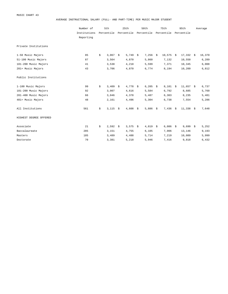AVERAGE INSTRUCTIONAL SALARY (FULL- AND PART-TIME) PER MUSIC MAJOR STUDENT

|                        | Number of    | 5th        |       | 25th                      | 50th       | 75th        | 95th              | Average |
|------------------------|--------------|------------|-------|---------------------------|------------|-------------|-------------------|---------|
|                        | Institutions | Percentile |       | Percentile                | Percentile | Percentile  | Percentile        |         |
|                        | Reporting    |            |       |                           |            |             |                   |         |
| Private Institutions   |              |            |       |                           |            |             |                   |         |
| 1-50 Music Majors      | 85           | \$         | 3,067 | \$<br>5,749 $\frac{1}{2}$ | $7,256$ \$ | $10,575$ \$ | $17,332 \t5$      | 16,370  |
| 51-100 Music Majors    | 87           |            | 3,564 | 4,870                     | 5,860      | 7,132       | 10,550            | 6,289   |
| 101-200 Music Majors   | 41           |            | 3,538 | 4,218                     | 5,599      | 7,371       | 10,345            | 6,008   |
| 201+ Music Majors      | 43           |            | 3,706 | 4,870                     | 6,774      | 8,194       | 10,209            | 6,812   |
| Public Institutions    |              |            |       |                           |            |             |                   |         |
| 1-100 Music Majors     | 99           | \$         | 3,409 | \$<br>$4,778$ \$          | $6,205$ \$ | $8,101$ \$  | $11,657$ \$       | 6,737   |
| 101-200 Music Majors   | 92           |            | 3,007 | 4,616                     | 5,584      | 6,792       | 8,685             | 5,760   |
| 201-400 Music Majors   | 66           |            | 3,046 | 4,378                     | 5,487      | 6,303       | 8,235             | 5,481   |
| 401+ Music Majors      | 48           |            | 2,161 | 4,496                     | 5,304      | 6,738       | 7,554             | 5,286   |
| All Institutions       | 561          | \$         | 3,115 | \$<br>$4,608$ \$          | $5,886$ \$ | 7,436       | \$<br>$11,338$ \$ | 7,648   |
| HIGHEST DEGREE OFFERED |              |            |       |                           |            |             |                   |         |
| Associate              | 21           | \$         | 2,592 | \$<br>$3,575$ \$          | $4,819$ \$ | $6,086$ \$  | $9,699$ \$        | 5,252   |
| Baccalaureate          | 285          |            | 3,151 | 4,755                     | 6,105      | 7,906       | 13,146            | 9,193   |
| Masters                | 185          |            | 3,489 | 4,488                     | 5,714      | 7,219       | 10,089            | 5,999   |
| Doctorate              | 70           |            | 3,381 | 5,218                     | 5,946      | 7,416       | 9,818             | 6,432   |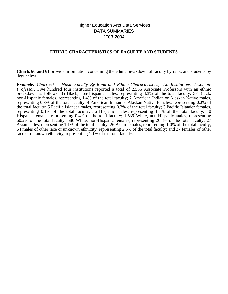# Higher Education Arts Data Services DATA SUMMARIES 2003-2004

# **ETHNIC CHARACTERISTICS OF FACULTY AND STUDENTS**

**Charts 60 and 61** provide information concerning the ethnic breakdown of faculty by rank, and students by degree level.

*Example: Chart 60 - "Music Faculty By Rank and Ethnic Characteristics," All Institutions, Associate Professor.* Five hundred four institutions reported a total of 2,556 Associate Professors with an ethnic breakdown as follows: 85 Black, non-Hispanic males, representing 3.3% of the total faculty; 37 Black, non-Hispanic females, representing 1.4% of the total faculty; 7 American Indian or Alaskan Native males, representing 0.3% of the total faculty; 4 American Indian or Alaskan Native females, representing 0.2% of the total faculty; 5 Pacific Islander males, representing 0.2% of the total faculty; 3 Pacific Islander females, representing 0.1% of the total faculty; 36 Hispanic males, representing 1.4% of the total faculty; 10 Hispanic females, representing 0.4% of the total faculty; 1,539 White, non-Hispanic males, representing 60.2% of the total faculty; 686 White, non-Hispanic females, representing 26.8% of the total faculty; 27 Asian males, representing 1.1% of the total faculty; 26 Asian females, representing 1.0% of the total faculty; 64 males of other race or unknown ethnicity, representing 2.5% of the total faculty; and 27 females of other race or unknown ethnicity, representing 1.1% of the total faculty.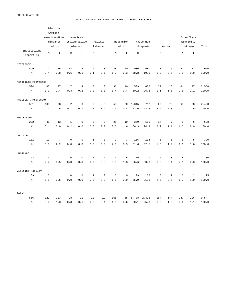#### MUSIC FACULTY BY RANK AND ETHNIC CHARACTERISTICS

|                           |                | Black or<br>African-<br>American/Non-<br>Hispanic<br>Latino |                 | American<br>Indian/Native<br>Alaskan |                | Pacific<br>Islander | Hispanic/<br>Latino |                | White Non-<br>Hispanic |             | Asian   |                | Other/Race<br>Ethnicity<br>Unknown | Total          |       |
|---------------------------|----------------|-------------------------------------------------------------|-----------------|--------------------------------------|----------------|---------------------|---------------------|----------------|------------------------|-------------|---------|----------------|------------------------------------|----------------|-------|
| Institutions<br>Reporting | $\mathbb M$    | $\mathbf F$                                                 | $\mathbb M$     | $\mathbf F$                          | $\mathbb M$    | $\mathbf F$         | $\mathbb M$         | $\mathbf F$    | $\mathbb M$            | $\mathbf F$ | M       | $\mathbf F$    | M                                  | $\mathbf{F}$   |       |
| Professor                 |                |                                                             |                 |                                      |                |                     |                     |                |                        |             |         |                |                                    |                |       |
| 499                       | 71             | 25                                                          | 18              | $\overline{4}$                       | $\overline{4}$ | 3                   | 38                  | 10             | 2,036                  | 580         | 37      | 15             | 92                                 | 27             | 2,960 |
| $\,$ $\,$ $\,$            | 2.4            | $0.8$                                                       | 0.6             | 0.1                                  | 0.1            | 0.1                 | 1.3                 | 0.3            | 68.8                   | 19.6        | 1.2     | 0.5            | 3.1                                | 0.9            | 100.0 |
| Associate Professor       |                |                                                             |                 |                                      |                |                     |                     |                |                        |             |         |                |                                    |                |       |
| 504                       | 85             | 37                                                          | $7\phantom{.0}$ | $\overline{4}$                       | 5              | $\overline{3}$      | 36                  | 10             | 1,539                  | 686         | 27      | 26             | 64                                 | 27             | 2,556 |
| $\epsilon$                | 3.3            | 1.4                                                         | 0.3             | $0.2$                                | $0.2$          | $0.1\,$             | 1.4                 | 0.4            | 60.2                   | 26.8        | $1.1\,$ | 1.0            | 2.5                                | 1.1            | 100.0 |
| Assistant Professor       |                |                                                             |                 |                                      |                |                     |                     |                |                        |             |         |                |                                    |                |       |
| 501                       | 103            | 38                                                          | 2               | $\overline{\mathbf{3}}$              | $\epsilon$     | 5                   | 58                  | 20             | 1,315                  | 712         | 60      | 70             | 68                                 | 38             | 2,498 |
| နွ                        | 4.1            | 1.5                                                         | 0.1             | 0.1                                  | 0.2            | 0.2                 | 2.3                 | 0.8            | 52.6                   | 28.5        | 2.4     | 2.8            | 2.7                                | 1.5            | 100.0 |
| Instructor                |                |                                                             |                 |                                      |                |                     |                     |                |                        |             |         |                |                                    |                |       |
| 202                       | 41             | 13                                                          | $1\,$           | $\mathbf 0$                          | 3              | $\mathbf 0$         | 21                  | 10             | 359                    | 155         | 14      | $\overline{7}$ | 8                                  | 6              | 638   |
| $\frac{6}{6}$             | 6.4            | 2.0                                                         | $0.2$           | $0.0$                                | $0.5$          | 0.0                 | 3.3                 | 1.6            | 56.3                   | 24.3        | 2.2     | $1.1\,$        | 1.3                                | 0.9            | 100.0 |
| Lecturer                  |                |                                                             |                 |                                      |                |                     |                     |                |                        |             |         |                |                                    |                |       |
| 101                       | 10             | $\overline{7}$                                              | $\mathbb O$     | $\mathbb O$                          | $\,1\,$        | $\mathbb O$         | $\mathsf 9$         | $\overline{3}$ | 165                    | 104         | 5       | $\epsilon$     | $\mathsf S$                        | $\mathsf S$    | 320   |
| $\epsilon$                | 3.1            | 2.2                                                         | $0.0$           | $0.0$                                | 0.3            | 0.0                 | 2.8                 | 0.9            | 51.6                   | 32.5        | 1.6     | $1.9\,$        | 1.6                                | 1.6            | 100.0 |
| Unranked                  |                |                                                             |                 |                                      |                |                     |                     |                |                        |             |         |                |                                    |                |       |
| 62                        | 9              | $\overline{a}$                                              | $\mathbb O$     | $\mathbb O$                          | $\mathbb O$    | $1\,$               | 3                   | 5              | 215                    | 117         | 6       | 13             | 8                                  | $1\,$          | 380   |
| နွ                        | 2.4            | 0.5                                                         | $0.0$           | 0.0                                  | 0.0            | 0.3                 | 0.8                 | 1.3            | 56.6                   | 30.8        | 1.6     | 3.4            | 2.1                                | 0.3            | 100.0 |
| Visiting Faculty          |                |                                                             |                 |                                      |                |                     |                     |                |                        |             |         |                |                                    |                |       |
| 89                        | $\overline{3}$ | $1\,$                                                       | $\mathbf 0$     | $\mathbf 0$                          | $1\,$          | $\mathbf 0$         | $\overline{3}$      | $\mathbf{0}$   | 109                    | 62          | 5       | $\overline{7}$ | 2                                  | $\overline{2}$ | 195   |
| $\,$ $\,$                 | 1.5            | 0.5                                                         | 0.0             | 0.0                                  | 0.5            | 0.0                 | 1.5                 | 0.0            | 55.9                   | 31.8        | 2.6     | 3.6            | 1.0                                | 1.0            | 100.0 |
| Total                     |                |                                                             |                 |                                      |                |                     |                     |                |                        |             |         |                |                                    |                |       |
| 556                       | 322            | 123                                                         | 28              | 11                                   | 20             | 12                  | 168                 | 58             | 5,738                  | 2,416       | 154     | 144            | 247                                | 106            | 9,547 |
| နွ                        | 3.4            | 1.3                                                         | 0.3             | 0.1                                  | 0.2            | 0.1                 | 1.8                 | 0.6            | 60.1                   | 25.3        | 1.6     | 1.5            | 2.6                                | 1.1            | 100.0 |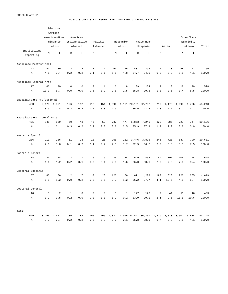#### MUSIC STUDENTS BY DEGREE LEVEL AND ETHNIC CHARACTERISTICS

|                            |       | Black or      |              |                |             |              |             |              |       |                           |                 |             |       |             |        |
|----------------------------|-------|---------------|--------------|----------------|-------------|--------------|-------------|--------------|-------|---------------------------|-----------------|-------------|-------|-------------|--------|
|                            |       | African-      |              |                |             |              |             |              |       |                           |                 |             |       |             |        |
|                            |       | American/Non- |              | American       |             |              |             |              |       |                           |                 |             |       | Other/Race  |        |
|                            |       | Hispanic      |              | Indian/Native  |             | Pacific      |             | Hispanic/    |       | White Non-                |                 |             |       | Ethnicity   |        |
|                            |       | Latino        |              | Alaskan        |             | Islander     |             | Latino       |       | Hispanic                  |                 | Asian       |       | Unknown     | Total  |
| Institutions               |       |               |              |                |             |              |             |              |       |                           |                 |             |       |             |        |
| Reporting                  | M     | $\mathbf F$   | М            | $\mathbf F$    | M           | $\mathbf F$  | $\mathbb M$ | $\mathbf F$  | М     | $\mathbf F$               | $\mathbb M$     | $\mathbf F$ | M     | $\mathbf F$ |        |
|                            |       |               |              |                |             |              |             |              |       |                           |                 |             |       |             |        |
| Associate Professional     |       |               |              |                |             |              |             |              |       |                           |                 |             |       |             |        |
| 23                         | 47    | 39            | $\,2$        | $\sqrt{2}$     | $\mathbf 1$ | $\mathbf 1$  | 63          | 56           | 401   | 393                       | $\,2$           | $\mathsf 3$ | 98    | 47          | 1,155  |
| $\,$ $\,$ $\,$             | 4.1   | 3.4           | 0.2          | 0.2            | 0.1         | 0.1          | 5.5         | 4.8          | 34.7  | 34.0                      | 0.2             | 0.3         | 8.5   | 4.1         | 100.0  |
| Associate Liberal Arts     |       |               |              |                |             |              |             |              |       |                           |                 |             |       |             |        |
| 17                         | 63    | 30            | $\mathbb O$  | $\mathsf 0$    | 3           | $\mathbf{1}$ | 13          | 8            | 189   | 154                       | $7\phantom{.0}$ | 13          | 18    | 29          | 528    |
| $\,$ 8                     | 11.9  | 5.7           | 0.0          | 0.0            | 0.6         | 0.2          | 2.5         | 1.5          | 35.8  | 29.2                      | 1.3             | 2.5         | 3.4   | 5.5         | 100.0  |
| Baccalaureate Professional |       |               |              |                |             |              |             |              |       |                           |                 |             |       |             |        |
| 430                        | 2,175 | 1,551         | 126          | 112            | 112         | 151          | 1,596       |              |       | 1,161 20,161 22,752       | 719             | 1,173       | 1,693 | 1,766       | 55,248 |
| $\,$ $\,$ $\,$             | 3.9   | 2.8           | 0.2          | 0.2            | 0.2         | 0.3          | 2.9         | 2.1          | 36.5  | 41.2                      | 1.3             | 2.1         | 3.1   | 3.2         | 100.0  |
|                            |       |               |              |                |             |              |             |              |       |                           |                 |             |       |             |        |
| Baccalaureate Liberal Arts |       |               |              |                |             |              |             |              |       |                           |                 |             |       |             |        |
| 401                        | 848   | 589           | 60           | 43             | 46          | 52           | 732         | 477          | 6,863 | 7,245                     | 322             | 385         | 727   | 747         | 19,136 |
| $\,$ 8                     | 4.4   | 3.1           | 0.3          | 0.2            | 0.2         | 0.3          | 3.8         | 2.5          | 35.9  | 37.9                      | 1.7             | 2.0         | 3.8   | 3.9         | 100.0  |
| Master's Specific          |       |               |              |                |             |              |             |              |       |                           |                 |             |       |             |        |
| 206                        | 211   | 186           | 11           | 23             | 13          | 26           | 265         | 182          | 3,446 | 3,895                     | 246             | 720         | 587   | 790         | 10,601 |
| $\mathsf{S}^{\mathsf{c}}$  | 2.0   | 1.8           | $0.1\,$      | $0\, . \, 2$   | 0.1         | 0.2          | 2.5         | 1.7          | 32.5  | 36.7                      | 2.3             | 6.8         | 5.5   | 7.5         | 100.0  |
|                            |       |               |              |                |             |              |             |              |       |                           |                 |             |       |             |        |
| Master's General           |       |               |              |                |             |              |             |              |       |                           |                 |             |       |             |        |
| 74                         | 24    | 18            | 3            | $\mathbf{1}$   | 5           | 6            | 35          | 24           | 549   | 458                       | 44              | 107         | 106   | 144         | 1,524  |
| ್ಠಿ                        | 1.6   | 1.2           | 0.2          | 0.1            | 0.3         | 0.4          | 2.3         | 1.6          | 36.0  | 30.1                      | 2.9             | 7.0         | 7.0   | 9.4         | 100.0  |
| Doctoral Specific          |       |               |              |                |             |              |             |              |       |                           |                 |             |       |             |        |
| 57                         | 83    | 56            | 2            | $\overline{7}$ | 10          | 28           | 123         | 56           | 1,671 | 1,278                     | 190             | 628         | 222   | 265         | 4,619  |
| $\rm _{o}^{\rm o}$         | 1.8   | 1.2           | $0.0$        | 0.2            | 0.2         | 0.6          | 2.7         | 1.2          | 36.2  | 27.7                      | 4.1             | 13.6        | 4.8   | 5.7         | 100.0  |
| Doctoral General           |       |               |              |                |             |              |             |              |       |                           |                 |             |       |             |        |
| 10                         | 5     | 2             | $\mathbf{1}$ | $\mathbf 0$    | $\mathbf 0$ | $\mathbf 0$  | 5           | $\mathbf{1}$ | 147   | 126                       | 9               | 41          | 50    | 46          | 433    |
| $\rm _{o}^{\rm o}$         | 1.2   | 0.5           | 0.2          | 0.0            | 0.0         | 0.0          | 1.2         | 0.2          | 33.9  | 29.1                      | 2.1             | 9.5         | 11.5  | 10.6        | 100.0  |
|                            |       |               |              |                |             |              |             |              |       |                           |                 |             |       |             |        |
|                            |       |               |              |                |             |              |             |              |       |                           |                 |             |       |             |        |
| Total                      |       |               |              |                |             |              |             |              |       |                           |                 |             |       |             |        |
| 529                        | 3,456 | 2,471         | 205          | 188            | 190         | 265          | 2,832       |              |       | 1,965 33,427 36,301 1,539 |                 | 3,070       | 3,501 | 3,834       | 93,244 |
| ۹ò                         | 3.7   | 2.7           | 0.2          | 0.2            | 0.2         | 0.3          | 3.0         | 2.1          | 35.8  | 38.9                      | 1.7             | 3.3         | 3.8   | 4.1         | 100.0  |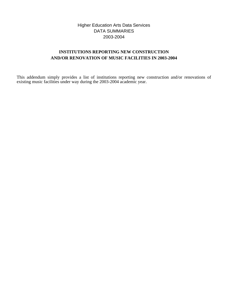# Higher Education Arts Data Services DATA SUMMARIES 2003-2004

# **INSTITUTIONS REPORTING NEW CONSTRUCTION AND/OR RENOVATION OF MUSIC FACILITIES IN 2003-2004**

This addendum simply provides a list of institutions reporting new construction and/or renovations of existing music facilities under way during the 2003-2004 academic year.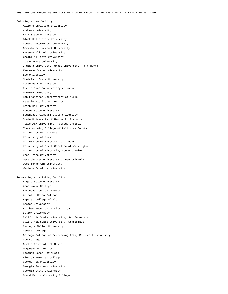Building a new facility Abilene Christian University Andrews University Ball State University Black Hills State University Central Washington University Christopher Newport University Eastern Illinois University Grambling State University Idaho State University Indiana University-Purdue University, Fort Wayne Kennesaw State University Lee University Montclair State University North Park University Puerto Rico Conservatory of Music Radford University San Francisco Conservatory of Music Seattle Pacific University Seton Hill University Sonoma State University Southeast Missouri State University State University of New York, Fredonia Texas A&M University - Corpus Christi The Community College of Baltimore County University of Delaware University of Miami University of Missouri, St. Louis University of North Carolina at Wilmington University of Wisconsin, Stevens Point Utah State University West Chester University of Pennsylvania West Texas A&M University Western Carolina University Renovating an existing facility Angelo State University Anna Maria College Arkansas Tech University Atlantic Union College Baptist College of Florida Boston University Brigham Young University - Idaho Butler University California State University, San Bernardino California State University, Stanislaus Carnegie Mellon University Central College Chicago College of Performing Arts, Roosevelt University Coe College Curtis Institute of Music Duquesne University Eastman School of Music Florida Memorial College George Fox University Georgia Southern University Georgia State University Grand Rapids Community College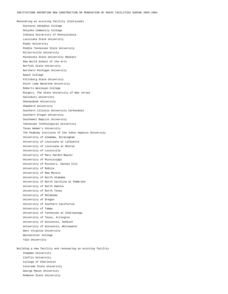Renovating an existing facility (Continued) Gustavus Adolphus College Holyoke Community College Indiana University of Pennsylvania Louisiana State University Miami University Middle Tennessee State University Millersville University Minnesota State University Mankato New World School of the Arts Norfolk State University Northern Michigan University Nyack College Pittsburg State University Point Loma Nazarene University Roberts Wesleyan College Rutgers, The State University of New Jersey Salisbury University Shenandoah University Shepherd University Southern Illinois University Carbondale Southern Oregon University Southwest Baptist University Tennessee Technological University Texas Woman's University The Peabody Institute of the Johns Hopkins University University of Alabama, Birmingham University of Louisiana at Lafayette University of Louisiana at Monroe University of Louisville University of Mary Hardin-Baylor University of Mississippi University of Missouri, Kansas City University of Mobile University of New Mexico University of North Alabama University of North Carolina at Pembroke University of North Dakota University of North Texas University of Oklahoma University of Oregon University of Southern California University of Tampa University of Tennessee at Chattanooga University of Texas, Arlington University of Wisconsin, Oshkosh University of Wisconsin, Whitewater West Virginia University Westminster College Yale University

Building a new facility and renovating an existing facility Chapman University Claflin University College of Charleston Colorado State University George Mason University McNeese State University